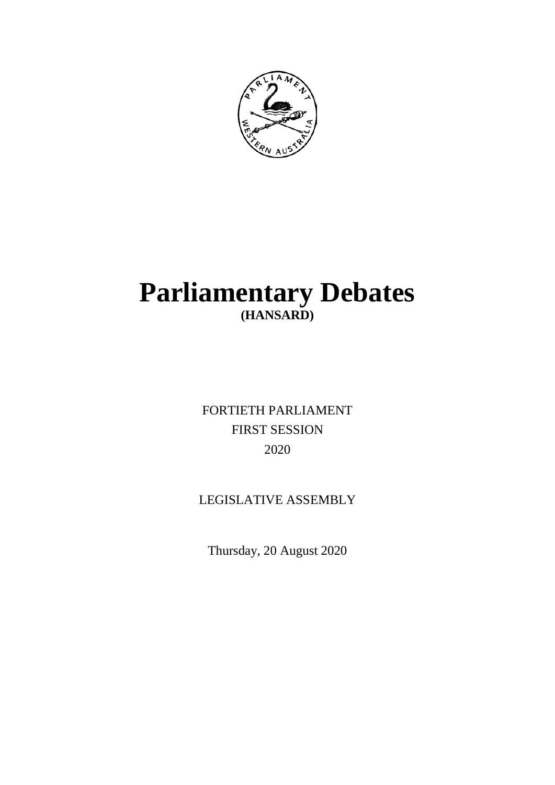

# **Parliamentary Debates (HANSARD)**

FORTIETH PARLIAMENT FIRST SESSION 2020

# LEGISLATIVE ASSEMBLY

Thursday, 20 August 2020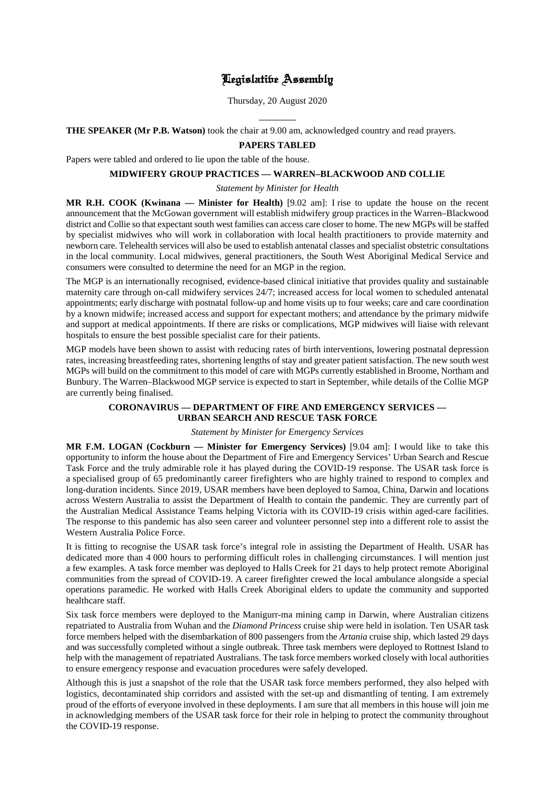# Legislative Assembly

Thursday, 20 August 2020

 $\overline{a}$ **THE SPEAKER (Mr P.B. Watson)** took the chair at 9.00 am, acknowledged country and read prayers.

# **PAPERS TABLED**

Papers were tabled and ordered to lie upon the table of the house.

# **MIDWIFERY GROUP PRACTICES — WARREN–BLACKWOOD AND COLLIE**

# *Statement by Minister for Health*

**MR R.H. COOK (Kwinana — Minister for Health)** [9.02 am]: I rise to update the house on the recent announcement that the McGowan government will establish midwifery group practices in the Warren–Blackwood district and Collie so that expectant south west families can access care closer to home. The new MGPs will be staffed by specialist midwives who will work in collaboration with local health practitioners to provide maternity and newborn care. Telehealth services will also be used to establish antenatal classes and specialist obstetric consultations in the local community. Local midwives, general practitioners, the South West Aboriginal Medical Service and consumers were consulted to determine the need for an MGP in the region.

The MGP is an internationally recognised, evidence-based clinical initiative that provides quality and sustainable maternity care through on-call midwifery services 24/7; increased access for local women to scheduled antenatal appointments; early discharge with postnatal follow-up and home visits up to four weeks; care and care coordination by a known midwife; increased access and support for expectant mothers; and attendance by the primary midwife and support at medical appointments. If there are risks or complications, MGP midwives will liaise with relevant hospitals to ensure the best possible specialist care for their patients.

MGP models have been shown to assist with reducing rates of birth interventions, lowering postnatal depression rates, increasing breastfeeding rates, shortening lengths of stay and greater patient satisfaction. The new south west MGPs will build on the commitment to this model of care with MGPs currently established in Broome, Northam and Bunbury. The Warren–Blackwood MGP service is expected to start in September, while details of the Collie MGP are currently being finalised.

# **CORONAVIRUS — DEPARTMENT OF FIRE AND EMERGENCY SERVICES — URBAN SEARCH AND RESCUE TASK FORCE**

# *Statement by Minister for Emergency Services*

**MR F.M. LOGAN (Cockburn — Minister for Emergency Services)** [9.04 am]: I would like to take this opportunity to inform the house about the Department of Fire and Emergency Services' Urban Search and Rescue Task Force and the truly admirable role it has played during the COVID-19 response. The USAR task force is a specialised group of 65 predominantly career firefighters who are highly trained to respond to complex and long-duration incidents. Since 2019, USAR members have been deployed to Samoa, China, Darwin and locations across Western Australia to assist the Department of Health to contain the pandemic. They are currently part of the Australian Medical Assistance Teams helping Victoria with its COVID-19 crisis within aged-care facilities. The response to this pandemic has also seen career and volunteer personnel step into a different role to assist the Western Australia Police Force.

It is fitting to recognise the USAR task force's integral role in assisting the Department of Health. USAR has dedicated more than 4 000 hours to performing difficult roles in challenging circumstances. I will mention just a few examples. A task force member was deployed to Halls Creek for 21 days to help protect remote Aboriginal communities from the spread of COVID-19. A career firefighter crewed the local ambulance alongside a special operations paramedic. He worked with Halls Creek Aboriginal elders to update the community and supported healthcare staff.

Six task force members were deployed to the Manigurr-ma mining camp in Darwin, where Australian citizens repatriated to Australia from Wuhan and the *Diamond Princess* cruise ship were held in isolation. Ten USAR task force members helped with the disembarkation of 800 passengers from the *Artania* cruise ship, which lasted 29 days and was successfully completed without a single outbreak. Three task members were deployed to Rottnest Island to help with the management of repatriated Australians. The task force members worked closely with local authorities to ensure emergency response and evacuation procedures were safely developed.

Although this is just a snapshot of the role that the USAR task force members performed, they also helped with logistics, decontaminated ship corridors and assisted with the set-up and dismantling of tenting. I am extremely proud of the efforts of everyone involved in these deployments. I am sure that all members in this house will join me in acknowledging members of the USAR task force for their role in helping to protect the community throughout the COVID-19 response.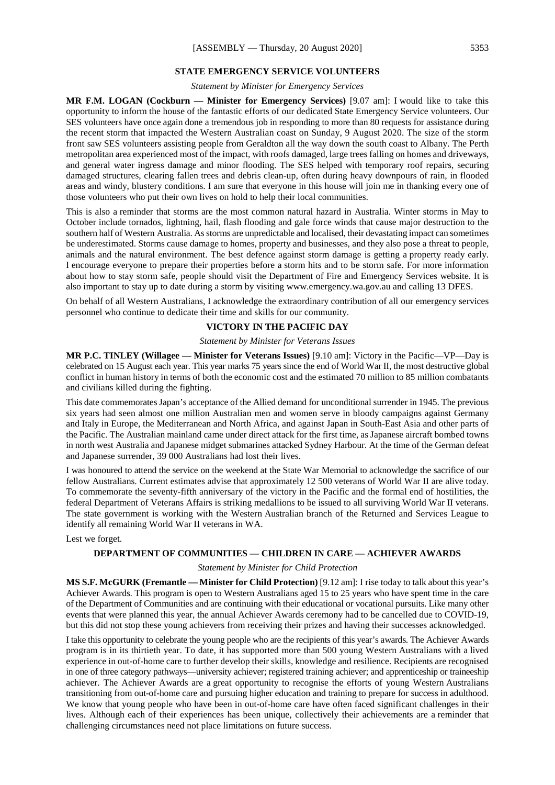# **STATE EMERGENCY SERVICE VOLUNTEERS**

*Statement by Minister for Emergency Services*

**MR F.M. LOGAN (Cockburn — Minister for Emergency Services)** [9.07 am]: I would like to take this opportunity to inform the house of the fantastic efforts of our dedicated State Emergency Service volunteers. Our SES volunteers have once again done a tremendous job in responding to more than 80 requests for assistance during the recent storm that impacted the Western Australian coast on Sunday, 9 August 2020. The size of the storm front saw SES volunteers assisting people from Geraldton all the way down the south coast to Albany. The Perth metropolitan area experienced most of the impact, with roofs damaged, large trees falling on homes and driveways, and general water ingress damage and minor flooding. The SES helped with temporary roof repairs, securing damaged structures, clearing fallen trees and debris clean-up, often during heavy downpours of rain, in flooded areas and windy, blustery conditions. I am sure that everyone in this house will join me in thanking every one of those volunteers who put their own lives on hold to help their local communities.

This is also a reminder that storms are the most common natural hazard in Australia. Winter storms in May to October include tornados, lightning, hail, flash flooding and gale force winds that cause major destruction to the southern half of Western Australia. As storms are unpredictable and localised, their devastating impact can sometimes be underestimated. Storms cause damage to homes, property and businesses, and they also pose a threat to people, animals and the natural environment. The best defence against storm damage is getting a property ready early. I encourage everyone to prepare their properties before a storm hits and to be storm safe. For more information about how to stay storm safe, people should visit the Department of Fire and Emergency Services website. It is also important to stay up to date during a storm by visiting www.emergency.wa.gov.au and calling 13 DFES.

On behalf of all Western Australians, I acknowledge the extraordinary contribution of all our emergency services personnel who continue to dedicate their time and skills for our community.

#### **VICTORY IN THE PACIFIC DAY**

#### *Statement by Minister for Veterans Issues*

**MR P.C. TINLEY (Willagee — Minister for Veterans Issues)** [9.10 am]: Victory in the Pacific—VP—Day is celebrated on 15 August each year. This year marks 75 years since the end of World War II, the most destructive global conflict in human history in terms of both the economic cost and the estimated 70 million to 85 million combatants and civilians killed during the fighting.

This date commemorates Japan's acceptance of the Allied demand for unconditional surrender in 1945. The previous six years had seen almost one million Australian men and women serve in bloody campaigns against Germany and Italy in Europe, the Mediterranean and North Africa, and against Japan in South-East Asia and other parts of the Pacific. The Australian mainland came under direct attack for the first time, as Japanese aircraft bombed towns in north west Australia and Japanese midget submarines attacked Sydney Harbour. At the time of the German defeat and Japanese surrender, 39 000 Australians had lost their lives.

I was honoured to attend the service on the weekend at the State War Memorial to acknowledge the sacrifice of our fellow Australians. Current estimates advise that approximately 12 500 veterans of World War II are alive today. To commemorate the seventy-fifth anniversary of the victory in the Pacific and the formal end of hostilities, the federal Department of Veterans Affairs is striking medallions to be issued to all surviving World War II veterans. The state government is working with the Western Australian branch of the Returned and Services League to identify all remaining World War II veterans in WA.

Lest we forget.

# **DEPARTMENT OF COMMUNITIES — CHILDREN IN CARE — ACHIEVER AWARDS**

#### *Statement by Minister for Child Protection*

**MS S.F. McGURK (Fremantle — Minister for Child Protection)** [9.12 am]: I rise today to talk about this year's Achiever Awards. This program is open to Western Australians aged 15 to 25 years who have spent time in the care of the Department of Communities and are continuing with their educational or vocational pursuits. Like many other events that were planned this year, the annual Achiever Awards ceremony had to be cancelled due to COVID-19, but this did not stop these young achievers from receiving their prizes and having their successes acknowledged.

I take this opportunity to celebrate the young people who are the recipients of this year's awards. The Achiever Awards program is in its thirtieth year. To date, it has supported more than 500 young Western Australians with a lived experience in out-of-home care to further develop their skills, knowledge and resilience. Recipients are recognised in one of three category pathways—university achiever; registered training achiever; and apprenticeship or traineeship achiever. The Achiever Awards are a great opportunity to recognise the efforts of young Western Australians transitioning from out-of-home care and pursuing higher education and training to prepare for success in adulthood. We know that young people who have been in out-of-home care have often faced significant challenges in their lives. Although each of their experiences has been unique, collectively their achievements are a reminder that challenging circumstances need not place limitations on future success.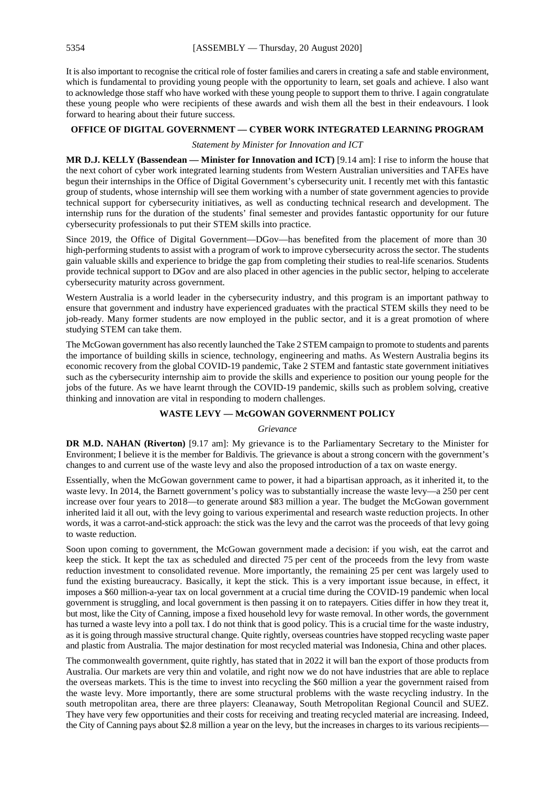It is also important to recognise the critical role of foster families and carers in creating a safe and stable environment, which is fundamental to providing young people with the opportunity to learn, set goals and achieve. I also want to acknowledge those staff who have worked with these young people to support them to thrive. I again congratulate these young people who were recipients of these awards and wish them all the best in their endeavours. I look forward to hearing about their future success.

# **OFFICE OF DIGITAL GOVERNMENT — CYBER WORK INTEGRATED LEARNING PROGRAM**

*Statement by Minister for Innovation and ICT*

**MR D.J. KELLY (Bassendean — Minister for Innovation and ICT)** [9.14 am]: I rise to inform the house that the next cohort of cyber work integrated learning students from Western Australian universities and TAFEs have begun their internships in the Office of Digital Government's cybersecurity unit. I recently met with this fantastic group of students, whose internship will see them working with a number of state government agencies to provide technical support for cybersecurity initiatives, as well as conducting technical research and development. The internship runs for the duration of the students' final semester and provides fantastic opportunity for our future cybersecurity professionals to put their STEM skills into practice.

Since 2019, the Office of Digital Government—DGov—has benefited from the placement of more than 30 high-performing students to assist with a program of work to improve cybersecurity across the sector. The students gain valuable skills and experience to bridge the gap from completing their studies to real-life scenarios. Students provide technical support to DGov and are also placed in other agencies in the public sector, helping to accelerate cybersecurity maturity across government.

Western Australia is a world leader in the cybersecurity industry, and this program is an important pathway to ensure that government and industry have experienced graduates with the practical STEM skills they need to be job-ready. Many former students are now employed in the public sector, and it is a great promotion of where studying STEM can take them.

The McGowan government has also recently launched the Take 2 STEM campaign to promote to students and parents the importance of building skills in science, technology, engineering and maths. As Western Australia begins its economic recovery from the global COVID-19 pandemic, Take 2 STEM and fantastic state government initiatives such as the cybersecurity internship aim to provide the skills and experience to position our young people for the jobs of the future. As we have learnt through the COVID-19 pandemic, skills such as problem solving, creative thinking and innovation are vital in responding to modern challenges.

# **WASTE LEVY — McGOWAN GOVERNMENT POLICY**

#### *Grievance*

**DR M.D. NAHAN (Riverton)** [9.17 am]: My grievance is to the Parliamentary Secretary to the Minister for Environment; I believe it is the member for Baldivis. The grievance is about a strong concern with the government's changes to and current use of the waste levy and also the proposed introduction of a tax on waste energy.

Essentially, when the McGowan government came to power, it had a bipartisan approach, as it inherited it, to the waste levy. In 2014, the Barnett government's policy was to substantially increase the waste levy—a 250 per cent increase over four years to 2018—to generate around \$83 million a year. The budget the McGowan government inherited laid it all out, with the levy going to various experimental and research waste reduction projects. In other words, it was a carrot-and-stick approach: the stick was the levy and the carrot was the proceeds of that levy going to waste reduction.

Soon upon coming to government, the McGowan government made a decision: if you wish, eat the carrot and keep the stick. It kept the tax as scheduled and directed 75 per cent of the proceeds from the levy from waste reduction investment to consolidated revenue. More importantly, the remaining 25 per cent was largely used to fund the existing bureaucracy. Basically, it kept the stick. This is a very important issue because, in effect, it imposes a \$60 million-a-year tax on local government at a crucial time during the COVID-19 pandemic when local government is struggling, and local government is then passing it on to ratepayers. Cities differ in how they treat it, but most, like the City of Canning, impose a fixed household levy for waste removal. In other words, the government has turned a waste levy into a poll tax. I do not think that is good policy. This is a crucial time for the waste industry, as it is going through massive structural change. Quite rightly, overseas countries have stopped recycling waste paper and plastic from Australia. The major destination for most recycled material was Indonesia, China and other places.

The commonwealth government, quite rightly, has stated that in 2022 it will ban the export of those products from Australia. Our markets are very thin and volatile, and right now we do not have industries that are able to replace the overseas markets. This is the time to invest into recycling the \$60 million a year the government raised from the waste levy. More importantly, there are some structural problems with the waste recycling industry. In the south metropolitan area, there are three players: Cleanaway, South Metropolitan Regional Council and SUEZ. They have very few opportunities and their costs for receiving and treating recycled material are increasing. Indeed, the City of Canning pays about \$2.8 million a year on the levy, but the increases in charges to its various recipients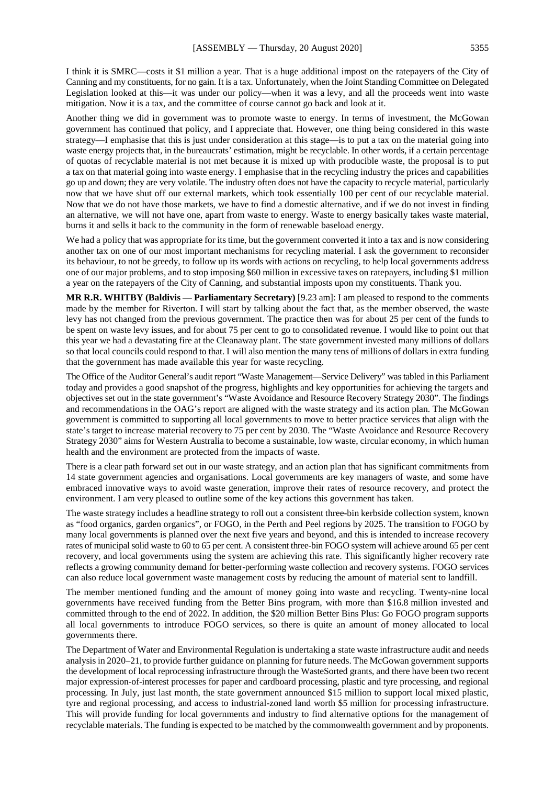I think it is SMRC—costs it \$1 million a year. That is a huge additional impost on the ratepayers of the City of Canning and my constituents, for no gain. It is a tax. Unfortunately, when the Joint Standing Committee on Delegated Legislation looked at this—it was under our policy—when it was a levy, and all the proceeds went into waste mitigation. Now it is a tax, and the committee of course cannot go back and look at it.

Another thing we did in government was to promote waste to energy. In terms of investment, the McGowan government has continued that policy, and I appreciate that. However, one thing being considered in this waste strategy—I emphasise that this is just under consideration at this stage—is to put a tax on the material going into waste energy projects that, in the bureaucrats' estimation, might be recyclable. In other words, if a certain percentage of quotas of recyclable material is not met because it is mixed up with producible waste, the proposal is to put a tax on that material going into waste energy. I emphasise that in the recycling industry the prices and capabilities go up and down; they are very volatile. The industry often does not have the capacity to recycle material, particularly now that we have shut off our external markets, which took essentially 100 per cent of our recyclable material. Now that we do not have those markets, we have to find a domestic alternative, and if we do not invest in finding an alternative, we will not have one, apart from waste to energy. Waste to energy basically takes waste material, burns it and sells it back to the community in the form of renewable baseload energy.

We had a policy that was appropriate for its time, but the government converted it into a tax and is now considering another tax on one of our most important mechanisms for recycling material. I ask the government to reconsider its behaviour, to not be greedy, to follow up its words with actions on recycling, to help local governments address one of our major problems, and to stop imposing \$60 million in excessive taxes on ratepayers, including \$1 million a year on the ratepayers of the City of Canning, and substantial imposts upon my constituents. Thank you.

**MR R.R. WHITBY (Baldivis — Parliamentary Secretary)** [9.23 am]: I am pleased to respond to the comments made by the member for Riverton. I will start by talking about the fact that, as the member observed, the waste levy has not changed from the previous government. The practice then was for about 25 per cent of the funds to be spent on waste levy issues, and for about 75 per cent to go to consolidated revenue. I would like to point out that this year we had a devastating fire at the Cleanaway plant. The state government invested many millions of dollars so that local councils could respond to that. I will also mention the many tens of millions of dollars in extra funding that the government has made available this year for waste recycling.

The Office of the Auditor General's audit report "Waste Management—Service Delivery" was tabled in this Parliament today and provides a good snapshot of the progress, highlights and key opportunities for achieving the targets and objectives set out in the state government's "Waste Avoidance and Resource Recovery Strategy 2030". The findings and recommendations in the OAG's report are aligned with the waste strategy and its action plan. The McGowan government is committed to supporting all local governments to move to better practice services that align with the state's target to increase material recovery to 75 per cent by 2030. The "Waste Avoidance and Resource Recovery Strategy 2030" aims for Western Australia to become a sustainable, low waste, circular economy, in which human health and the environment are protected from the impacts of waste.

There is a clear path forward set out in our waste strategy, and an action plan that has significant commitments from 14 state government agencies and organisations. Local governments are key managers of waste, and some have embraced innovative ways to avoid waste generation, improve their rates of resource recovery, and protect the environment. I am very pleased to outline some of the key actions this government has taken.

The waste strategy includes a headline strategy to roll out a consistent three-bin kerbside collection system, known as "food organics, garden organics", or FOGO, in the Perth and Peel regions by 2025. The transition to FOGO by many local governments is planned over the next five years and beyond, and this is intended to increase recovery rates of municipal solid waste to 60 to 65 per cent. A consistent three-bin FOGO system will achieve around 65 per cent recovery, and local governments using the system are achieving this rate. This significantly higher recovery rate reflects a growing community demand for better-performing waste collection and recovery systems. FOGO services can also reduce local government waste management costs by reducing the amount of material sent to landfill.

The member mentioned funding and the amount of money going into waste and recycling. Twenty-nine local governments have received funding from the Better Bins program, with more than \$16.8 million invested and committed through to the end of 2022. In addition, the \$20 million Better Bins Plus: Go FOGO program supports all local governments to introduce FOGO services, so there is quite an amount of money allocated to local governments there.

The Department of Water and Environmental Regulation is undertaking a state waste infrastructure audit and needs analysis in 2020–21, to provide further guidance on planning for future needs. The McGowan government supports the development of local reprocessing infrastructure through the WasteSorted grants, and there have been two recent major expression-of-interest processes for paper and cardboard processing, plastic and tyre processing, and regional processing. In July, just last month, the state government announced \$15 million to support local mixed plastic, tyre and regional processing, and access to industrial-zoned land worth \$5 million for processing infrastructure. This will provide funding for local governments and industry to find alternative options for the management of recyclable materials. The funding is expected to be matched by the commonwealth government and by proponents.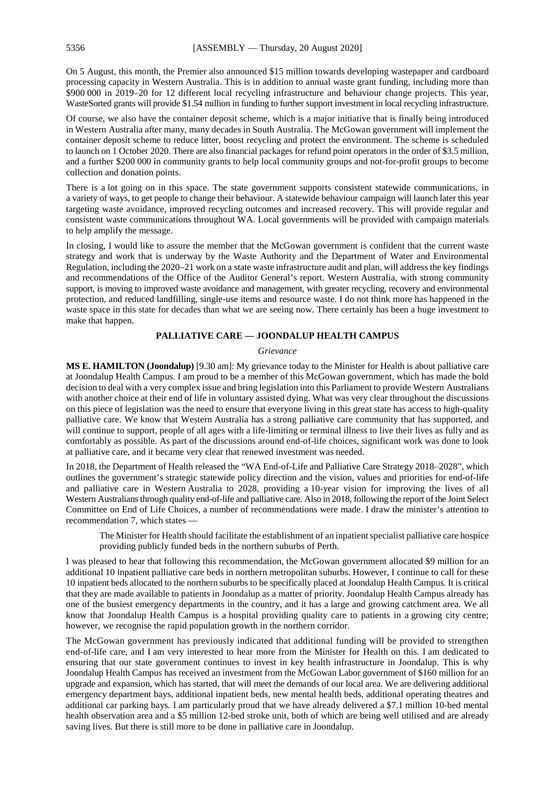On 5 August, this month, the Premier also announced \$15 million towards developing wastepaper and cardboard processing capacity in Western Australia. This is in addition to annual waste grant funding, including more than \$900 000 in 2019–20 for 12 different local recycling infrastructure and behaviour change projects. This year, WasteSorted grants will provide \$1.54 million in funding to further support investment in local recycling infrastructure.

Of course, we also have the container deposit scheme, which is a major initiative that is finally being introduced in Western Australia after many, many decades in South Australia. The McGowan government will implement the container deposit scheme to reduce litter, boost recycling and protect the environment. The scheme is scheduled to launch on 1 October 2020. There are also financial packages for refund point operators in the order of \$3.5 million, and a further \$200 000 in community grants to help local community groups and not-for-profit groups to become collection and donation points.

There is a lot going on in this space. The state government supports consistent statewide communications, in a variety of ways, to get people to change their behaviour. A statewide behaviour campaign will launch later this year targeting waste avoidance, improved recycling outcomes and increased recovery. This will provide regular and consistent waste communications throughout WA. Local governments will be provided with campaign materials to help amplify the message.

In closing, I would like to assure the member that the McGowan government is confident that the current waste strategy and work that is underway by the Waste Authority and the Department of Water and Environmental Regulation, including the 2020–21 work on a state waste infrastructure audit and plan, will address the key findings and recommendations of the Office of the Auditor General's report. Western Australia, with strong community support, is moving to improved waste avoidance and management, with greater recycling, recovery and environmental protection, and reduced landfilling, single-use items and resource waste. I do not think more has happened in the waste space in this state for decades than what we are seeing now. There certainly has been a huge investment to make that happen.

# **PALLIATIVE CARE — JOONDALUP HEALTH CAMPUS**

#### *Grievance*

**MS E. HAMILTON (Joondalup)** [9.30 am]: My grievance today to the Minister for Health is about palliative care at Joondalup Health Campus. I am proud to be a member of this McGowan government, which has made the bold decision to deal with a very complex issue and bring legislation into this Parliament to provide Western Australians with another choice at their end of life in voluntary assisted dying. What was very clear throughout the discussions on this piece of legislation was the need to ensure that everyone living in this great state has access to high-quality palliative care. We know that Western Australia has a strong palliative care community that has supported, and will continue to support, people of all ages with a life-limiting or terminal illness to live their lives as fully and as comfortably as possible. As part of the discussions around end-of-life choices, significant work was done to look at palliative care, and it became very clear that renewed investment was needed.

In 2018, the Department of Health released the "WA End-of-Life and Palliative Care Strategy 2018–2028", which outlines the government's strategic statewide policy direction and the vision, values and priorities for end-of-life and palliative care in Western Australia to 2028, providing a 10-year vision for improving the lives of all Western Australians through quality end-of-life and palliative care. Also in 2018, following the report of the Joint Select Committee on End of Life Choices, a number of recommendations were made. I draw the minister's attention to recommendation 7, which states —

The Minister for Health should facilitate the establishment of an inpatient specialist palliative care hospice providing publicly funded beds in the northern suburbs of Perth.

I was pleased to hear that following this recommendation, the McGowan government allocated \$9 million for an additional 10 inpatient palliative care beds in northern metropolitan suburbs. However, I continue to call for these 10 inpatient beds allocated to the northern suburbs to be specifically placed at Joondalup Health Campus. It is critical that they are made available to patients in Joondalup as a matter of priority. Joondalup Health Campus already has one of the busiest emergency departments in the country, and it has a large and growing catchment area. We all know that Joondalup Health Campus is a hospital providing quality care to patients in a growing city centre; however, we recognise the rapid population growth in the northern corridor.

The McGowan government has previously indicated that additional funding will be provided to strengthen end-of-life care, and I am very interested to hear more from the Minister for Health on this. I am dedicated to ensuring that our state government continues to invest in key health infrastructure in Joondalup. This is why Joondalup Health Campus has received an investment from the McGowan Labor government of \$160 million for an upgrade and expansion, which has started, that will meet the demands of our local area. We are delivering additional emergency department bays, additional inpatient beds, new mental health beds, additional operating theatres and additional car parking bays. I am particularly proud that we have already delivered a \$7.1 million 10-bed mental health observation area and a \$5 million 12-bed stroke unit, both of which are being well utilised and are already saving lives. But there is still more to be done in palliative care in Joondalup.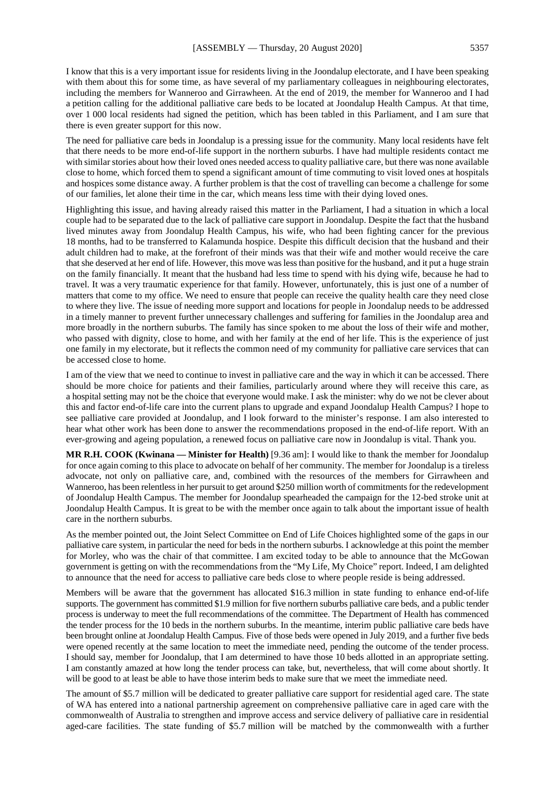I know that this is a very important issue for residents living in the Joondalup electorate, and I have been speaking with them about this for some time, as have several of my parliamentary colleagues in neighbouring electorates, including the members for Wanneroo and Girrawheen. At the end of 2019, the member for Wanneroo and I had a petition calling for the additional palliative care beds to be located at Joondalup Health Campus. At that time, over 1 000 local residents had signed the petition, which has been tabled in this Parliament, and I am sure that there is even greater support for this now.

The need for palliative care beds in Joondalup is a pressing issue for the community. Many local residents have felt that there needs to be more end-of-life support in the northern suburbs. I have had multiple residents contact me with similar stories about how their loved ones needed access to quality palliative care, but there was none available close to home, which forced them to spend a significant amount of time commuting to visit loved ones at hospitals and hospices some distance away. A further problem is that the cost of travelling can become a challenge for some of our families, let alone their time in the car, which means less time with their dying loved ones.

Highlighting this issue, and having already raised this matter in the Parliament, I had a situation in which a local couple had to be separated due to the lack of palliative care support in Joondalup. Despite the fact that the husband lived minutes away from Joondalup Health Campus, his wife, who had been fighting cancer for the previous 18 months, had to be transferred to Kalamunda hospice. Despite this difficult decision that the husband and their adult children had to make, at the forefront of their minds was that their wife and mother would receive the care that she deserved at her end of life. However, this move was less than positive for the husband, and it put a huge strain on the family financially. It meant that the husband had less time to spend with his dying wife, because he had to travel. It was a very traumatic experience for that family. However, unfortunately, this is just one of a number of matters that come to my office. We need to ensure that people can receive the quality health care they need close to where they live. The issue of needing more support and locations for people in Joondalup needs to be addressed in a timely manner to prevent further unnecessary challenges and suffering for families in the Joondalup area and more broadly in the northern suburbs. The family has since spoken to me about the loss of their wife and mother, who passed with dignity, close to home, and with her family at the end of her life. This is the experience of just one family in my electorate, but it reflects the common need of my community for palliative care services that can be accessed close to home.

I am of the view that we need to continue to invest in palliative care and the way in which it can be accessed. There should be more choice for patients and their families, particularly around where they will receive this care, as a hospital setting may not be the choice that everyone would make. I ask the minister: why do we not be clever about this and factor end-of-life care into the current plans to upgrade and expand Joondalup Health Campus? I hope to see palliative care provided at Joondalup, and I look forward to the minister's response. I am also interested to hear what other work has been done to answer the recommendations proposed in the end-of-life report. With an ever-growing and ageing population, a renewed focus on palliative care now in Joondalup is vital. Thank you.

**MR R.H. COOK (Kwinana — Minister for Health)** [9.36 am]: I would like to thank the member for Joondalup for once again coming to this place to advocate on behalf of her community. The member for Joondalup is a tireless advocate, not only on palliative care, and, combined with the resources of the members for Girrawheen and Wanneroo, has been relentless in her pursuit to get around \$250 million worth of commitments for the redevelopment of Joondalup Health Campus. The member for Joondalup spearheaded the campaign for the 12-bed stroke unit at Joondalup Health Campus. It is great to be with the member once again to talk about the important issue of health care in the northern suburbs.

As the member pointed out, the Joint Select Committee on End of Life Choices highlighted some of the gaps in our palliative care system, in particular the need for beds in the northern suburbs. I acknowledge at this point the member for Morley, who was the chair of that committee. I am excited today to be able to announce that the McGowan government is getting on with the recommendations from the "My Life, My Choice" report. Indeed, I am delighted to announce that the need for access to palliative care beds close to where people reside is being addressed.

Members will be aware that the government has allocated \$16.3 million in state funding to enhance end-of-life supports. The government has committed \$1.9 million for five northern suburbs palliative care beds, and a public tender process is underway to meet the full recommendations of the committee. The Department of Health has commenced the tender process for the 10 beds in the northern suburbs. In the meantime, interim public palliative care beds have been brought online at Joondalup Health Campus. Five of those beds were opened in July 2019, and a further five beds were opened recently at the same location to meet the immediate need, pending the outcome of the tender process. I should say, member for Joondalup, that I am determined to have those 10 beds allotted in an appropriate setting. I am constantly amazed at how long the tender process can take, but, nevertheless, that will come about shortly. It will be good to at least be able to have those interim beds to make sure that we meet the immediate need.

The amount of \$5.7 million will be dedicated to greater palliative care support for residential aged care. The state of WA has entered into a national partnership agreement on comprehensive palliative care in aged care with the commonwealth of Australia to strengthen and improve access and service delivery of palliative care in residential aged-care facilities. The state funding of \$5.7 million will be matched by the commonwealth with a further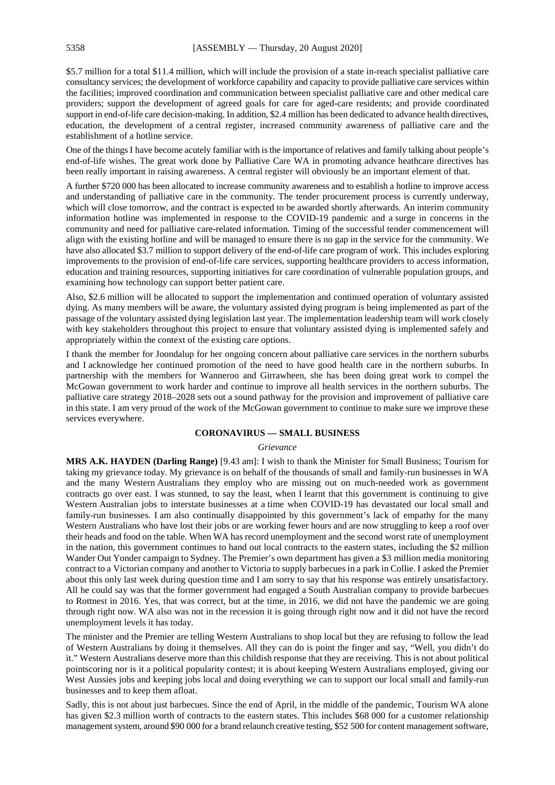\$5.7 million for a total \$11.4 million, which will include the provision of a state in-reach specialist palliative care consultancy services; the development of workforce capability and capacity to provide palliative care services within the facilities; improved coordination and communication between specialist palliative care and other medical care providers; support the development of agreed goals for care for aged-care residents; and provide coordinated support in end-of-life care decision-making. In addition, \$2.4 million has been dedicated to advance health directives, education, the development of a central register, increased community awareness of palliative care and the establishment of a hotline service.

One of the things I have become acutely familiar with is the importance of relatives and family talking about people's end-of-life wishes. The great work done by Palliative Care WA in promoting advance heathcare directives has been really important in raising awareness. A central register will obviously be an important element of that.

A further \$720 000 has been allocated to increase community awareness and to establish a hotline to improve access and understanding of palliative care in the community. The tender procurement process is currently underway, which will close tomorrow, and the contract is expected to be awarded shortly afterwards. An interim community information hotline was implemented in response to the COVID-19 pandemic and a surge in concerns in the community and need for palliative care-related information. Timing of the successful tender commencement will align with the existing hotline and will be managed to ensure there is no gap in the service for the community. We have also allocated \$3.7 million to support delivery of the end-of-life care program of work. This includes exploring improvements to the provision of end-of-life care services, supporting healthcare providers to access information, education and training resources, supporting initiatives for care coordination of vulnerable population groups, and examining how technology can support better patient care.

Also, \$2.6 million will be allocated to support the implementation and continued operation of voluntary assisted dying. As many members will be aware, the voluntary assisted dying program is being implemented as part of the passage of the voluntary assisted dying legislation last year. The implementation leadership team will work closely with key stakeholders throughout this project to ensure that voluntary assisted dying is implemented safely and appropriately within the context of the existing care options.

I thank the member for Joondalup for her ongoing concern about palliative care services in the northern suburbs and I acknowledge her continued promotion of the need to have good health care in the northern suburbs. In partnership with the members for Wanneroo and Girrawheen, she has been doing great work to compel the McGowan government to work harder and continue to improve all health services in the northern suburbs. The palliative care strategy 2018–2028 sets out a sound pathway for the provision and improvement of palliative care in this state. I am very proud of the work of the McGowan government to continue to make sure we improve these services everywhere.

# **CORONAVIRUS — SMALL BUSINESS**

#### *Grievance*

**MRS A.K. HAYDEN (Darling Range)** [9.43 am]: I wish to thank the Minister for Small Business; Tourism for taking my grievance today. My grievance is on behalf of the thousands of small and family-run businesses in WA and the many Western Australians they employ who are missing out on much-needed work as government contracts go over east. I was stunned, to say the least, when I learnt that this government is continuing to give Western Australian jobs to interstate businesses at a time when COVID-19 has devastated our local small and family-run businesses. I am also continually disappointed by this government's lack of empathy for the many Western Australians who have lost their jobs or are working fewer hours and are now struggling to keep a roof over their heads and food on the table. When WA has record unemployment and the second worst rate of unemployment in the nation, this government continues to hand out local contracts to the eastern states, including the \$2 million Wander Out Yonder campaign to Sydney. The Premier's own department has given a \$3 million media monitoring contract to a Victorian company and another to Victoria to supply barbecues in a park in Collie. I asked the Premier about this only last week during question time and I am sorry to say that his response was entirely unsatisfactory. All he could say was that the former government had engaged a South Australian company to provide barbecues to Rottnest in 2016. Yes, that was correct, but at the time, in 2016, we did not have the pandemic we are going through right now. WA also was not in the recession it is going through right now and it did not have the record unemployment levels it has today.

The minister and the Premier are telling Western Australians to shop local but they are refusing to follow the lead of Western Australians by doing it themselves. All they can do is point the finger and say, "Well, you didn't do it." Western Australians deserve more than this childish response that they are receiving. This is not about political pointscoring nor is it a political popularity contest; it is about keeping Western Australians employed, giving our West Aussies jobs and keeping jobs local and doing everything we can to support our local small and family-run businesses and to keep them afloat.

Sadly, this is not about just barbecues. Since the end of April, in the middle of the pandemic, Tourism WA alone has given \$2.3 million worth of contracts to the eastern states. This includes \$68 000 for a customer relationship management system, around \$90 000 for a brand relaunch creative testing, \$52 500 for content management software,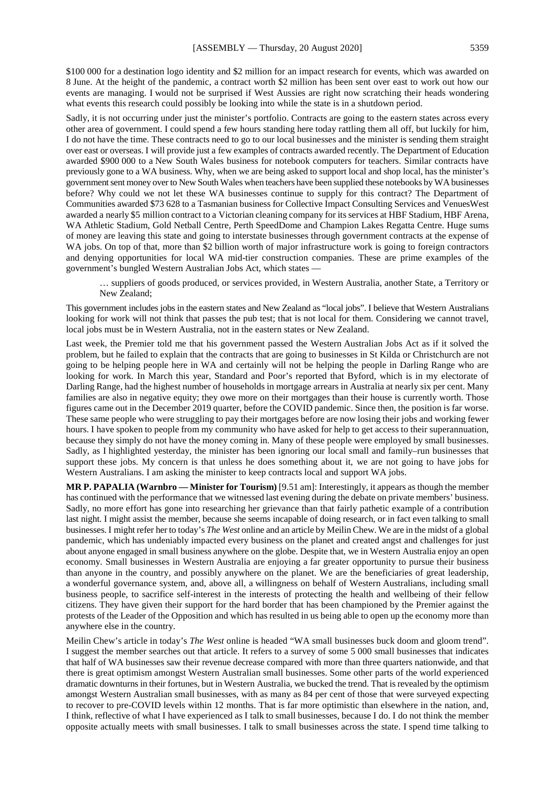\$100 000 for a destination logo identity and \$2 million for an impact research for events, which was awarded on 8 June. At the height of the pandemic, a contract worth \$2 million has been sent over east to work out how our events are managing. I would not be surprised if West Aussies are right now scratching their heads wondering what events this research could possibly be looking into while the state is in a shutdown period.

Sadly, it is not occurring under just the minister's portfolio. Contracts are going to the eastern states across every other area of government. I could spend a few hours standing here today rattling them all off, but luckily for him, I do not have the time. These contracts need to go to our local businesses and the minister is sending them straight over east or overseas. I will provide just a few examples of contracts awarded recently. The Department of Education awarded \$900 000 to a New South Wales business for notebook computers for teachers. Similar contracts have previously gone to a WA business. Why, when we are being asked to support local and shop local, has the minister's government sent money over to New South Wales when teachers have been supplied these notebooks by WA businesses before? Why could we not let these WA businesses continue to supply for this contract? The Department of Communities awarded \$73 628 to a Tasmanian business for Collective Impact Consulting Services and VenuesWest awarded a nearly \$5 million contract to a Victorian cleaning company for its services at HBF Stadium, HBF Arena, WA Athletic Stadium, Gold Netball Centre, Perth SpeedDome and Champion Lakes Regatta Centre. Huge sums of money are leaving this state and going to interstate businesses through government contracts at the expense of WA jobs. On top of that, more than \$2 billion worth of major infrastructure work is going to foreign contractors and denying opportunities for local WA mid-tier construction companies. These are prime examples of the government's bungled Western Australian Jobs Act, which states —

… suppliers of goods produced, or services provided, in Western Australia, another State, a Territory or New Zealand;

This government includes jobs in the eastern states and New Zealand as "local jobs". I believe that Western Australians looking for work will not think that passes the pub test; that is not local for them. Considering we cannot travel, local jobs must be in Western Australia, not in the eastern states or New Zealand.

Last week, the Premier told me that his government passed the Western Australian Jobs Act as if it solved the problem, but he failed to explain that the contracts that are going to businesses in St Kilda or Christchurch are not going to be helping people here in WA and certainly will not be helping the people in Darling Range who are looking for work. In March this year, Standard and Poor's reported that Byford, which is in my electorate of Darling Range, had the highest number of households in mortgage arrears in Australia at nearly six per cent. Many families are also in negative equity; they owe more on their mortgages than their house is currently worth. Those figures came out in the December 2019 quarter, before the COVID pandemic. Since then, the position is far worse. These same people who were struggling to pay their mortgages before are now losing their jobs and working fewer hours. I have spoken to people from my community who have asked for help to get access to their superannuation, because they simply do not have the money coming in. Many of these people were employed by small businesses. Sadly, as I highlighted yesterday, the minister has been ignoring our local small and family–run businesses that support these jobs. My concern is that unless he does something about it, we are not going to have jobs for Western Australians. I am asking the minister to keep contracts local and support WA jobs.

**MR P. PAPALIA (Warnbro — Minister for Tourism)** [9.51 am]: Interestingly, it appears as though the member has continued with the performance that we witnessed last evening during the debate on private members' business. Sadly, no more effort has gone into researching her grievance than that fairly pathetic example of a contribution last night. I might assist the member, because she seems incapable of doing research, or in fact even talking to small businesses. I might refer her to today's *The West* online and an article by Meilin Chew. We are in the midst of a global pandemic, which has undeniably impacted every business on the planet and created angst and challenges for just about anyone engaged in small business anywhere on the globe. Despite that, we in Western Australia enjoy an open economy. Small businesses in Western Australia are enjoying a far greater opportunity to pursue their business than anyone in the country, and possibly anywhere on the planet. We are the beneficiaries of great leadership, a wonderful governance system, and, above all, a willingness on behalf of Western Australians, including small business people, to sacrifice self-interest in the interests of protecting the health and wellbeing of their fellow citizens. They have given their support for the hard border that has been championed by the Premier against the protests of the Leader of the Opposition and which has resulted in us being able to open up the economy more than anywhere else in the country.

Meilin Chew's article in today's *The West* online is headed "WA small businesses buck doom and gloom trend". I suggest the member searches out that article. It refers to a survey of some 5 000 small businesses that indicates that half of WA businesses saw their revenue decrease compared with more than three quarters nationwide, and that there is great optimism amongst Western Australian small businesses. Some other parts of the world experienced dramatic downturns in their fortunes, but in Western Australia, we bucked the trend. That is revealed by the optimism amongst Western Australian small businesses, with as many as 84 per cent of those that were surveyed expecting to recover to pre-COVID levels within 12 months. That is far more optimistic than elsewhere in the nation, and, I think, reflective of what I have experienced as I talk to small businesses, because I do. I do not think the member opposite actually meets with small businesses. I talk to small businesses across the state. I spend time talking to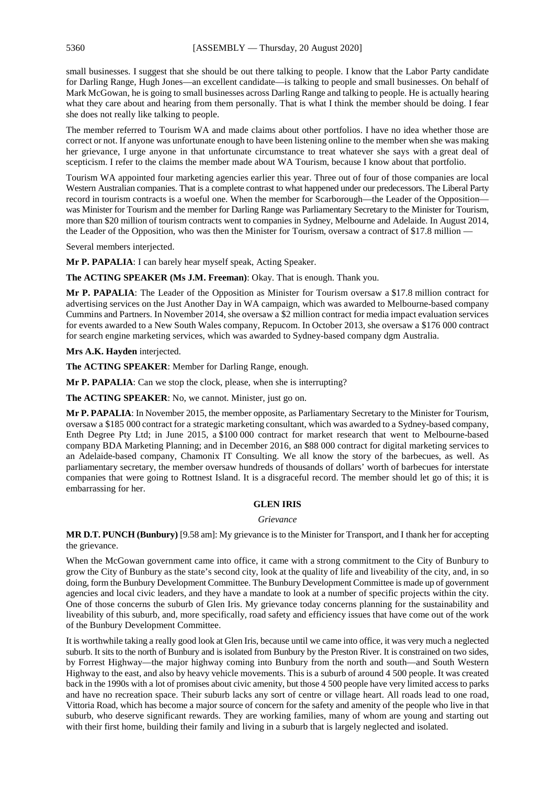small businesses. I suggest that she should be out there talking to people. I know that the Labor Party candidate for Darling Range, Hugh Jones—an excellent candidate—is talking to people and small businesses. On behalf of Mark McGowan, he is going to small businesses across Darling Range and talking to people. He is actually hearing what they care about and hearing from them personally. That is what I think the member should be doing. I fear she does not really like talking to people.

The member referred to Tourism WA and made claims about other portfolios. I have no idea whether those are correct or not. If anyone was unfortunate enough to have been listening online to the member when she was making her grievance, I urge anyone in that unfortunate circumstance to treat whatever she says with a great deal of scepticism. I refer to the claims the member made about WA Tourism, because I know about that portfolio.

Tourism WA appointed four marketing agencies earlier this year. Three out of four of those companies are local Western Australian companies. That is a complete contrast to what happened under our predecessors. The Liberal Party record in tourism contracts is a woeful one. When the member for Scarborough—the Leader of the Opposition was Minister for Tourism and the member for Darling Range was Parliamentary Secretary to the Minister for Tourism, more than \$20 million of tourism contracts went to companies in Sydney, Melbourne and Adelaide. In August 2014, the Leader of the Opposition, who was then the Minister for Tourism, oversaw a contract of \$17.8 million —

Several members interjected.

**Mr P. PAPALIA**: I can barely hear myself speak, Acting Speaker.

**The ACTING SPEAKER (Ms J.M. Freeman)**: Okay. That is enough. Thank you.

**Mr P. PAPALIA**: The Leader of the Opposition as Minister for Tourism oversaw a \$17.8 million contract for advertising services on the Just Another Day in WA campaign, which was awarded to Melbourne-based company Cummins and Partners. In November 2014, she oversaw a \$2 million contract for media impact evaluation services for events awarded to a New South Wales company, Repucom. In October 2013, she oversaw a \$176 000 contract for search engine marketing services, which was awarded to Sydney-based company dgm Australia.

**Mrs A.K. Hayden** interjected.

**The ACTING SPEAKER**: Member for Darling Range, enough.

**Mr P. PAPALIA**: Can we stop the clock, please, when she is interrupting?

**The ACTING SPEAKER**: No, we cannot. Minister, just go on.

**Mr P. PAPALIA**: In November 2015, the member opposite, as Parliamentary Secretary to the Minister for Tourism, oversaw a \$185 000 contract for a strategic marketing consultant, which was awarded to a Sydney-based company, Enth Degree Pty Ltd; in June 2015, a \$100 000 contract for market research that went to Melbourne-based company BDA Marketing Planning; and in December 2016, an \$88 000 contract for digital marketing services to an Adelaide-based company, Chamonix IT Consulting. We all know the story of the barbecues, as well. As parliamentary secretary, the member oversaw hundreds of thousands of dollars' worth of barbecues for interstate companies that were going to Rottnest Island. It is a disgraceful record. The member should let go of this; it is embarrassing for her.

# **GLEN IRIS**

#### *Grievance*

**MR D.T. PUNCH (Bunbury)** [9.58 am]: My grievance is to the Minister for Transport, and I thank her for accepting the grievance.

When the McGowan government came into office, it came with a strong commitment to the City of Bunbury to grow the City of Bunbury as the state's second city, look at the quality of life and liveability of the city, and, in so doing, form the Bunbury Development Committee. The Bunbury Development Committee is made up of government agencies and local civic leaders, and they have a mandate to look at a number of specific projects within the city. One of those concerns the suburb of Glen Iris. My grievance today concerns planning for the sustainability and liveability of this suburb, and, more specifically, road safety and efficiency issues that have come out of the work of the Bunbury Development Committee.

It is worthwhile taking a really good look at Glen Iris, because until we came into office, it was very much a neglected suburb. It sits to the north of Bunbury and is isolated from Bunbury by the Preston River. It is constrained on two sides, by Forrest Highway—the major highway coming into Bunbury from the north and south—and South Western Highway to the east, and also by heavy vehicle movements. This is a suburb of around 4 500 people. It was created back in the 1990s with a lot of promises about civic amenity, but those 4 500 people have very limited access to parks and have no recreation space. Their suburb lacks any sort of centre or village heart. All roads lead to one road, Vittoria Road, which has become a major source of concern for the safety and amenity of the people who live in that suburb, who deserve significant rewards. They are working families, many of whom are young and starting out with their first home, building their family and living in a suburb that is largely neglected and isolated.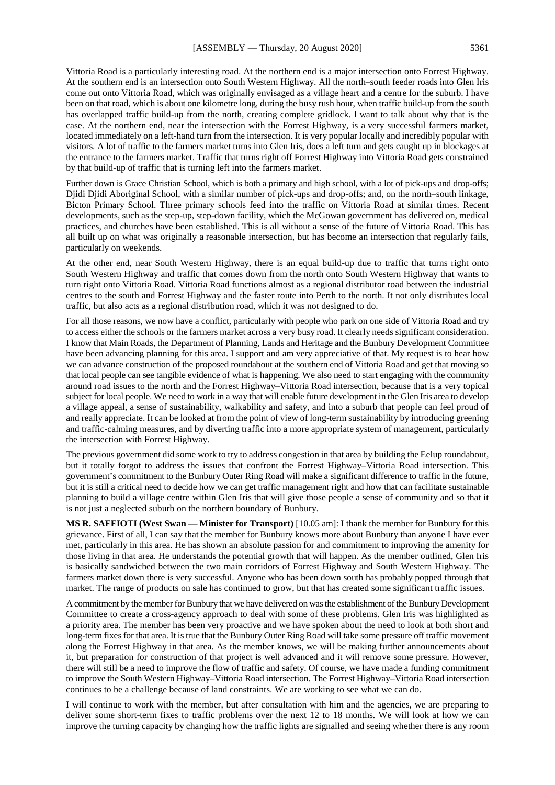Vittoria Road is a particularly interesting road. At the northern end is a major intersection onto Forrest Highway. At the southern end is an intersection onto South Western Highway. All the north–south feeder roads into Glen Iris come out onto Vittoria Road, which was originally envisaged as a village heart and a centre for the suburb. I have been on that road, which is about one kilometre long, during the busy rush hour, when traffic build-up from the south has overlapped traffic build-up from the north, creating complete gridlock. I want to talk about why that is the case. At the northern end, near the intersection with the Forrest Highway, is a very successful farmers market, located immediately on a left-hand turn from the intersection. It is very popular locally and incredibly popular with visitors. A lot of traffic to the farmers market turns into Glen Iris, does a left turn and gets caught up in blockages at the entrance to the farmers market. Traffic that turns right off Forrest Highway into Vittoria Road gets constrained by that build-up of traffic that is turning left into the farmers market.

Further down is Grace Christian School, which is both a primary and high school, with a lot of pick-ups and drop-offs; Djidi Djidi Aboriginal School, with a similar number of pick-ups and drop-offs; and, on the north–south linkage, Bicton Primary School. Three primary schools feed into the traffic on Vittoria Road at similar times. Recent developments, such as the step-up, step-down facility, which the McGowan government has delivered on, medical practices, and churches have been established. This is all without a sense of the future of Vittoria Road. This has all built up on what was originally a reasonable intersection, but has become an intersection that regularly fails, particularly on weekends.

At the other end, near South Western Highway, there is an equal build-up due to traffic that turns right onto South Western Highway and traffic that comes down from the north onto South Western Highway that wants to turn right onto Vittoria Road. Vittoria Road functions almost as a regional distributor road between the industrial centres to the south and Forrest Highway and the faster route into Perth to the north. It not only distributes local traffic, but also acts as a regional distribution road, which it was not designed to do.

For all those reasons, we now have a conflict, particularly with people who park on one side of Vittoria Road and try to access either the schools or the farmers market across a very busy road. It clearly needs significant consideration. I know that Main Roads, the Department of Planning, Lands and Heritage and the Bunbury Development Committee have been advancing planning for this area. I support and am very appreciative of that. My request is to hear how we can advance construction of the proposed roundabout at the southern end of Vittoria Road and get that moving so that local people can see tangible evidence of what is happening. We also need to start engaging with the community around road issues to the north and the Forrest Highway–Vittoria Road intersection, because that is a very topical subject for local people. We need to work in a way that will enable future development in the Glen Iris area to develop a village appeal, a sense of sustainability, walkability and safety, and into a suburb that people can feel proud of and really appreciate. It can be looked at from the point of view of long-term sustainability by introducing greening and traffic-calming measures, and by diverting traffic into a more appropriate system of management, particularly the intersection with Forrest Highway.

The previous government did some work to try to address congestion in that area by building the Eelup roundabout, but it totally forgot to address the issues that confront the Forrest Highway–Vittoria Road intersection. This government's commitment to the Bunbury Outer Ring Road will make a significant difference to traffic in the future, but it is still a critical need to decide how we can get traffic management right and how that can facilitate sustainable planning to build a village centre within Glen Iris that will give those people a sense of community and so that it is not just a neglected suburb on the northern boundary of Bunbury.

**MS R. SAFFIOTI (West Swan — Minister for Transport)** [10.05 am]: I thank the member for Bunbury for this grievance. First of all, I can say that the member for Bunbury knows more about Bunbury than anyone I have ever met, particularly in this area. He has shown an absolute passion for and commitment to improving the amenity for those living in that area. He understands the potential growth that will happen. As the member outlined, Glen Iris is basically sandwiched between the two main corridors of Forrest Highway and South Western Highway. The farmers market down there is very successful. Anyone who has been down south has probably popped through that market. The range of products on sale has continued to grow, but that has created some significant traffic issues.

A commitment by the member for Bunbury that we have delivered on was the establishment of the Bunbury Development Committee to create a cross-agency approach to deal with some of these problems. Glen Iris was highlighted as a priority area. The member has been very proactive and we have spoken about the need to look at both short and long-term fixes for that area. It is true that the Bunbury Outer Ring Road will take some pressure off traffic movement along the Forrest Highway in that area. As the member knows, we will be making further announcements about it, but preparation for construction of that project is well advanced and it will remove some pressure. However, there will still be a need to improve the flow of traffic and safety. Of course, we have made a funding commitment to improve the South Western Highway–Vittoria Road intersection. The Forrest Highway–Vittoria Road intersection continues to be a challenge because of land constraints. We are working to see what we can do.

I will continue to work with the member, but after consultation with him and the agencies, we are preparing to deliver some short-term fixes to traffic problems over the next 12 to 18 months. We will look at how we can improve the turning capacity by changing how the traffic lights are signalled and seeing whether there is any room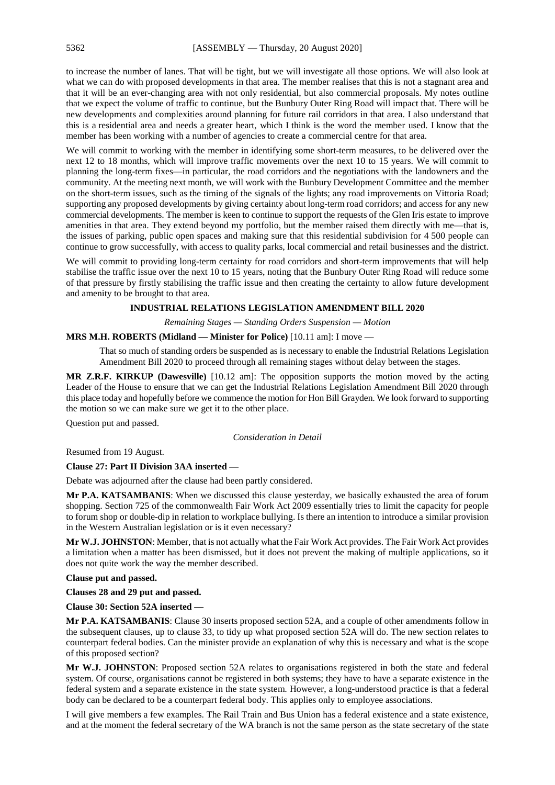to increase the number of lanes. That will be tight, but we will investigate all those options. We will also look at what we can do with proposed developments in that area. The member realises that this is not a stagnant area and that it will be an ever-changing area with not only residential, but also commercial proposals. My notes outline that we expect the volume of traffic to continue, but the Bunbury Outer Ring Road will impact that. There will be new developments and complexities around planning for future rail corridors in that area. I also understand that this is a residential area and needs a greater heart, which I think is the word the member used. I know that the member has been working with a number of agencies to create a commercial centre for that area.

We will commit to working with the member in identifying some short-term measures, to be delivered over the next 12 to 18 months, which will improve traffic movements over the next 10 to 15 years. We will commit to planning the long-term fixes—in particular, the road corridors and the negotiations with the landowners and the community. At the meeting next month, we will work with the Bunbury Development Committee and the member on the short-term issues, such as the timing of the signals of the lights; any road improvements on Vittoria Road; supporting any proposed developments by giving certainty about long-term road corridors; and access for any new commercial developments. The member is keen to continue to support the requests of the Glen Iris estate to improve amenities in that area. They extend beyond my portfolio, but the member raised them directly with me—that is, the issues of parking, public open spaces and making sure that this residential subdivision for 4 500 people can continue to grow successfully, with access to quality parks, local commercial and retail businesses and the district.

We will commit to providing long-term certainty for road corridors and short-term improvements that will help stabilise the traffic issue over the next 10 to 15 years, noting that the Bunbury Outer Ring Road will reduce some of that pressure by firstly stabilising the traffic issue and then creating the certainty to allow future development and amenity to be brought to that area.

#### **INDUSTRIAL RELATIONS LEGISLATION AMENDMENT BILL 2020**

*Remaining Stages — Standing Orders Suspension — Motion*

#### **MRS M.H. ROBERTS (Midland — Minister for Police)** [10.11 am]: I move —

That so much of standing orders be suspended as is necessary to enable the Industrial Relations Legislation Amendment Bill 2020 to proceed through all remaining stages without delay between the stages.

**MR Z.R.F. KIRKUP (Dawesville)** [10.12 am]: The opposition supports the motion moved by the acting Leader of the House to ensure that we can get the Industrial Relations Legislation Amendment Bill 2020 through this place today and hopefully before we commence the motion for Hon Bill Grayden. We look forward to supporting the motion so we can make sure we get it to the other place.

Question put and passed.

#### *Consideration in Detail*

Resumed from 19 August.

#### **Clause 27: Part II Division 3AA inserted —**

Debate was adjourned after the clause had been partly considered.

**Mr P.A. KATSAMBANIS**: When we discussed this clause yesterday, we basically exhausted the area of forum shopping. Section 725 of the commonwealth Fair Work Act 2009 essentially tries to limit the capacity for people to forum shop or double-dip in relation to workplace bullying. Is there an intention to introduce a similar provision in the Western Australian legislation or is it even necessary?

**Mr W.J. JOHNSTON**: Member, that is not actually what the Fair Work Act provides. The Fair Work Act provides a limitation when a matter has been dismissed, but it does not prevent the making of multiple applications, so it does not quite work the way the member described.

**Clause put and passed.**

**Clauses 28 and 29 put and passed.**

**Clause 30: Section 52A inserted —**

**Mr P.A. KATSAMBANIS**: Clause 30 inserts proposed section 52A, and a couple of other amendments follow in the subsequent clauses, up to clause 33, to tidy up what proposed section 52A will do. The new section relates to counterpart federal bodies. Can the minister provide an explanation of why this is necessary and what is the scope of this proposed section?

**Mr W.J. JOHNSTON**: Proposed section 52A relates to organisations registered in both the state and federal system. Of course, organisations cannot be registered in both systems; they have to have a separate existence in the federal system and a separate existence in the state system. However, a long-understood practice is that a federal body can be declared to be a counterpart federal body. This applies only to employee associations.

I will give members a few examples. The Rail Train and Bus Union has a federal existence and a state existence, and at the moment the federal secretary of the WA branch is not the same person as the state secretary of the state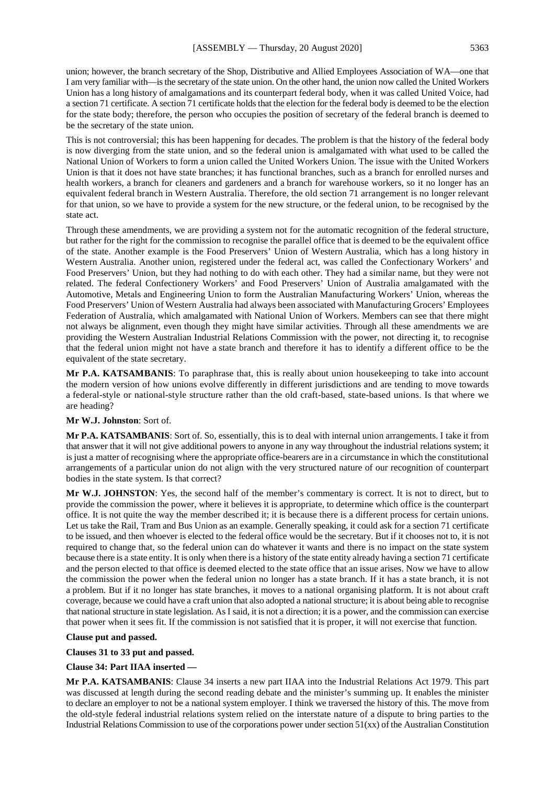union; however, the branch secretary of the Shop, Distributive and Allied Employees Association of WA—one that I am very familiar with—is the secretary of the state union. On the other hand, the union now called the United Workers Union has a long history of amalgamations and its counterpart federal body, when it was called United Voice, had a section 71 certificate. A section 71 certificate holds that the election for the federal body is deemed to be the election for the state body; therefore, the person who occupies the position of secretary of the federal branch is deemed to be the secretary of the state union.

This is not controversial; this has been happening for decades. The problem is that the history of the federal body is now diverging from the state union, and so the federal union is amalgamated with what used to be called the National Union of Workers to form a union called the United Workers Union. The issue with the United Workers Union is that it does not have state branches; it has functional branches, such as a branch for enrolled nurses and health workers, a branch for cleaners and gardeners and a branch for warehouse workers, so it no longer has an equivalent federal branch in Western Australia. Therefore, the old section 71 arrangement is no longer relevant for that union, so we have to provide a system for the new structure, or the federal union, to be recognised by the state act.

Through these amendments, we are providing a system not for the automatic recognition of the federal structure, but rather for the right for the commission to recognise the parallel office that is deemed to be the equivalent office of the state. Another example is the Food Preservers' Union of Western Australia, which has a long history in Western Australia. Another union, registered under the federal act, was called the Confectionary Workers' and Food Preservers' Union, but they had nothing to do with each other. They had a similar name, but they were not related. The federal Confectionery Workers' and Food Preservers' Union of Australia amalgamated with the Automotive, Metals and Engineering Union to form the Australian Manufacturing Workers' Union, whereas the Food Preservers' Union of Western Australia had always been associated with Manufacturing Grocers' Employees Federation of Australia, which amalgamated with National Union of Workers. Members can see that there might not always be alignment, even though they might have similar activities. Through all these amendments we are providing the Western Australian Industrial Relations Commission with the power, not directing it, to recognise that the federal union might not have a state branch and therefore it has to identify a different office to be the equivalent of the state secretary.

**Mr P.A. KATSAMBANIS**: To paraphrase that, this is really about union housekeeping to take into account the modern version of how unions evolve differently in different jurisdictions and are tending to move towards a federal-style or national-style structure rather than the old craft-based, state-based unions. Is that where we are heading?

#### **Mr W.J. Johnston**: Sort of.

**Mr P.A. KATSAMBANIS**: Sort of. So, essentially, this is to deal with internal union arrangements. I take it from that answer that it will not give additional powers to anyone in any way throughout the industrial relations system; it is just a matter of recognising where the appropriate office-bearers are in a circumstance in which the constitutional arrangements of a particular union do not align with the very structured nature of our recognition of counterpart bodies in the state system. Is that correct?

**Mr W.J. JOHNSTON**: Yes, the second half of the member's commentary is correct. It is not to direct, but to provide the commission the power, where it believes it is appropriate, to determine which office is the counterpart office. It is not quite the way the member described it; it is because there is a different process for certain unions. Let us take the Rail, Tram and Bus Union as an example. Generally speaking, it could ask for a section 71 certificate to be issued, and then whoever is elected to the federal office would be the secretary. But if it chooses not to, it is not required to change that, so the federal union can do whatever it wants and there is no impact on the state system because there is a state entity. It is only when there is a history of the state entity already having a section 71 certificate and the person elected to that office is deemed elected to the state office that an issue arises. Now we have to allow the commission the power when the federal union no longer has a state branch. If it has a state branch, it is not a problem. But if it no longer has state branches, it moves to a national organising platform. It is not about craft coverage, because we could have a craft union that also adopted a national structure; it is about being able to recognise that national structure in state legislation. AsI said, it is not a direction; it is a power, and the commission can exercise that power when it sees fit. If the commission is not satisfied that it is proper, it will not exercise that function.

#### **Clause put and passed.**

**Clauses 31 to 33 put and passed.**

#### **Clause 34: Part IIAA inserted —**

**Mr P.A. KATSAMBANIS**: Clause 34 inserts a new part IIAA into the Industrial Relations Act 1979. This part was discussed at length during the second reading debate and the minister's summing up. It enables the minister to declare an employer to not be a national system employer. I think we traversed the history of this. The move from the old-style federal industrial relations system relied on the interstate nature of a dispute to bring parties to the Industrial Relations Commission to use of the corporations power under section  $51(xx)$  of the Australian Constitution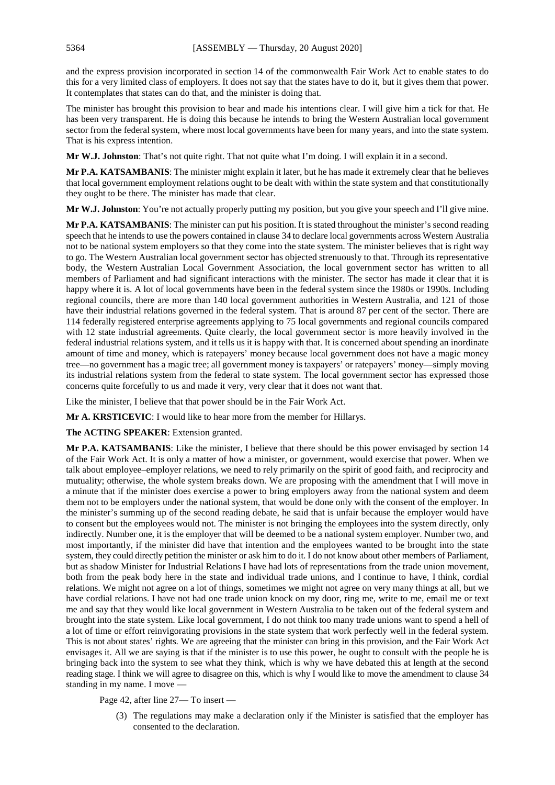and the express provision incorporated in section 14 of the commonwealth Fair Work Act to enable states to do this for a very limited class of employers. It does not say that the states have to do it, but it gives them that power. It contemplates that states can do that, and the minister is doing that.

The minister has brought this provision to bear and made his intentions clear. I will give him a tick for that. He has been very transparent. He is doing this because he intends to bring the Western Australian local government sector from the federal system, where most local governments have been for many years, and into the state system. That is his express intention.

**Mr W.J. Johnston**: That's not quite right. That not quite what I'm doing. I will explain it in a second.

**Mr P.A. KATSAMBANIS**: The minister might explain it later, but he has made it extremely clear that he believes that local government employment relations ought to be dealt with within the state system and that constitutionally they ought to be there. The minister has made that clear.

**Mr W.J. Johnston**: You're not actually properly putting my position, but you give your speech and I'll give mine.

**Mr P.A. KATSAMBANIS**: The minister can put his position. It is stated throughout the minister's second reading speech that he intends to use the powers contained in clause 34 to declare local governments across Western Australia not to be national system employers so that they come into the state system. The minister believes that is right way to go. The Western Australian local government sector has objected strenuously to that. Through its representative body, the Western Australian Local Government Association, the local government sector has written to all members of Parliament and had significant interactions with the minister. The sector has made it clear that it is happy where it is. A lot of local governments have been in the federal system since the 1980s or 1990s. Including regional councils, there are more than 140 local government authorities in Western Australia, and 121 of those have their industrial relations governed in the federal system. That is around 87 per cent of the sector. There are 114 federally registered enterprise agreements applying to 75 local governments and regional councils compared with 12 state industrial agreements. Quite clearly, the local government sector is more heavily involved in the federal industrial relations system, and it tells us it is happy with that. It is concerned about spending an inordinate amount of time and money, which is ratepayers' money because local government does not have a magic money tree—no government has a magic tree; all government money is taxpayers' or ratepayers' money—simply moving its industrial relations system from the federal to state system. The local government sector has expressed those concerns quite forcefully to us and made it very, very clear that it does not want that.

Like the minister, I believe that that power should be in the Fair Work Act.

**Mr A. KRSTICEVIC**: I would like to hear more from the member for Hillarys.

**The ACTING SPEAKER**: Extension granted.

**Mr P.A. KATSAMBANIS**: Like the minister, I believe that there should be this power envisaged by section 14 of the Fair Work Act. It is only a matter of how a minister, or government, would exercise that power. When we talk about employee–employer relations, we need to rely primarily on the spirit of good faith, and reciprocity and mutuality; otherwise, the whole system breaks down. We are proposing with the amendment that I will move in a minute that if the minister does exercise a power to bring employers away from the national system and deem them not to be employers under the national system, that would be done only with the consent of the employer. In the minister's summing up of the second reading debate, he said that is unfair because the employer would have to consent but the employees would not. The minister is not bringing the employees into the system directly, only indirectly. Number one, it is the employer that will be deemed to be a national system employer. Number two, and most importantly, if the minister did have that intention and the employees wanted to be brought into the state system, they could directly petition the minister or ask him to do it. I do not know about other members of Parliament, but as shadow Minister for Industrial Relations I have had lots of representations from the trade union movement, both from the peak body here in the state and individual trade unions, and I continue to have, I think, cordial relations. We might not agree on a lot of things, sometimes we might not agree on very many things at all, but we have cordial relations. I have not had one trade union knock on my door, ring me, write to me, email me or text me and say that they would like local government in Western Australia to be taken out of the federal system and brought into the state system. Like local government, I do not think too many trade unions want to spend a hell of a lot of time or effort reinvigorating provisions in the state system that work perfectly well in the federal system. This is not about states' rights. We are agreeing that the minister can bring in this provision, and the Fair Work Act envisages it. All we are saying is that if the minister is to use this power, he ought to consult with the people he is bringing back into the system to see what they think, which is why we have debated this at length at the second reading stage. I think we will agree to disagree on this, which is why I would like to move the amendment to clause 34 standing in my name. I move —

Page 42, after line 27— To insert —

(3) The regulations may make a declaration only if the Minister is satisfied that the employer has consented to the declaration.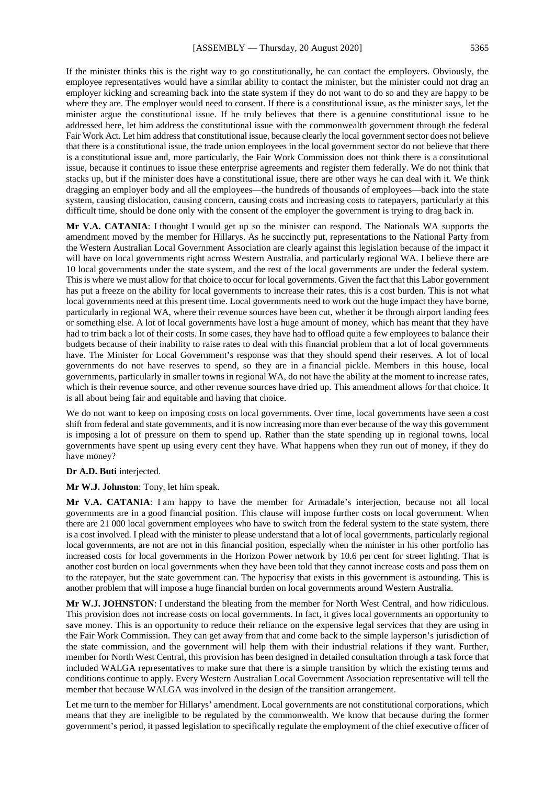If the minister thinks this is the right way to go constitutionally, he can contact the employers. Obviously, the employee representatives would have a similar ability to contact the minister, but the minister could not drag an employer kicking and screaming back into the state system if they do not want to do so and they are happy to be where they are. The employer would need to consent. If there is a constitutional issue, as the minister says, let the minister argue the constitutional issue. If he truly believes that there is a genuine constitutional issue to be addressed here, let him address the constitutional issue with the commonwealth government through the federal Fair Work Act. Let him address that constitutional issue, because clearly the local government sector does not believe that there is a constitutional issue, the trade union employees in the local government sector do not believe that there is a constitutional issue and, more particularly, the Fair Work Commission does not think there is a constitutional issue, because it continues to issue these enterprise agreements and register them federally. We do not think that stacks up, but if the minister does have a constitutional issue, there are other ways he can deal with it. We think dragging an employer body and all the employees—the hundreds of thousands of employees—back into the state system, causing dislocation, causing concern, causing costs and increasing costs to ratepayers, particularly at this difficult time, should be done only with the consent of the employer the government is trying to drag back in.

**Mr V.A. CATANIA**: I thought I would get up so the minister can respond. The Nationals WA supports the amendment moved by the member for Hillarys. As he succinctly put, representations to the National Party from the Western Australian Local Government Association are clearly against this legislation because of the impact it will have on local governments right across Western Australia, and particularly regional WA. I believe there are 10 local governments under the state system, and the rest of the local governments are under the federal system. This is where we must allow for that choice to occur for local governments. Given the fact that this Labor government has put a freeze on the ability for local governments to increase their rates, this is a cost burden. This is not what local governments need at this present time. Local governments need to work out the huge impact they have borne, particularly in regional WA, where their revenue sources have been cut, whether it be through airport landing fees or something else. A lot of local governments have lost a huge amount of money, which has meant that they have had to trim back a lot of their costs. In some cases, they have had to offload quite a few employees to balance their budgets because of their inability to raise rates to deal with this financial problem that a lot of local governments have. The Minister for Local Government's response was that they should spend their reserves. A lot of local governments do not have reserves to spend, so they are in a financial pickle. Members in this house, local governments, particularly in smaller towns in regional WA, do not have the ability at the moment to increase rates, which is their revenue source, and other revenue sources have dried up. This amendment allows for that choice. It is all about being fair and equitable and having that choice.

We do not want to keep on imposing costs on local governments. Over time, local governments have seen a cost shift from federal and state governments, and it is now increasing more than ever because of the way this government is imposing a lot of pressure on them to spend up. Rather than the state spending up in regional towns, local governments have spent up using every cent they have. What happens when they run out of money, if they do have money?

#### **Dr A.D. Buti** interjected.

**Mr W.J. Johnston**: Tony, let him speak.

**Mr V.A. CATANIA**: I am happy to have the member for Armadale's interjection, because not all local governments are in a good financial position. This clause will impose further costs on local government. When there are 21 000 local government employees who have to switch from the federal system to the state system, there is a cost involved. I plead with the minister to please understand that a lot of local governments, particularly regional local governments, are not are not in this financial position, especially when the minister in his other portfolio has increased costs for local governments in the Horizon Power network by 10.6 per cent for street lighting. That is another cost burden on local governments when they have been told that they cannot increase costs and pass them on to the ratepayer, but the state government can. The hypocrisy that exists in this government is astounding. This is another problem that will impose a huge financial burden on local governments around Western Australia.

**Mr W.J. JOHNSTON**: I understand the bleating from the member for North West Central, and how ridiculous. This provision does not increase costs on local governments. In fact, it gives local governments an opportunity to save money. This is an opportunity to reduce their reliance on the expensive legal services that they are using in the Fair Work Commission. They can get away from that and come back to the simple layperson's jurisdiction of the state commission, and the government will help them with their industrial relations if they want. Further, member for North West Central, this provision has been designed in detailed consultation through a task force that included WALGA representatives to make sure that there is a simple transition by which the existing terms and conditions continue to apply. Every Western Australian Local Government Association representative will tell the member that because WALGA was involved in the design of the transition arrangement.

Let me turn to the member for Hillarys' amendment. Local governments are not constitutional corporations, which means that they are ineligible to be regulated by the commonwealth. We know that because during the former government's period, it passed legislation to specifically regulate the employment of the chief executive officer of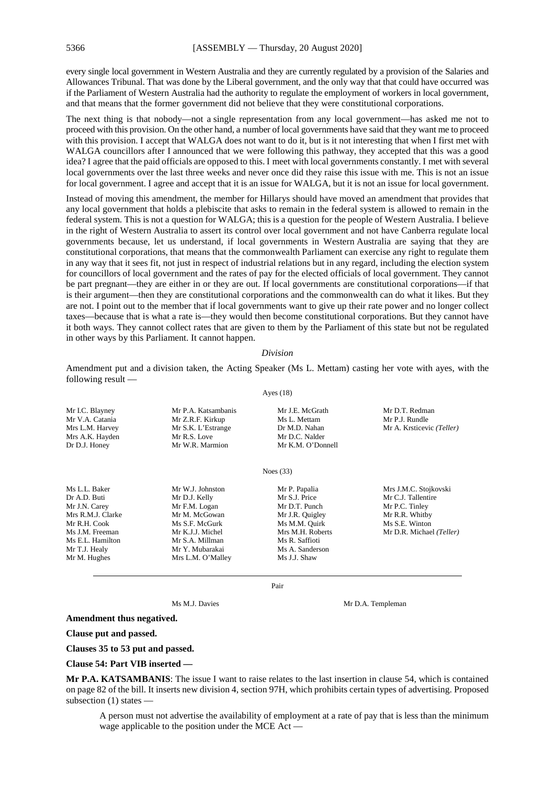every single local government in Western Australia and they are currently regulated by a provision of the Salaries and Allowances Tribunal. That was done by the Liberal government, and the only way that that could have occurred was if the Parliament of Western Australia had the authority to regulate the employment of workers in local government, and that means that the former government did not believe that they were constitutional corporations.

The next thing is that nobody—not a single representation from any local government—has asked me not to proceed with this provision. On the other hand, a number of local governments have said that they want me to proceed with this provision. I accept that WALGA does not want to do it, but is it not interesting that when I first met with WALGA councillors after I announced that we were following this pathway, they accepted that this was a good idea? I agree that the paid officials are opposed to this. I meet with local governments constantly. I met with several local governments over the last three weeks and never once did they raise this issue with me. This is not an issue for local government. I agree and accept that it is an issue for WALGA, but it is not an issue for local government.

Instead of moving this amendment, the member for Hillarys should have moved an amendment that provides that any local government that holds a plebiscite that asks to remain in the federal system is allowed to remain in the federal system. This is not a question for WALGA; this is a question for the people of Western Australia. I believe in the right of Western Australia to assert its control over local government and not have Canberra regulate local governments because, let us understand, if local governments in Western Australia are saying that they are constitutional corporations, that means that the commonwealth Parliament can exercise any right to regulate them in any way that it sees fit, not just in respect of industrial relations but in any regard, including the election system for councillors of local government and the rates of pay for the elected officials of local government. They cannot be part pregnant—they are either in or they are out. If local governments are constitutional corporations—if that is their argument—then they are constitutional corporations and the commonwealth can do what it likes. But they are not. I point out to the member that if local governments want to give up their rate power and no longer collect taxes—because that is what a rate is—they would then become constitutional corporations. But they cannot have it both ways. They cannot collect rates that are given to them by the Parliament of this state but not be regulated in other ways by this Parliament. It cannot happen.

#### *Division*

Amendment put and a division taken, the Acting Speaker (Ms L. Mettam) casting her vote with ayes, with the following result —

Ayes (18)

Mr I.C. Blayney Mr P.A. Katsambanis Mr J.E. McGrath Mr D.T. Redman Mr V.A. Catania Mr Z.R.F. Kirkup Ms L. Mettam Mr P.J. Rundle<br>Mrs L.M. Harvey Mr S.K. L'Estrange Dr M.D. Nahan Mr A. Krsticev Mr S.K. L'Estrange Dr M.D. Nahan Mr A. Krsticevic *(Teller)*<br>Mr R.S. Love Mr D.C. Nalder Mrs A.K. Hayden Mr R.S. Love Mr D.C. Nalder<br>Dr D.J. Honev Mr W.R. Marmion Mr K.M. O'Donnell Mr W.R. Marmion

Noes (33)

Ms L.L. Baker Mr W.J. Johnston Mr P. Papalia Mrs J.M.C. Stojkovski<br>
Dr A D. Buti Mr D J Mr D J Kelly Mr S J. Price Mr C J. Tallentire Mr C.J. Tallentire<br>Mr P.C. Tinley Mr J.N. Carey Mr F.M. Logan Mr D.T. Punch Mr P.C. Tinley<br>Mr S.M.J. Clarke Mr M. McGowan Mr J.R. Quigley Mr R.R. Whitby Mrs R.M.J. Clarke Mr M. McGowan Mr J.R. Quigley Mr R.R. Whitby<br>Mr R.H. Cook Ms S.F. McGurk Ms M.M. Ouirk Ms S.E. Winton Ms M.M. Quirk<br>Mrs M.H. Roberts Ms J.M. Freeman Mr K.J.J. Michel Mrs M.H. Roberts Mr D.R. Michael *(Teller)* Ms E.L. Hamilton Mr S.A. Millman Ms R. Saffioti<br>Mr T.J. Healy Mr Y. Mubarakai Ms A. Sanders Mr Y. Mubarakai Mr S. A. Sanderson<br>Mrs L.M. O'Mallev Ms J.J. Shaw Mr M. Hughes Mrs L.M. O'Malley

Pair

Ms M.J. Davies Mr D.A. Templeman

**Amendment thus negatived.**

**Clause put and passed.**

**Clauses 35 to 53 put and passed.**

**Clause 54: Part VIB inserted —**

**Mr P.A. KATSAMBANIS**: The issue I want to raise relates to the last insertion in clause 54, which is contained on page 82 of the bill. It inserts new division 4, section 97H, which prohibits certain types of advertising. Proposed subsection (1) states —

A person must not advertise the availability of employment at a rate of pay that is less than the minimum wage applicable to the position under the MCE Act —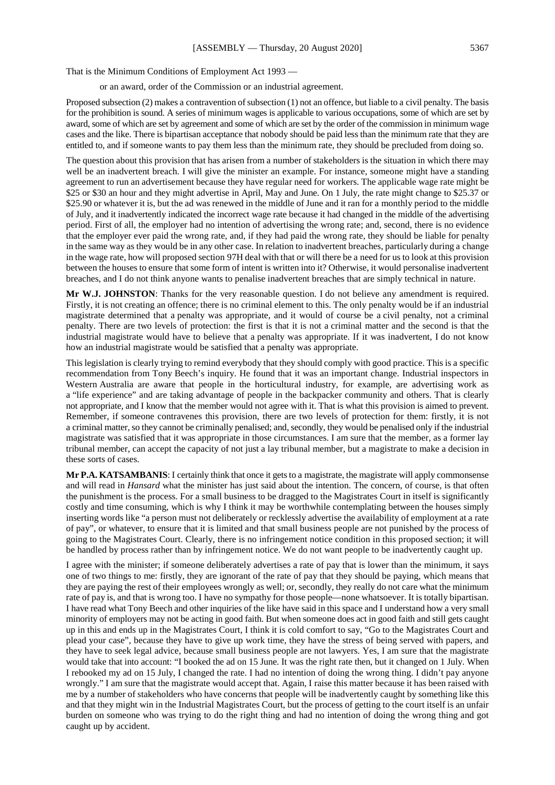That is the Minimum Conditions of Employment Act 1993 —

or an award, order of the Commission or an industrial agreement.

Proposed subsection (2) makes a contravention of subsection (1) not an offence, but liable to a civil penalty. The basis for the prohibition is sound. A series of minimum wages is applicable to various occupations, some of which are set by award, some of which are set by agreement and some of which are set by the order of the commission in minimum wage cases and the like. There is bipartisan acceptance that nobody should be paid less than the minimum rate that they are entitled to, and if someone wants to pay them less than the minimum rate, they should be precluded from doing so.

The question about this provision that has arisen from a number of stakeholders is the situation in which there may well be an inadvertent breach. I will give the minister an example. For instance, someone might have a standing agreement to run an advertisement because they have regular need for workers. The applicable wage rate might be \$25 or \$30 an hour and they might advertise in April, May and June. On 1 July, the rate might change to \$25.37 or \$25.90 or whatever it is, but the ad was renewed in the middle of June and it ran for a monthly period to the middle of July, and it inadvertently indicated the incorrect wage rate because it had changed in the middle of the advertising period. First of all, the employer had no intention of advertising the wrong rate; and, second, there is no evidence that the employer ever paid the wrong rate, and, if they had paid the wrong rate, they should be liable for penalty in the same way as they would be in any other case. In relation to inadvertent breaches, particularly during a change in the wage rate, how will proposed section 97H deal with that or will there be a need for us to look at this provision between the houses to ensure that some form of intent is written into it? Otherwise, it would personalise inadvertent breaches, and I do not think anyone wants to penalise inadvertent breaches that are simply technical in nature.

**Mr W.J. JOHNSTON**: Thanks for the very reasonable question. I do not believe any amendment is required. Firstly, it is not creating an offence; there is no criminal element to this. The only penalty would be if an industrial magistrate determined that a penalty was appropriate, and it would of course be a civil penalty, not a criminal penalty. There are two levels of protection: the first is that it is not a criminal matter and the second is that the industrial magistrate would have to believe that a penalty was appropriate. If it was inadvertent, I do not know how an industrial magistrate would be satisfied that a penalty was appropriate.

This legislation is clearly trying to remind everybody that they should comply with good practice. This is a specific recommendation from Tony Beech's inquiry. He found that it was an important change. Industrial inspectors in Western Australia are aware that people in the horticultural industry, for example, are advertising work as a "life experience" and are taking advantage of people in the backpacker community and others. That is clearly not appropriate, and I know that the member would not agree with it. That is what this provision is aimed to prevent. Remember, if someone contravenes this provision, there are two levels of protection for them: firstly, it is not a criminal matter, so they cannot be criminally penalised; and, secondly, they would be penalised only if the industrial magistrate was satisfied that it was appropriate in those circumstances. I am sure that the member, as a former lay tribunal member, can accept the capacity of not just a lay tribunal member, but a magistrate to make a decision in these sorts of cases.

**Mr P.A. KATSAMBANIS**: I certainly think that once it gets to a magistrate, the magistrate will apply commonsense and will read in *Hansard* what the minister has just said about the intention. The concern, of course, is that often the punishment is the process. For a small business to be dragged to the Magistrates Court in itself is significantly costly and time consuming, which is why I think it may be worthwhile contemplating between the houses simply inserting words like "a person must not deliberately or recklessly advertise the availability of employment at a rate of pay", or whatever, to ensure that it is limited and that small business people are not punished by the process of going to the Magistrates Court. Clearly, there is no infringement notice condition in this proposed section; it will be handled by process rather than by infringement notice. We do not want people to be inadvertently caught up.

I agree with the minister; if someone deliberately advertises a rate of pay that is lower than the minimum, it says one of two things to me: firstly, they are ignorant of the rate of pay that they should be paying, which means that they are paying the rest of their employees wrongly as well; or, secondly, they really do not care what the minimum rate of pay is, and that is wrong too. I have no sympathy for those people—none whatsoever. It is totally bipartisan. I have read what Tony Beech and other inquiries of the like have said in this space and I understand how a very small minority of employers may not be acting in good faith. But when someone does act in good faith and still gets caught up in this and ends up in the Magistrates Court, I think it is cold comfort to say, "Go to the Magistrates Court and plead your case", because they have to give up work time, they have the stress of being served with papers, and they have to seek legal advice, because small business people are not lawyers. Yes, I am sure that the magistrate would take that into account: "I booked the ad on 15 June. It was the right rate then, but it changed on 1 July. When I rebooked my ad on 15 July, I changed the rate. I had no intention of doing the wrong thing. I didn't pay anyone wrongly." I am sure that the magistrate would accept that. Again, I raise this matter because it has been raised with me by a number of stakeholders who have concerns that people will be inadvertently caught by something like this and that they might win in the Industrial Magistrates Court, but the process of getting to the court itself is an unfair burden on someone who was trying to do the right thing and had no intention of doing the wrong thing and got caught up by accident.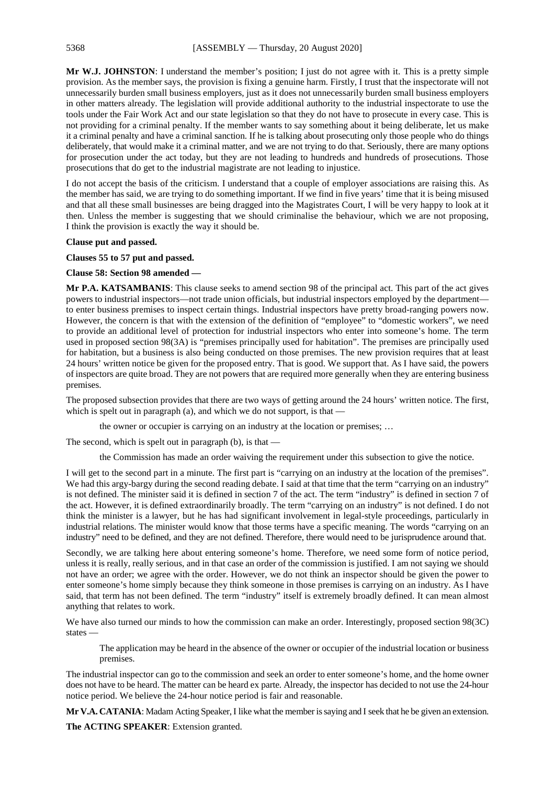**Mr W.J. JOHNSTON**: I understand the member's position; I just do not agree with it. This is a pretty simple provision. As the member says, the provision is fixing a genuine harm. Firstly, I trust that the inspectorate will not unnecessarily burden small business employers, just as it does not unnecessarily burden small business employers in other matters already. The legislation will provide additional authority to the industrial inspectorate to use the tools under the Fair Work Act and our state legislation so that they do not have to prosecute in every case. This is not providing for a criminal penalty. If the member wants to say something about it being deliberate, let us make it a criminal penalty and have a criminal sanction. If he is talking about prosecuting only those people who do things deliberately, that would make it a criminal matter, and we are not trying to do that. Seriously, there are many options for prosecution under the act today, but they are not leading to hundreds and hundreds of prosecutions. Those prosecutions that do get to the industrial magistrate are not leading to injustice.

I do not accept the basis of the criticism. I understand that a couple of employer associations are raising this. As the member has said, we are trying to do something important. If we find in five years' time that it is being misused and that all these small businesses are being dragged into the Magistrates Court, I will be very happy to look at it then. Unless the member is suggesting that we should criminalise the behaviour, which we are not proposing, I think the provision is exactly the way it should be.

#### **Clause put and passed.**

**Clauses 55 to 57 put and passed.**

# **Clause 58: Section 98 amended —**

**Mr P.A. KATSAMBANIS**: This clause seeks to amend section 98 of the principal act. This part of the act gives powers to industrial inspectors—not trade union officials, but industrial inspectors employed by the department to enter business premises to inspect certain things. Industrial inspectors have pretty broad-ranging powers now. However, the concern is that with the extension of the definition of "employee" to "domestic workers", we need to provide an additional level of protection for industrial inspectors who enter into someone's home. The term used in proposed section 98(3A) is "premises principally used for habitation". The premises are principally used for habitation, but a business is also being conducted on those premises. The new provision requires that at least 24 hours' written notice be given for the proposed entry. That is good. We support that. As I have said, the powers of inspectors are quite broad. They are not powers that are required more generally when they are entering business premises.

The proposed subsection provides that there are two ways of getting around the 24 hours' written notice. The first, which is spelt out in paragraph (a), and which we do not support, is that —

the owner or occupier is carrying on an industry at the location or premises; …

The second, which is spelt out in paragraph (b), is that —

the Commission has made an order waiving the requirement under this subsection to give the notice.

I will get to the second part in a minute. The first part is "carrying on an industry at the location of the premises". We had this argy-bargy during the second reading debate. I said at that time that the term "carrying on an industry" is not defined. The minister said it is defined in section 7 of the act. The term "industry" is defined in section 7 of the act. However, it is defined extraordinarily broadly. The term "carrying on an industry" is not defined. I do not think the minister is a lawyer, but he has had significant involvement in legal-style proceedings, particularly in industrial relations. The minister would know that those terms have a specific meaning. The words "carrying on an industry" need to be defined, and they are not defined. Therefore, there would need to be jurisprudence around that.

Secondly, we are talking here about entering someone's home. Therefore, we need some form of notice period, unless it is really, really serious, and in that case an order of the commission is justified. I am not saying we should not have an order; we agree with the order. However, we do not think an inspector should be given the power to enter someone's home simply because they think someone in those premises is carrying on an industry. As I have said, that term has not been defined. The term "industry" itself is extremely broadly defined. It can mean almost anything that relates to work.

We have also turned our minds to how the commission can make an order. Interestingly, proposed section 98(3C) states —

The application may be heard in the absence of the owner or occupier of the industrial location or business premises.

The industrial inspector can go to the commission and seek an order to enter someone's home, and the home owner does not have to be heard. The matter can be heard ex parte. Already, the inspector has decided to not use the 24-hour notice period. We believe the 24-hour notice period is fair and reasonable.

**Mr V.A. CATANIA:** Madam Acting Speaker, I like what the member is saying and I seek that he be given an extension.

**The ACTING SPEAKER**: Extension granted.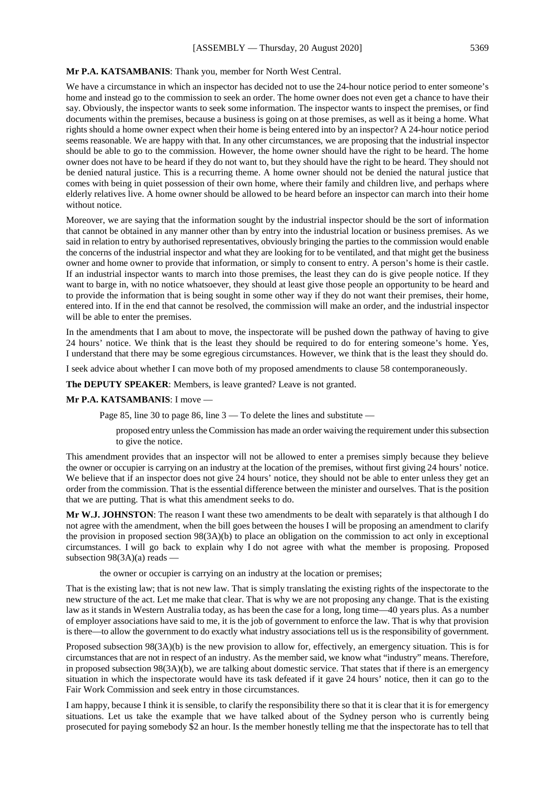# **Mr P.A. KATSAMBANIS**: Thank you, member for North West Central.

We have a circumstance in which an inspector has decided not to use the 24-hour notice period to enter someone's home and instead go to the commission to seek an order. The home owner does not even get a chance to have their say. Obviously, the inspector wants to seek some information. The inspector wants to inspect the premises, or find documents within the premises, because a business is going on at those premises, as well as it being a home. What rights should a home owner expect when their home is being entered into by an inspector? A 24-hour notice period seems reasonable. We are happy with that. In any other circumstances, we are proposing that the industrial inspector should be able to go to the commission. However, the home owner should have the right to be heard. The home owner does not have to be heard if they do not want to, but they should have the right to be heard. They should not be denied natural justice. This is a recurring theme. A home owner should not be denied the natural justice that comes with being in quiet possession of their own home, where their family and children live, and perhaps where elderly relatives live. A home owner should be allowed to be heard before an inspector can march into their home without notice.

Moreover, we are saying that the information sought by the industrial inspector should be the sort of information that cannot be obtained in any manner other than by entry into the industrial location or business premises. As we said in relation to entry by authorised representatives, obviously bringing the parties to the commission would enable the concerns of the industrial inspector and what they are looking for to be ventilated, and that might get the business owner and home owner to provide that information, or simply to consent to entry. A person's home is their castle. If an industrial inspector wants to march into those premises, the least they can do is give people notice. If they want to barge in, with no notice whatsoever, they should at least give those people an opportunity to be heard and to provide the information that is being sought in some other way if they do not want their premises, their home, entered into. If in the end that cannot be resolved, the commission will make an order, and the industrial inspector will be able to enter the premises.

In the amendments that I am about to move, the inspectorate will be pushed down the pathway of having to give 24 hours' notice. We think that is the least they should be required to do for entering someone's home. Yes, I understand that there may be some egregious circumstances. However, we think that is the least they should do.

I seek advice about whether I can move both of my proposed amendments to clause 58 contemporaneously.

**The DEPUTY SPEAKER**: Members, is leave granted? Leave is not granted.

#### **Mr P.A. KATSAMBANIS**: I move —

Page 85, line 30 to page 86, line  $3 -$ To delete the lines and substitute —

proposed entry unless the Commission has made an order waiving the requirement under this subsection to give the notice.

This amendment provides that an inspector will not be allowed to enter a premises simply because they believe the owner or occupier is carrying on an industry at the location of the premises, without first giving 24 hours' notice. We believe that if an inspector does not give 24 hours' notice, they should not be able to enter unless they get an order from the commission. That is the essential difference between the minister and ourselves. That is the position that we are putting. That is what this amendment seeks to do.

**Mr W.J. JOHNSTON**: The reason I want these two amendments to be dealt with separately is that although I do not agree with the amendment, when the bill goes between the houses I will be proposing an amendment to clarify the provision in proposed section 98(3A)(b) to place an obligation on the commission to act only in exceptional circumstances. I will go back to explain why I do not agree with what the member is proposing. Proposed subsection 98(3A)(a) reads —

the owner or occupier is carrying on an industry at the location or premises;

That is the existing law; that is not new law. That is simply translating the existing rights of the inspectorate to the new structure of the act. Let me make that clear. That is why we are not proposing any change. That is the existing law as it stands in Western Australia today, as has been the case for a long, long time—40 years plus. As a number of employer associations have said to me, it is the job of government to enforce the law. That is why that provision is there—to allow the government to do exactly what industry associations tell us is the responsibility of government.

Proposed subsection 98(3A)(b) is the new provision to allow for, effectively, an emergency situation. This is for circumstances that are not in respect of an industry. As the member said, we know what "industry" means. Therefore, in proposed subsection 98(3A)(b), we are talking about domestic service. That states that if there is an emergency situation in which the inspectorate would have its task defeated if it gave 24 hours' notice, then it can go to the Fair Work Commission and seek entry in those circumstances.

I am happy, because I think it is sensible, to clarify the responsibility there so that it is clear that it is for emergency situations. Let us take the example that we have talked about of the Sydney person who is currently being prosecuted for paying somebody \$2 an hour. Is the member honestly telling me that the inspectorate has to tell that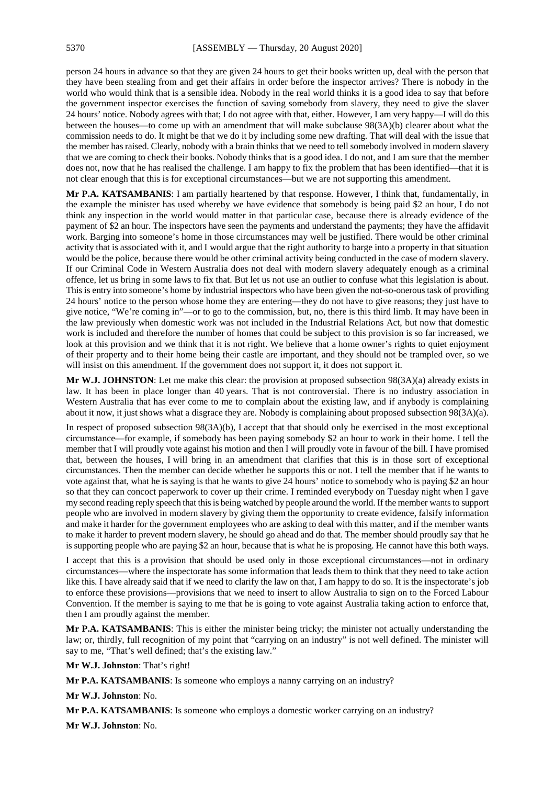person 24 hours in advance so that they are given 24 hours to get their books written up, deal with the person that they have been stealing from and get their affairs in order before the inspector arrives? There is nobody in the world who would think that is a sensible idea. Nobody in the real world thinks it is a good idea to say that before the government inspector exercises the function of saving somebody from slavery, they need to give the slaver 24 hours' notice. Nobody agrees with that; I do not agree with that, either. However, I am very happy—I will do this between the houses—to come up with an amendment that will make subclause 98(3A)(b) clearer about what the commission needs to do. It might be that we do it by including some new drafting. That will deal with the issue that the member has raised. Clearly, nobody with a brain thinks that we need to tell somebody involved in modern slavery that we are coming to check their books. Nobody thinks that is a good idea. I do not, and I am sure that the member does not, now that he has realised the challenge. I am happy to fix the problem that has been identified—that it is not clear enough that this is for exceptional circumstances—but we are not supporting this amendment.

**Mr P.A. KATSAMBANIS**: I am partially heartened by that response. However, I think that, fundamentally, in the example the minister has used whereby we have evidence that somebody is being paid \$2 an hour, I do not think any inspection in the world would matter in that particular case, because there is already evidence of the payment of \$2 an hour. The inspectors have seen the payments and understand the payments; they have the affidavit work. Barging into someone's home in those circumstances may well be justified. There would be other criminal activity that is associated with it, and I would argue that the right authority to barge into a property in that situation would be the police, because there would be other criminal activity being conducted in the case of modern slavery. If our Criminal Code in Western Australia does not deal with modern slavery adequately enough as a criminal offence, let us bring in some laws to fix that. But let us not use an outlier to confuse what this legislation is about. This is entry into someone's home by industrial inspectors who have been given the not-so-onerous task of providing 24 hours' notice to the person whose home they are entering—they do not have to give reasons; they just have to give notice, "We're coming in"—or to go to the commission, but, no, there is this third limb. It may have been in the law previously when domestic work was not included in the Industrial Relations Act, but now that domestic work is included and therefore the number of homes that could be subject to this provision is so far increased, we look at this provision and we think that it is not right. We believe that a home owner's rights to quiet enjoyment of their property and to their home being their castle are important, and they should not be trampled over, so we will insist on this amendment. If the government does not support it, it does not support it.

**Mr W.J. JOHNSTON**: Let me make this clear: the provision at proposed subsection 98(3A)(a) already exists in law. It has been in place longer than 40 years. That is not controversial. There is no industry association in Western Australia that has ever come to me to complain about the existing law, and if anybody is complaining about it now, it just shows what a disgrace they are. Nobody is complaining about proposed subsection 98(3A)(a).

In respect of proposed subsection 98(3A)(b), I accept that that should only be exercised in the most exceptional circumstance—for example, if somebody has been paying somebody \$2 an hour to work in their home. I tell the member that I will proudly vote against his motion and then I will proudly vote in favour of the bill. I have promised that, between the houses, I will bring in an amendment that clarifies that this is in those sort of exceptional circumstances. Then the member can decide whether he supports this or not. I tell the member that if he wants to vote against that, what he is saying is that he wants to give 24 hours' notice to somebody who is paying \$2 an hour so that they can concoct paperwork to cover up their crime. I reminded everybody on Tuesday night when I gave my second reading reply speech that this is being watched by people around the world. If the member wants to support people who are involved in modern slavery by giving them the opportunity to create evidence, falsify information and make it harder for the government employees who are asking to deal with this matter, and if the member wants to make it harder to prevent modern slavery, he should go ahead and do that. The member should proudly say that he is supporting people who are paying \$2 an hour, because that is what he is proposing. He cannot have this both ways.

I accept that this is a provision that should be used only in those exceptional circumstances—not in ordinary circumstances—where the inspectorate has some information that leads them to think that they need to take action like this. I have already said that if we need to clarify the law on that, I am happy to do so. It is the inspectorate's job to enforce these provisions—provisions that we need to insert to allow Australia to sign on to the Forced Labour Convention. If the member is saying to me that he is going to vote against Australia taking action to enforce that, then I am proudly against the member.

**Mr P.A. KATSAMBANIS**: This is either the minister being tricky; the minister not actually understanding the law; or, thirdly, full recognition of my point that "carrying on an industry" is not well defined. The minister will say to me, "That's well defined; that's the existing law."

**Mr W.J. Johnston**: That's right!

**Mr P.A. KATSAMBANIS**: Is someone who employs a nanny carrying on an industry?

**Mr W.J. Johnston**: No.

**Mr P.A. KATSAMBANIS**: Is someone who employs a domestic worker carrying on an industry?

**Mr W.J. Johnston**: No.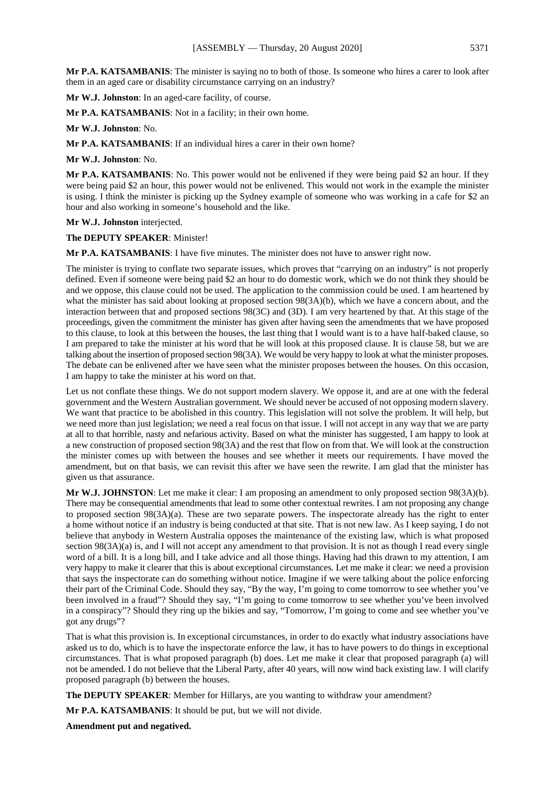**Mr P.A. KATSAMBANIS**: The minister is saying no to both of those. Is someone who hires a carer to look after them in an aged care or disability circumstance carrying on an industry?

**Mr W.J. Johnston**: In an aged-care facility, of course.

**Mr P.A. KATSAMBANIS**: Not in a facility; in their own home.

**Mr W.J. Johnston**: No.

**Mr P.A. KATSAMBANIS**: If an individual hires a carer in their own home?

**Mr W.J. Johnston**: No.

**Mr P.A. KATSAMBANIS**: No. This power would not be enlivened if they were being paid \$2 an hour. If they were being paid \$2 an hour, this power would not be enlivened. This would not work in the example the minister is using. I think the minister is picking up the Sydney example of someone who was working in a cafe for \$2 an hour and also working in someone's household and the like.

**Mr W.J. Johnston** interjected.

**The DEPUTY SPEAKER**: Minister!

**Mr P.A. KATSAMBANIS**: I have five minutes. The minister does not have to answer right now.

The minister is trying to conflate two separate issues, which proves that "carrying on an industry" is not properly defined. Even if someone were being paid \$2 an hour to do domestic work, which we do not think they should be and we oppose, this clause could not be used. The application to the commission could be used. I am heartened by what the minister has said about looking at proposed section 98(3A)(b), which we have a concern about, and the interaction between that and proposed sections 98(3C) and (3D). I am very heartened by that. At this stage of the proceedings, given the commitment the minister has given after having seen the amendments that we have proposed to this clause, to look at this between the houses, the last thing that I would want is to a have half-baked clause, so I am prepared to take the minister at his word that he will look at this proposed clause. It is clause 58, but we are talking about the insertion of proposed section 98(3A). We would be very happy to look at what the minister proposes. The debate can be enlivened after we have seen what the minister proposes between the houses. On this occasion, I am happy to take the minister at his word on that.

Let us not conflate these things. We do not support modern slavery. We oppose it, and are at one with the federal government and the Western Australian government. We should never be accused of not opposing modern slavery. We want that practice to be abolished in this country. This legislation will not solve the problem. It will help, but we need more than just legislation; we need a real focus on that issue. I will not accept in any way that we are party at all to that horrible, nasty and nefarious activity. Based on what the minister has suggested, I am happy to look at a new construction of proposed section 98(3A) and the rest that flow on from that. We will look at the construction the minister comes up with between the houses and see whether it meets our requirements. I have moved the amendment, but on that basis, we can revisit this after we have seen the rewrite. I am glad that the minister has given us that assurance.

**Mr W.J. JOHNSTON**: Let me make it clear: I am proposing an amendment to only proposed section 98(3A)(b). There may be consequential amendments that lead to some other contextual rewrites. I am not proposing any change to proposed section 98(3A)(a). These are two separate powers. The inspectorate already has the right to enter a home without notice if an industry is being conducted at that site. That is not new law. As I keep saying, I do not believe that anybody in Western Australia opposes the maintenance of the existing law, which is what proposed section  $98(3A)(a)$  is, and I will not accept any amendment to that provision. It is not as though I read every single word of a bill. It is a long bill, and I take advice and all those things. Having had this drawn to my attention, I am very happy to make it clearer that this is about exceptional circumstances. Let me make it clear: we need a provision that says the inspectorate can do something without notice. Imagine if we were talking about the police enforcing their part of the Criminal Code. Should they say, "By the way, I'm going to come tomorrow to see whether you've been involved in a fraud"? Should they say, "I'm going to come tomorrow to see whether you've been involved in a conspiracy"? Should they ring up the bikies and say, "Tomorrow, I'm going to come and see whether you've got any drugs"?

That is what this provision is. In exceptional circumstances, in order to do exactly what industry associations have asked us to do, which is to have the inspectorate enforce the law, it has to have powers to do things in exceptional circumstances. That is what proposed paragraph (b) does. Let me make it clear that proposed paragraph (a) will not be amended. I do not believe that the Liberal Party, after 40 years, will now wind back existing law. I will clarify proposed paragraph (b) between the houses.

**The DEPUTY SPEAKER:** Member for Hillarys, are you wanting to withdraw your amendment?

**Mr P.A. KATSAMBANIS**: It should be put, but we will not divide.

**Amendment put and negatived.**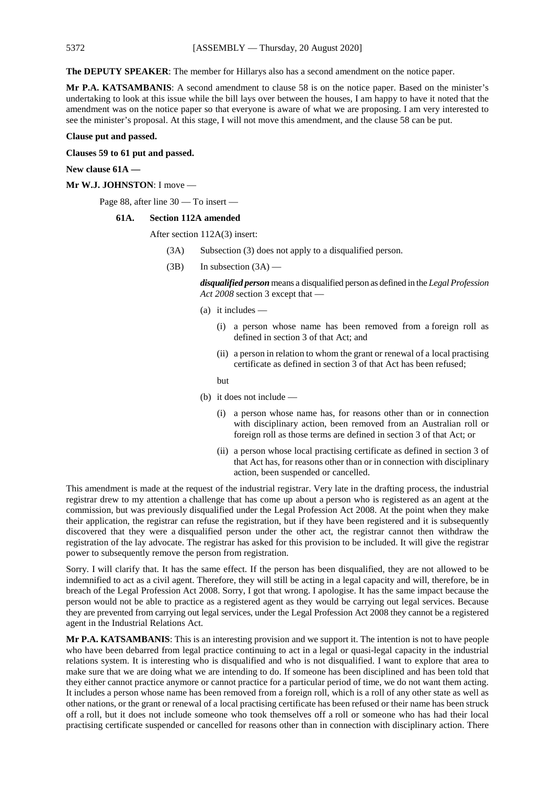**The DEPUTY SPEAKER**: The member for Hillarys also has a second amendment on the notice paper.

**Mr P.A. KATSAMBANIS**: A second amendment to clause 58 is on the notice paper. Based on the minister's undertaking to look at this issue while the bill lays over between the houses, I am happy to have it noted that the amendment was on the notice paper so that everyone is aware of what we are proposing. I am very interested to see the minister's proposal. At this stage, I will not move this amendment, and the clause 58 can be put.

# **Clause put and passed.**

**Clauses 59 to 61 put and passed.**

**New clause 61A —**

**Mr W.J. JOHNSTON**: I move —

Page 88, after line 30 — To insert —

#### **61A. Section 112A amended**

After section 112A(3) insert:

- (3A) Subsection (3) does not apply to a disqualified person.
- $(B)$  In subsection  $(3A)$  —

*disqualified person* means a disqualified person as defined in the *Legal Profession Act 2008* section 3 except that —

- (a) it includes
	- (i) a person whose name has been removed from a foreign roll as defined in section 3 of that Act; and
	- (ii) a person in relation to whom the grant or renewal of a local practising certificate as defined in section 3 of that Act has been refused;

but

- (b) it does not include
	- (i) a person whose name has, for reasons other than or in connection with disciplinary action, been removed from an Australian roll or foreign roll as those terms are defined in section 3 of that Act; or
	- (ii) a person whose local practising certificate as defined in section 3 of that Act has, for reasons other than or in connection with disciplinary action, been suspended or cancelled.

This amendment is made at the request of the industrial registrar. Very late in the drafting process, the industrial registrar drew to my attention a challenge that has come up about a person who is registered as an agent at the commission, but was previously disqualified under the Legal Profession Act 2008. At the point when they make their application, the registrar can refuse the registration, but if they have been registered and it is subsequently discovered that they were a disqualified person under the other act, the registrar cannot then withdraw the registration of the lay advocate. The registrar has asked for this provision to be included. It will give the registrar power to subsequently remove the person from registration.

Sorry. I will clarify that. It has the same effect. If the person has been disqualified, they are not allowed to be indemnified to act as a civil agent. Therefore, they will still be acting in a legal capacity and will, therefore, be in breach of the Legal Profession Act 2008. Sorry, I got that wrong. I apologise. It has the same impact because the person would not be able to practice as a registered agent as they would be carrying out legal services. Because they are prevented from carrying out legal services, under the Legal Profession Act 2008 they cannot be a registered agent in the Industrial Relations Act.

**Mr P.A. KATSAMBANIS**: This is an interesting provision and we support it. The intention is not to have people who have been debarred from legal practice continuing to act in a legal or quasi-legal capacity in the industrial relations system. It is interesting who is disqualified and who is not disqualified. I want to explore that area to make sure that we are doing what we are intending to do. If someone has been disciplined and has been told that they either cannot practice anymore or cannot practice for a particular period of time, we do not want them acting. It includes a person whose name has been removed from a foreign roll, which is a roll of any other state as well as other nations, or the grant or renewal of a local practising certificate has been refused or their name has been struck off a roll, but it does not include someone who took themselves off a roll or someone who has had their local practising certificate suspended or cancelled for reasons other than in connection with disciplinary action. There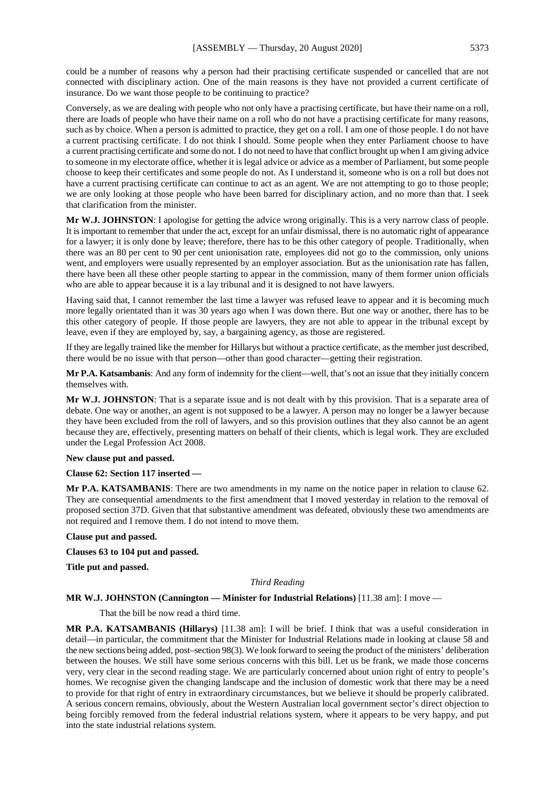could be a number of reasons why a person had their practising certificate suspended or cancelled that are not connected with disciplinary action. One of the main reasons is they have not provided a current certificate of insurance. Do we want those people to be continuing to practice?

Conversely, as we are dealing with people who not only have a practising certificate, but have their name on a roll, there are loads of people who have their name on a roll who do not have a practising certificate for many reasons, such as by choice. When a person is admitted to practice, they get on a roll. I am one of those people. I do not have a current practising certificate. I do not think I should. Some people when they enter Parliament choose to have a current practising certificate and some do not. I do not need to have that conflict brought up when I am giving advice to someone in my electorate office, whether it is legal advice or advice as a member of Parliament, but some people choose to keep their certificates and some people do not. As I understand it, someone who is on a roll but does not have a current practising certificate can continue to act as an agent. We are not attempting to go to those people; we are only looking at those people who have been barred for disciplinary action, and no more than that. I seek that clarification from the minister.

**Mr W.J. JOHNSTON**: I apologise for getting the advice wrong originally. This is a very narrow class of people. It is important to remember that under the act, except for an unfair dismissal, there is no automatic right of appearance for a lawyer; it is only done by leave; therefore, there has to be this other category of people. Traditionally, when there was an 80 per cent to 90 per cent unionisation rate, employees did not go to the commission, only unions went, and employers were usually represented by an employer association. But as the unionisation rate has fallen, there have been all these other people starting to appear in the commission, many of them former union officials who are able to appear because it is a lay tribunal and it is designed to not have lawyers.

Having said that, I cannot remember the last time a lawyer was refused leave to appear and it is becoming much more legally orientated than it was 30 years ago when I was down there. But one way or another, there has to be this other category of people. If those people are lawyers, they are not able to appear in the tribunal except by leave, even if they are employed by, say, a bargaining agency, as those are registered.

If they are legally trained like the member for Hillarys but without a practice certificate, as the member just described, there would be no issue with that person—other than good character—getting their registration.

**Mr P.A. Katsambanis**: And any form of indemnity for the client—well, that's not an issue that they initially concern themselves with.

**Mr W.J. JOHNSTON**: That is a separate issue and is not dealt with by this provision. That is a separate area of debate. One way or another, an agent is not supposed to be a lawyer. A person may no longer be a lawyer because they have been excluded from the roll of lawyers, and so this provision outlines that they also cannot be an agent because they are, effectively, presenting matters on behalf of their clients, which is legal work. They are excluded under the Legal Profession Act 2008.

# **New clause put and passed.**

#### **Clause 62: Section 117 inserted —**

**Mr P.A. KATSAMBANIS**: There are two amendments in my name on the notice paper in relation to clause 62. They are consequential amendments to the first amendment that I moved yesterday in relation to the removal of proposed section 37D. Given that that substantive amendment was defeated, obviously these two amendments are not required and I remove them. I do not intend to move them.

#### **Clause put and passed.**

**Clauses 63 to 104 put and passed.**

**Title put and passed.**

#### *Third Reading*

#### **MR W.J. JOHNSTON (Cannington — Minister for Industrial Relations)** [11.38 am]: I move —

That the bill be now read a third time.

**MR P.A. KATSAMBANIS (Hillarys)** [11.38 am]: I will be brief. I think that was a useful consideration in detail—in particular, the commitment that the Minister for Industrial Relations made in looking at clause 58 and the new sections being added, post–section 98(3). We look forward to seeing the product of the ministers' deliberation between the houses. We still have some serious concerns with this bill. Let us be frank, we made those concerns very, very clear in the second reading stage. We are particularly concerned about union right of entry to people's homes. We recognise given the changing landscape and the inclusion of domestic work that there may be a need to provide for that right of entry in extraordinary circumstances, but we believe it should be properly calibrated. A serious concern remains, obviously, about the Western Australian local government sector's direct objection to being forcibly removed from the federal industrial relations system, where it appears to be very happy, and put into the state industrial relations system.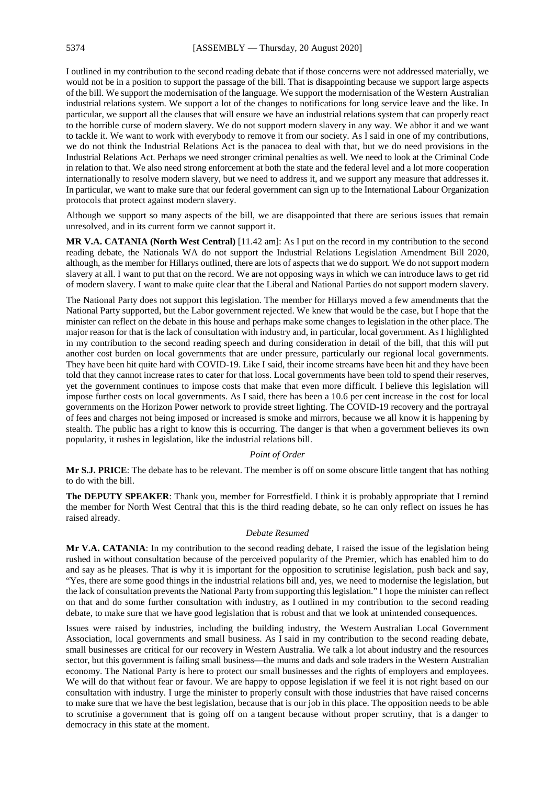I outlined in my contribution to the second reading debate that if those concerns were not addressed materially, we would not be in a position to support the passage of the bill. That is disappointing because we support large aspects of the bill. We support the modernisation of the language. We support the modernisation of the Western Australian industrial relations system. We support a lot of the changes to notifications for long service leave and the like. In particular, we support all the clauses that will ensure we have an industrial relations system that can properly react to the horrible curse of modern slavery. We do not support modern slavery in any way. We abhor it and we want to tackle it. We want to work with everybody to remove it from our society. As I said in one of my contributions, we do not think the Industrial Relations Act is the panacea to deal with that, but we do need provisions in the Industrial Relations Act. Perhaps we need stronger criminal penalties as well. We need to look at the Criminal Code in relation to that. We also need strong enforcement at both the state and the federal level and a lot more cooperation internationally to resolve modern slavery, but we need to address it, and we support any measure that addresses it. In particular, we want to make sure that our federal government can sign up to the International Labour Organization protocols that protect against modern slavery.

Although we support so many aspects of the bill, we are disappointed that there are serious issues that remain unresolved, and in its current form we cannot support it.

**MR V.A. CATANIA (North West Central)** [11.42 am]: As I put on the record in my contribution to the second reading debate, the Nationals WA do not support the Industrial Relations Legislation Amendment Bill 2020, although, as the member for Hillarys outlined, there are lots of aspects that we do support. We do not support modern slavery at all. I want to put that on the record. We are not opposing ways in which we can introduce laws to get rid of modern slavery. I want to make quite clear that the Liberal and National Parties do not support modern slavery.

The National Party does not support this legislation. The member for Hillarys moved a few amendments that the National Party supported, but the Labor government rejected. We knew that would be the case, but I hope that the minister can reflect on the debate in this house and perhaps make some changes to legislation in the other place. The major reason for that is the lack of consultation with industry and, in particular, local government. As I highlighted in my contribution to the second reading speech and during consideration in detail of the bill, that this will put another cost burden on local governments that are under pressure, particularly our regional local governments. They have been hit quite hard with COVID-19. Like I said, their income streams have been hit and they have been told that they cannot increase rates to cater for that loss. Local governments have been told to spend their reserves, yet the government continues to impose costs that make that even more difficult. I believe this legislation will impose further costs on local governments. As I said, there has been a 10.6 per cent increase in the cost for local governments on the Horizon Power network to provide street lighting. The COVID-19 recovery and the portrayal of fees and charges not being imposed or increased is smoke and mirrors, because we all know it is happening by stealth. The public has a right to know this is occurring. The danger is that when a government believes its own popularity, it rushes in legislation, like the industrial relations bill.

#### *Point of Order*

**Mr S.J. PRICE**: The debate has to be relevant. The member is off on some obscure little tangent that has nothing to do with the bill.

**The DEPUTY SPEAKER**: Thank you, member for Forrestfield. I think it is probably appropriate that I remind the member for North West Central that this is the third reading debate, so he can only reflect on issues he has raised already.

# *Debate Resumed*

**Mr V.A. CATANIA**: In my contribution to the second reading debate, I raised the issue of the legislation being rushed in without consultation because of the perceived popularity of the Premier, which has enabled him to do and say as he pleases. That is why it is important for the opposition to scrutinise legislation, push back and say, "Yes, there are some good things in the industrial relations bill and, yes, we need to modernise the legislation, but the lack of consultation prevents the National Party from supporting this legislation." I hope the minister can reflect on that and do some further consultation with industry, as I outlined in my contribution to the second reading debate, to make sure that we have good legislation that is robust and that we look at unintended consequences.

Issues were raised by industries, including the building industry, the Western Australian Local Government Association, local governments and small business. As I said in my contribution to the second reading debate, small businesses are critical for our recovery in Western Australia. We talk a lot about industry and the resources sector, but this government is failing small business—the mums and dads and sole traders in the Western Australian economy. The National Party is here to protect our small businesses and the rights of employers and employees. We will do that without fear or favour. We are happy to oppose legislation if we feel it is not right based on our consultation with industry. I urge the minister to properly consult with those industries that have raised concerns to make sure that we have the best legislation, because that is our job in this place. The opposition needs to be able to scrutinise a government that is going off on a tangent because without proper scrutiny, that is a danger to democracy in this state at the moment.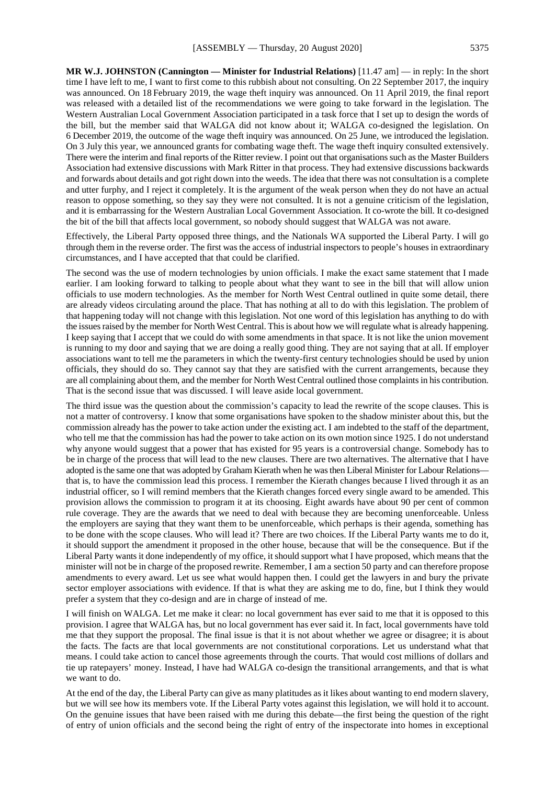**MR W.J. JOHNSTON (Cannington — Minister for Industrial Relations)** [11.47 am] — in reply: In the short time I have left to me, I want to first come to this rubbish about not consulting. On 22 September 2017, the inquiry was announced. On 18 February 2019, the wage theft inquiry was announced. On 11 April 2019, the final report was released with a detailed list of the recommendations we were going to take forward in the legislation. The Western Australian Local Government Association participated in a task force that I set up to design the words of the bill, but the member said that WALGA did not know about it; WALGA co-designed the legislation. On 6 December 2019, the outcome of the wage theft inquiry was announced. On 25 June, we introduced the legislation. On 3 July this year, we announced grants for combating wage theft. The wage theft inquiry consulted extensively. There were the interim and final reports of the Ritter review. I point out that organisations such as the Master Builders Association had extensive discussions with Mark Ritter in that process. They had extensive discussions backwards and forwards about details and got right down into the weeds. The idea that there was not consultation is a complete and utter furphy, and I reject it completely. It is the argument of the weak person when they do not have an actual reason to oppose something, so they say they were not consulted. It is not a genuine criticism of the legislation, and it is embarrassing for the Western Australian Local Government Association. It co-wrote the bill. It co-designed the bit of the bill that affects local government, so nobody should suggest that WALGA was not aware.

Effectively, the Liberal Party opposed three things, and the Nationals WA supported the Liberal Party. I will go through them in the reverse order. The first was the access of industrial inspectors to people's houses in extraordinary circumstances, and I have accepted that that could be clarified.

The second was the use of modern technologies by union officials. I make the exact same statement that I made earlier. I am looking forward to talking to people about what they want to see in the bill that will allow union officials to use modern technologies. As the member for North West Central outlined in quite some detail, there are already videos circulating around the place. That has nothing at all to do with this legislation. The problem of that happening today will not change with this legislation. Not one word of this legislation has anything to do with the issues raised by the member for North West Central. This is about how we will regulate what is already happening. I keep saying that I accept that we could do with some amendments in that space. It is not like the union movement is running to my door and saying that we are doing a really good thing. They are not saying that at all. If employer associations want to tell me the parameters in which the twenty-first century technologies should be used by union officials, they should do so. They cannot say that they are satisfied with the current arrangements, because they are all complaining about them, and the member for North West Central outlined those complaints in his contribution. That is the second issue that was discussed. I will leave aside local government.

The third issue was the question about the commission's capacity to lead the rewrite of the scope clauses. This is not a matter of controversy. I know that some organisations have spoken to the shadow minister about this, but the commission already has the power to take action under the existing act. I am indebted to the staff of the department, who tell me that the commission has had the power to take action on its own motion since 1925. I do not understand why anyone would suggest that a power that has existed for 95 years is a controversial change. Somebody has to be in charge of the process that will lead to the new clauses. There are two alternatives. The alternative that I have adopted is the same one that was adopted by Graham Kierath when he was then Liberal Minister for Labour Relations that is, to have the commission lead this process. I remember the Kierath changes because I lived through it as an industrial officer, so I will remind members that the Kierath changes forced every single award to be amended. This provision allows the commission to program it at its choosing. Eight awards have about 90 per cent of common rule coverage. They are the awards that we need to deal with because they are becoming unenforceable. Unless the employers are saying that they want them to be unenforceable, which perhaps is their agenda, something has to be done with the scope clauses. Who will lead it? There are two choices. If the Liberal Party wants me to do it, it should support the amendment it proposed in the other house, because that will be the consequence. But if the Liberal Party wants it done independently of my office, it should support what I have proposed, which means that the minister will not be in charge of the proposed rewrite. Remember, I am a section 50 party and can therefore propose amendments to every award. Let us see what would happen then. I could get the lawyers in and bury the private sector employer associations with evidence. If that is what they are asking me to do, fine, but I think they would prefer a system that they co-design and are in charge of instead of me.

I will finish on WALGA. Let me make it clear: no local government has ever said to me that it is opposed to this provision. I agree that WALGA has, but no local government has ever said it. In fact, local governments have told me that they support the proposal. The final issue is that it is not about whether we agree or disagree; it is about the facts. The facts are that local governments are not constitutional corporations. Let us understand what that means. I could take action to cancel those agreements through the courts. That would cost millions of dollars and tie up ratepayers' money. Instead, I have had WALGA co-design the transitional arrangements, and that is what we want to do.

At the end of the day, the Liberal Party can give as many platitudes as it likes about wanting to end modern slavery, but we will see how its members vote. If the Liberal Party votes against this legislation, we will hold it to account. On the genuine issues that have been raised with me during this debate—the first being the question of the right of entry of union officials and the second being the right of entry of the inspectorate into homes in exceptional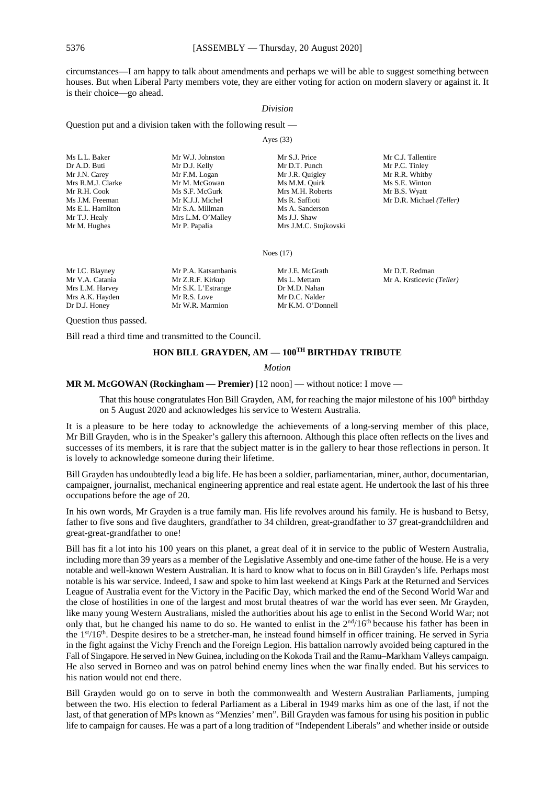circumstances—I am happy to talk about amendments and perhaps we will be able to suggest something between houses. But when Liberal Party members vote, they are either voting for action on modern slavery or against it. It is their choice—go ahead.

#### *Division*

Question put and a division taken with the following result —

Ayes (33)

| Ms L.L. Baker     | Mr W.J. Johnston  | Mr S.J. Price         | Mr C.J. Tallentire       |
|-------------------|-------------------|-----------------------|--------------------------|
| Dr A.D. Buti      | Mr D.J. Kelly     | Mr D.T. Punch         | Mr P.C. Tinley           |
| Mr J.N. Carey     | Mr F.M. Logan     | Mr J.R. Quigley       | Mr R.R. Whitby           |
| Mrs R.M.J. Clarke | Mr M. McGowan     | Ms M.M. Quirk         | Ms S.E. Winton           |
| Mr R.H. Cook      | Ms S.F. McGurk    | Mrs M.H. Roberts      | Mr B.S. Wyatt            |
| Ms J.M. Freeman   | Mr K.J.J. Michel  | Ms R. Saffioti        | Mr D.R. Michael (Teller) |
| Ms E.L. Hamilton  | Mr S.A. Millman   | Ms A. Sanderson       |                          |
| Mr T.J. Healy     | Mrs L.M. O'Malley | Ms J.J. Shaw          |                          |
| Mr M. Hughes      | Mr P. Papalia     | Mrs J.M.C. Stojkovski |                          |
|                   |                   |                       |                          |

Noes (17)

| Mr I.C. Blayney | Mr P.A. Katsambanis | Mr J.E. McGrath   | Mr D.T. Redman            |
|-----------------|---------------------|-------------------|---------------------------|
| Mr V.A. Catania | Mr Z.R.F. Kirkup    | Ms L. Mettam      | Mr A. Krsticevic (Teller) |
| Mrs L.M. Harvey | Mr S.K. L'Estrange  | Dr M.D. Nahan     |                           |
| Mrs A.K. Hayden | Mr R.S. Love        | Mr D.C. Nalder    |                           |
| Dr D.J. Honey   | Mr W.R. Marmion     | Mr K.M. O'Donnell |                           |

Question thus passed.

Bill read a third time and transmitted to the Council.

# **HON BILL GRAYDEN, AM — 100TH BIRTHDAY TRIBUTE**

*Motion*

# **MR M. McGOWAN (Rockingham — Premier)** [12 noon] — without notice: I move —

That this house congratulates Hon Bill Grayden, AM, for reaching the major milestone of his 100<sup>th</sup> birthday on 5 August 2020 and acknowledges his service to Western Australia.

It is a pleasure to be here today to acknowledge the achievements of a long-serving member of this place, Mr Bill Grayden, who is in the Speaker's gallery this afternoon. Although this place often reflects on the lives and successes of its members, it is rare that the subject matter is in the gallery to hear those reflections in person. It is lovely to acknowledge someone during their lifetime.

Bill Grayden has undoubtedly lead a big life. He has been a soldier, parliamentarian, miner, author, documentarian, campaigner, journalist, mechanical engineering apprentice and real estate agent. He undertook the last of his three occupations before the age of 20.

In his own words, Mr Grayden is a true family man. His life revolves around his family. He is husband to Betsy, father to five sons and five daughters, grandfather to 34 children, great-grandfather to 37 great-grandchildren and great-great-grandfather to one!

Bill has fit a lot into his 100 years on this planet, a great deal of it in service to the public of Western Australia, including more than 39 years as a member of the Legislative Assembly and one-time father of the house. He is a very notable and well-known Western Australian. It is hard to know what to focus on in Bill Grayden's life. Perhaps most notable is his war service. Indeed, I saw and spoke to him last weekend at Kings Park at the Returned and Services League of Australia event for the Victory in the Pacific Day, which marked the end of the Second World War and the close of hostilities in one of the largest and most brutal theatres of war the world has ever seen. Mr Grayden, like many young Western Australians, misled the authorities about his age to enlist in the Second World War; not only that, but he changed his name to do so. He wanted to enlist in the 2<sup>nd</sup>/16<sup>th</sup> because his father has been in the 1st/16th. Despite desires to be a stretcher-man, he instead found himself in officer training. He served in Syria in the fight against the Vichy French and the Foreign Legion. His battalion narrowly avoided being captured in the Fall of Singapore. He served in New Guinea, including on the Kokoda Trail and the Ramu–Markham Valleys campaign. He also served in Borneo and was on patrol behind enemy lines when the war finally ended. But his services to his nation would not end there.

Bill Grayden would go on to serve in both the commonwealth and Western Australian Parliaments, jumping between the two. His election to federal Parliament as a Liberal in 1949 marks him as one of the last, if not the last, of that generation of MPs known as "Menzies' men". Bill Grayden was famous for using his position in public life to campaign for causes. He was a part of a long tradition of "Independent Liberals" and whether inside or outside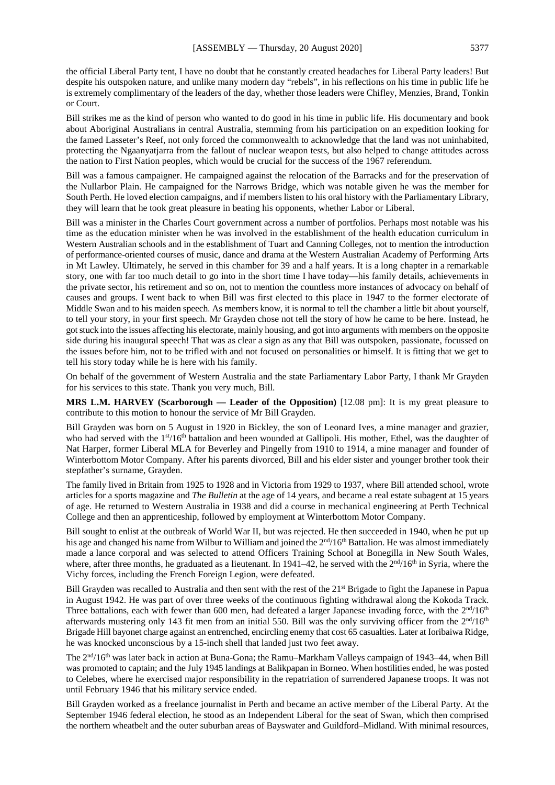the official Liberal Party tent, I have no doubt that he constantly created headaches for Liberal Party leaders! But despite his outspoken nature, and unlike many modern day "rebels", in his reflections on his time in public life he is extremely complimentary of the leaders of the day, whether those leaders were Chifley, Menzies, Brand, Tonkin or Court.

Bill strikes me as the kind of person who wanted to do good in his time in public life. His documentary and book about Aboriginal Australians in central Australia, stemming from his participation on an expedition looking for the famed Lasseter's Reef, not only forced the commonwealth to acknowledge that the land was not uninhabited, protecting the Ngaanyatjarra from the fallout of nuclear weapon tests, but also helped to change attitudes across the nation to First Nation peoples, which would be crucial for the success of the 1967 referendum.

Bill was a famous campaigner. He campaigned against the relocation of the Barracks and for the preservation of the Nullarbor Plain. He campaigned for the Narrows Bridge, which was notable given he was the member for South Perth. He loved election campaigns, and if members listen to his oral history with the Parliamentary Library, they will learn that he took great pleasure in beating his opponents, whether Labor or Liberal.

Bill was a minister in the Charles Court government across a number of portfolios. Perhaps most notable was his time as the education minister when he was involved in the establishment of the health education curriculum in Western Australian schools and in the establishment of Tuart and Canning Colleges, not to mention the introduction of performance-oriented courses of music, dance and drama at the Western Australian Academy of Performing Arts in Mt Lawley. Ultimately, he served in this chamber for 39 and a half years. It is a long chapter in a remarkable story, one with far too much detail to go into in the short time I have today—his family details, achievements in the private sector, his retirement and so on, not to mention the countless more instances of advocacy on behalf of causes and groups. I went back to when Bill was first elected to this place in 1947 to the former electorate of Middle Swan and to his maiden speech. As members know, it is normal to tell the chamber a little bit about yourself, to tell your story, in your first speech. Mr Grayden chose not tell the story of how he came to be here. Instead, he got stuck into the issues affecting his electorate, mainly housing, and got into arguments with members on the opposite side during his inaugural speech! That was as clear a sign as any that Bill was outspoken, passionate, focussed on the issues before him, not to be trifled with and not focused on personalities or himself. It is fitting that we get to tell his story today while he is here with his family.

On behalf of the government of Western Australia and the state Parliamentary Labor Party, I thank Mr Grayden for his services to this state. Thank you very much, Bill.

**MRS L.M. HARVEY (Scarborough — Leader of the Opposition)** [12.08 pm]: It is my great pleasure to contribute to this motion to honour the service of Mr Bill Grayden.

Bill Grayden was born on 5 August in 1920 in Bickley, the son of Leonard Ives, a mine manager and grazier, who had served with the 1<sup>st</sup>/16<sup>th</sup> battalion and been wounded at Gallipoli. His mother, Ethel, was the daughter of Nat Harper, former Liberal MLA for Beverley and Pingelly from 1910 to 1914, a mine manager and founder of Winterbottom Motor Company. After his parents divorced, Bill and his elder sister and younger brother took their stepfather's surname, Grayden.

The family lived in Britain from 1925 to 1928 and in Victoria from 1929 to 1937, where Bill attended school, wrote articles for a sports magazine and *The Bulletin* at the age of 14 years, and became a real estate subagent at 15 years of age. He returned to Western Australia in 1938 and did a course in mechanical engineering at Perth Technical College and then an apprenticeship, followed by employment at Winterbottom Motor Company.

Bill sought to enlist at the outbreak of World War II, but was rejected. He then succeeded in 1940, when he put up his age and changed his name from Wilbur to William and joined the  $2<sup>nd</sup>/16<sup>th</sup>$  Battalion. He was almost immediately made a lance corporal and was selected to attend Officers Training School at Bonegilla in New South Wales, where, after three months, he graduated as a lieutenant. In 1941–42, he served with the  $2<sup>nd</sup>/16<sup>th</sup>$  in Syria, where the Vichy forces, including the French Foreign Legion, were defeated.

Bill Grayden was recalled to Australia and then sent with the rest of the 21st Brigade to fight the Japanese in Papua in August 1942. He was part of over three weeks of the continuous fighting withdrawal along the Kokoda Track. Three battalions, each with fewer than 600 men, had defeated a larger Japanese invading force, with the 2<sup>nd</sup>/16<sup>th</sup> afterwards mustering only 143 fit men from an initial 550. Bill was the only surviving officer from the  $2<sup>nd</sup>/16<sup>th</sup>$ Brigade Hill bayonet charge against an entrenched, encircling enemy that cost 65 casualties. Later at Ioribaiwa Ridge, he was knocked unconscious by a 15-inch shell that landed just two feet away.

The 2<sup>nd</sup>/16<sup>th</sup> was later back in action at Buna-Gona; the Ramu–Markham Valleys campaign of 1943–44, when Bill was promoted to captain; and the July 1945 landings at Balikpapan in Borneo. When hostilities ended, he was posted to Celebes, where he exercised major responsibility in the repatriation of surrendered Japanese troops. It was not until February 1946 that his military service ended.

Bill Grayden worked as a freelance journalist in Perth and became an active member of the Liberal Party. At the September 1946 federal election, he stood as an Independent Liberal for the seat of Swan, which then comprised the northern wheatbelt and the outer suburban areas of Bayswater and Guildford–Midland. With minimal resources,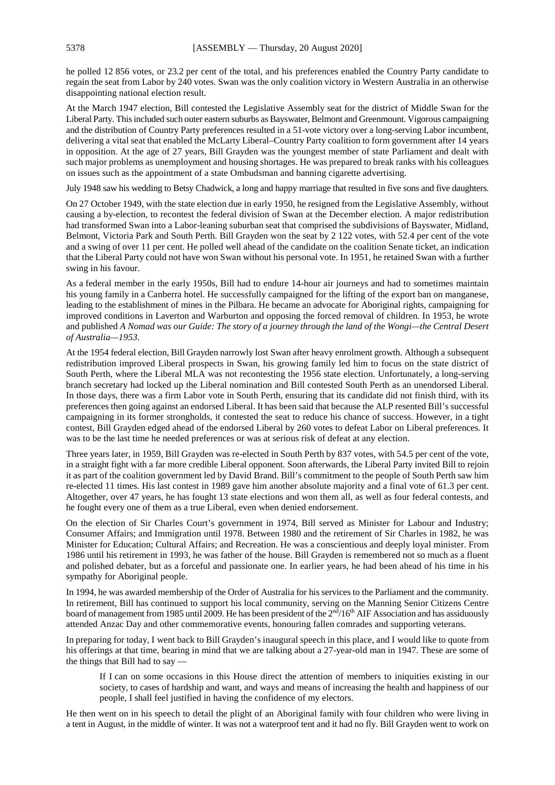he polled 12 856 votes, or 23.2 per cent of the total, and his preferences enabled the Country Party candidate to regain the seat from Labor by 240 votes. Swan was the only coalition victory in Western Australia in an otherwise disappointing national election result.

At the March 1947 election, Bill contested the Legislative Assembly seat for the district of Middle Swan for the Liberal Party. This included such outer eastern suburbs as Bayswater, Belmont and Greenmount. Vigorous campaigning and the distribution of Country Party preferences resulted in a 51-vote victory over a long-serving Labor incumbent, delivering a vital seat that enabled the McLarty Liberal–Country Party coalition to form government after 14 years in opposition. At the age of 27 years, Bill Grayden was the youngest member of state Parliament and dealt with such major problems as unemployment and housing shortages. He was prepared to break ranks with his colleagues on issues such as the appointment of a state Ombudsman and banning cigarette advertising.

July 1948 saw his wedding to Betsy Chadwick, a long and happy marriage that resulted in five sons and five daughters.

On 27 October 1949, with the state election due in early 1950, he resigned from the Legislative Assembly, without causing a by-election, to recontest the federal division of Swan at the December election. A major redistribution had transformed Swan into a Labor-leaning suburban seat that comprised the subdivisions of Bayswater, Midland, Belmont, Victoria Park and South Perth. Bill Grayden won the seat by 2 122 votes, with 52.4 per cent of the vote and a swing of over 11 per cent. He polled well ahead of the candidate on the coalition Senate ticket, an indication that the Liberal Party could not have won Swan without his personal vote. In 1951, he retained Swan with a further swing in his favour.

As a federal member in the early 1950s, Bill had to endure 14-hour air journeys and had to sometimes maintain his young family in a Canberra hotel. He successfully campaigned for the lifting of the export ban on manganese, leading to the establishment of mines in the Pilbara. He became an advocate for Aboriginal rights, campaigning for improved conditions in Laverton and Warburton and opposing the forced removal of children. In 1953, he wrote and published *A Nomad was our Guide: The story of a journey through the land of the Wongi—the Central Desert of Australia—1953*.

At the 1954 federal election, Bill Grayden narrowly lost Swan after heavy enrolment growth. Although a subsequent redistribution improved Liberal prospects in Swan, his growing family led him to focus on the state district of South Perth, where the Liberal MLA was not recontesting the 1956 state election. Unfortunately, a long-serving branch secretary had locked up the Liberal nomination and Bill contested South Perth as an unendorsed Liberal. In those days, there was a firm Labor vote in South Perth, ensuring that its candidate did not finish third, with its preferences then going against an endorsed Liberal. It has been said that because the ALP resented Bill's successful campaigning in its former strongholds, it contested the seat to reduce his chance of success. However, in a tight contest, Bill Grayden edged ahead of the endorsed Liberal by 260 votes to defeat Labor on Liberal preferences. It was to be the last time he needed preferences or was at serious risk of defeat at any election.

Three years later, in 1959, Bill Grayden was re-elected in South Perth by 837 votes, with 54.5 per cent of the vote, in a straight fight with a far more credible Liberal opponent. Soon afterwards, the Liberal Party invited Bill to rejoin it as part of the coalition government led by David Brand. Bill's commitment to the people of South Perth saw him re-elected 11 times. His last contest in 1989 gave him another absolute majority and a final vote of 61.3 per cent. Altogether, over 47 years, he has fought 13 state elections and won them all, as well as four federal contests, and he fought every one of them as a true Liberal, even when denied endorsement.

On the election of Sir Charles Court's government in 1974, Bill served as Minister for Labour and Industry; Consumer Affairs; and Immigration until 1978. Between 1980 and the retirement of Sir Charles in 1982, he was Minister for Education; Cultural Affairs; and Recreation. He was a conscientious and deeply loyal minister. From 1986 until his retirement in 1993, he was father of the house. Bill Grayden is remembered not so much as a fluent and polished debater, but as a forceful and passionate one. In earlier years, he had been ahead of his time in his sympathy for Aboriginal people.

In 1994, he was awarded membership of the Order of Australia for his services to the Parliament and the community. In retirement, Bill has continued to support his local community, serving on the Manning Senior Citizens Centre board of management from 1985 until 2009. He has been president of the 2<sup>nd</sup>/16<sup>th</sup> AIF Association and has assiduously attended Anzac Day and other commemorative events, honouring fallen comrades and supporting veterans.

In preparing for today, I went back to Bill Grayden's inaugural speech in this place, and I would like to quote from his offerings at that time, bearing in mind that we are talking about a 27-year-old man in 1947. These are some of the things that Bill had to say —

If I can on some occasions in this House direct the attention of members to iniquities existing in our society, to cases of hardship and want, and ways and means of increasing the health and happiness of our people, I shall feel justified in having the confidence of my electors.

He then went on in his speech to detail the plight of an Aboriginal family with four children who were living in a tent in August, in the middle of winter. It was not a waterproof tent and it had no fly. Bill Grayden went to work on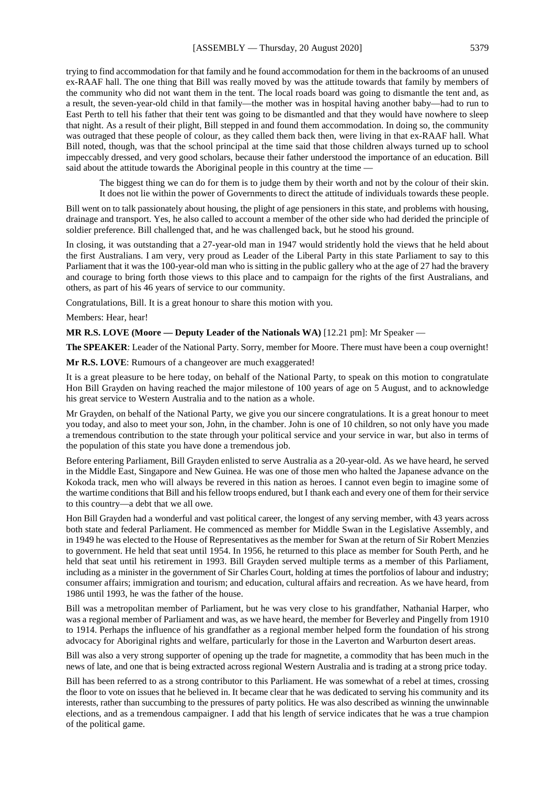trying to find accommodation for that family and he found accommodation for them in the backrooms of an unused ex-RAAF hall. The one thing that Bill was really moved by was the attitude towards that family by members of the community who did not want them in the tent. The local roads board was going to dismantle the tent and, as a result, the seven-year-old child in that family—the mother was in hospital having another baby—had to run to East Perth to tell his father that their tent was going to be dismantled and that they would have nowhere to sleep that night. As a result of their plight, Bill stepped in and found them accommodation. In doing so, the community was outraged that these people of colour, as they called them back then, were living in that ex-RAAF hall. What Bill noted, though, was that the school principal at the time said that those children always turned up to school impeccably dressed, and very good scholars, because their father understood the importance of an education. Bill said about the attitude towards the Aboriginal people in this country at the time —

The biggest thing we can do for them is to judge them by their worth and not by the colour of their skin. It does not lie within the power of Governments to direct the attitude of individuals towards these people.

Bill went on to talk passionately about housing, the plight of age pensioners in this state, and problems with housing, drainage and transport. Yes, he also called to account a member of the other side who had derided the principle of soldier preference. Bill challenged that, and he was challenged back, but he stood his ground.

In closing, it was outstanding that a 27-year-old man in 1947 would stridently hold the views that he held about the first Australians. I am very, very proud as Leader of the Liberal Party in this state Parliament to say to this Parliament that it was the 100-year-old man who is sitting in the public gallery who at the age of 27 had the bravery and courage to bring forth those views to this place and to campaign for the rights of the first Australians, and others, as part of his 46 years of service to our community.

Congratulations, Bill. It is a great honour to share this motion with you.

Members: Hear, hear!

**MR R.S. LOVE (Moore — Deputy Leader of the Nationals WA)** [12.21 pm]: Mr Speaker —

**The SPEAKER**: Leader of the National Party. Sorry, member for Moore. There must have been a coup overnight!

**Mr R.S. LOVE**: Rumours of a changeover are much exaggerated!

It is a great pleasure to be here today, on behalf of the National Party, to speak on this motion to congratulate Hon Bill Grayden on having reached the major milestone of 100 years of age on 5 August, and to acknowledge his great service to Western Australia and to the nation as a whole.

Mr Grayden, on behalf of the National Party, we give you our sincere congratulations. It is a great honour to meet you today, and also to meet your son, John, in the chamber. John is one of 10 children, so not only have you made a tremendous contribution to the state through your political service and your service in war, but also in terms of the population of this state you have done a tremendous job.

Before entering Parliament, Bill Grayden enlisted to serve Australia as a 20-year-old. As we have heard, he served in the Middle East, Singapore and New Guinea. He was one of those men who halted the Japanese advance on the Kokoda track, men who will always be revered in this nation as heroes. I cannot even begin to imagine some of the wartime conditions that Bill and his fellow troops endured, but I thank each and every one of them for their service to this country—a debt that we all owe.

Hon Bill Grayden had a wonderful and vast political career, the longest of any serving member, with 43 years across both state and federal Parliament. He commenced as member for Middle Swan in the Legislative Assembly, and in 1949 he was elected to the House of Representatives as the member for Swan at the return of Sir Robert Menzies to government. He held that seat until 1954. In 1956, he returned to this place as member for South Perth, and he held that seat until his retirement in 1993. Bill Grayden served multiple terms as a member of this Parliament, including as a minister in the government of Sir Charles Court, holding at times the portfolios of labour and industry; consumer affairs; immigration and tourism; and education, cultural affairs and recreation. As we have heard, from 1986 until 1993, he was the father of the house.

Bill was a metropolitan member of Parliament, but he was very close to his grandfather, Nathanial Harper, who was a regional member of Parliament and was, as we have heard, the member for Beverley and Pingelly from 1910 to 1914. Perhaps the influence of his grandfather as a regional member helped form the foundation of his strong advocacy for Aboriginal rights and welfare, particularly for those in the Laverton and Warburton desert areas.

Bill was also a very strong supporter of opening up the trade for magnetite, a commodity that has been much in the news of late, and one that is being extracted across regional Western Australia and is trading at a strong price today.

Bill has been referred to as a strong contributor to this Parliament. He was somewhat of a rebel at times, crossing the floor to vote on issues that he believed in. It became clear that he was dedicated to serving his community and its interests, rather than succumbing to the pressures of party politics. He was also described as winning the unwinnable elections, and as a tremendous campaigner. I add that his length of service indicates that he was a true champion of the political game.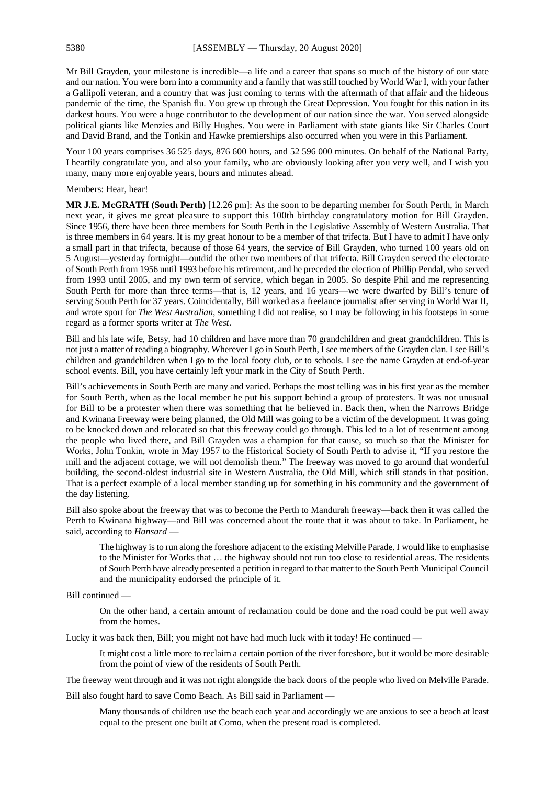Mr Bill Grayden, your milestone is incredible—a life and a career that spans so much of the history of our state and our nation. You were born into a community and a family that was still touched by World War I, with your father a Gallipoli veteran, and a country that was just coming to terms with the aftermath of that affair and the hideous pandemic of the time, the Spanish flu. You grew up through the Great Depression. You fought for this nation in its darkest hours. You were a huge contributor to the development of our nation since the war. You served alongside political giants like Menzies and Billy Hughes. You were in Parliament with state giants like Sir Charles Court and David Brand, and the Tonkin and Hawke premierships also occurred when you were in this Parliament.

Your 100 years comprises 36 525 days, 876 600 hours, and 52 596 000 minutes. On behalf of the National Party, I heartily congratulate you, and also your family, who are obviously looking after you very well, and I wish you many, many more enjoyable years, hours and minutes ahead.

Members: Hear, hear!

**MR J.E. McGRATH (South Perth)** [12.26 pm]: As the soon to be departing member for South Perth, in March next year, it gives me great pleasure to support this 100th birthday congratulatory motion for Bill Grayden. Since 1956, there have been three members for South Perth in the Legislative Assembly of Western Australia. That is three members in 64 years. It is my great honour to be a member of that trifecta. But I have to admit I have only a small part in that trifecta, because of those 64 years, the service of Bill Grayden, who turned 100 years old on 5 August—yesterday fortnight—outdid the other two members of that trifecta. Bill Grayden served the electorate of South Perth from 1956 until 1993 before his retirement, and he preceded the election of Phillip Pendal, who served from 1993 until 2005, and my own term of service, which began in 2005. So despite Phil and me representing South Perth for more than three terms—that is, 12 years, and 16 years—we were dwarfed by Bill's tenure of serving South Perth for 37 years. Coincidentally, Bill worked as a freelance journalist after serving in World War II, and wrote sport for *The West Australian*, something I did not realise, so I may be following in his footsteps in some regard as a former sports writer at *The West*.

Bill and his late wife, Betsy, had 10 children and have more than 70 grandchildren and great grandchildren. This is not just a matter of reading a biography. Wherever I go in South Perth, I see members of the Grayden clan. I see Bill's children and grandchildren when I go to the local footy club, or to schools. I see the name Grayden at end-of-year school events. Bill, you have certainly left your mark in the City of South Perth.

Bill's achievements in South Perth are many and varied. Perhaps the most telling was in his first year as the member for South Perth, when as the local member he put his support behind a group of protesters. It was not unusual for Bill to be a protester when there was something that he believed in. Back then, when the Narrows Bridge and Kwinana Freeway were being planned, the Old Mill was going to be a victim of the development. It was going to be knocked down and relocated so that this freeway could go through. This led to a lot of resentment among the people who lived there, and Bill Grayden was a champion for that cause, so much so that the Minister for Works, John Tonkin, wrote in May 1957 to the Historical Society of South Perth to advise it, "If you restore the mill and the adjacent cottage, we will not demolish them." The freeway was moved to go around that wonderful building, the second-oldest industrial site in Western Australia, the Old Mill, which still stands in that position. That is a perfect example of a local member standing up for something in his community and the government of the day listening.

Bill also spoke about the freeway that was to become the Perth to Mandurah freeway—back then it was called the Perth to Kwinana highway—and Bill was concerned about the route that it was about to take. In Parliament, he said, according to *Hansard* —

The highway is to run along the foreshore adjacent to the existing Melville Parade. I would like to emphasise to the Minister for Works that … the highway should not run too close to residential areas. The residents of South Perth have already presented a petition in regard to that matter to the South Perth Municipal Council and the municipality endorsed the principle of it.

Bill continued —

On the other hand, a certain amount of reclamation could be done and the road could be put well away from the homes.

Lucky it was back then, Bill; you might not have had much luck with it today! He continued —

It might cost a little more to reclaim a certain portion of the river foreshore, but it would be more desirable from the point of view of the residents of South Perth.

The freeway went through and it was not right alongside the back doors of the people who lived on Melville Parade.

Bill also fought hard to save Como Beach. As Bill said in Parliament —

Many thousands of children use the beach each year and accordingly we are anxious to see a beach at least equal to the present one built at Como, when the present road is completed.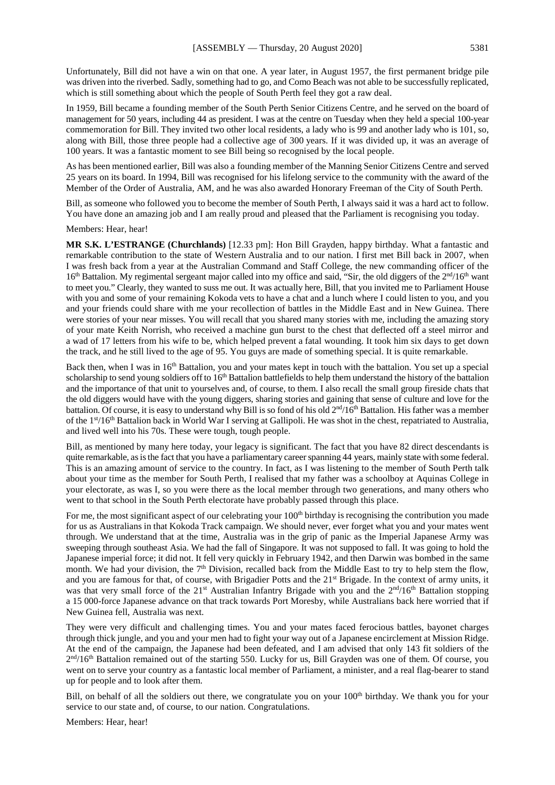Unfortunately, Bill did not have a win on that one. A year later, in August 1957, the first permanent bridge pile was driven into the riverbed. Sadly, something had to go, and Como Beach was not able to be successfully replicated, which is still something about which the people of South Perth feel they got a raw deal.

In 1959, Bill became a founding member of the South Perth Senior Citizens Centre, and he served on the board of management for 50 years, including 44 as president. I was at the centre on Tuesday when they held a special 100-year commemoration for Bill. They invited two other local residents, a lady who is 99 and another lady who is 101, so, along with Bill, those three people had a collective age of 300 years. If it was divided up, it was an average of 100 years. It was a fantastic moment to see Bill being so recognised by the local people.

As has been mentioned earlier, Bill was also a founding member of the Manning Senior Citizens Centre and served 25 years on its board. In 1994, Bill was recognised for his lifelong service to the community with the award of the Member of the Order of Australia, AM, and he was also awarded Honorary Freeman of the City of South Perth.

Bill, as someone who followed you to become the member of South Perth, I always said it was a hard act to follow. You have done an amazing job and I am really proud and pleased that the Parliament is recognising you today.

Members: Hear, hear!

**MR S.K. L'ESTRANGE (Churchlands)** [12.33 pm]: Hon Bill Grayden, happy birthday. What a fantastic and remarkable contribution to the state of Western Australia and to our nation. I first met Bill back in 2007, when I was fresh back from a year at the Australian Command and Staff College, the new commanding officer of the 16<sup>th</sup> Battalion. My regimental sergeant major called into my office and said, "Sir, the old diggers of the 2<sup>nd</sup>/16<sup>th</sup> want to meet you." Clearly, they wanted to suss me out. It was actually here, Bill, that you invited me to Parliament House with you and some of your remaining Kokoda vets to have a chat and a lunch where I could listen to you, and you and your friends could share with me your recollection of battles in the Middle East and in New Guinea. There were stories of your near misses. You will recall that you shared many stories with me, including the amazing story of your mate Keith Norrish, who received a machine gun burst to the chest that deflected off a steel mirror and a wad of 17 letters from his wife to be, which helped prevent a fatal wounding. It took him six days to get down the track, and he still lived to the age of 95. You guys are made of something special. It is quite remarkable.

Back then, when I was in 16<sup>th</sup> Battalion, you and your mates kept in touch with the battalion. You set up a special scholarship to send young soldiers off to 16<sup>th</sup> Battalion battlefields to help them understand the history of the battalion and the importance of that unit to yourselves and, of course, to them. I also recall the small group fireside chats that the old diggers would have with the young diggers, sharing stories and gaining that sense of culture and love for the battalion. Of course, it is easy to understand why Bill is so fond of his old  $2<sup>nd</sup>/16<sup>th</sup>$  Battalion. His father was a member of the 1st/16th Battalion back in World War I serving at Gallipoli. He was shot in the chest, repatriated to Australia, and lived well into his 70s. These were tough, tough people.

Bill, as mentioned by many here today, your legacy is significant. The fact that you have 82 direct descendants is quite remarkable, as is the fact that you have a parliamentary career spanning 44 years, mainly state with some federal. This is an amazing amount of service to the country. In fact, as I was listening to the member of South Perth talk about your time as the member for South Perth, I realised that my father was a schoolboy at Aquinas College in your electorate, as was I, so you were there as the local member through two generations, and many others who went to that school in the South Perth electorate have probably passed through this place.

For me, the most significant aspect of our celebrating your  $100<sup>th</sup>$  birthday is recognising the contribution you made for us as Australians in that Kokoda Track campaign. We should never, ever forget what you and your mates went through. We understand that at the time, Australia was in the grip of panic as the Imperial Japanese Army was sweeping through southeast Asia. We had the fall of Singapore. It was not supposed to fall. It was going to hold the Japanese imperial force; it did not. It fell very quickly in February 1942, and then Darwin was bombed in the same month. We had your division, the 7<sup>th</sup> Division, recalled back from the Middle East to try to help stem the flow, and you are famous for that, of course, with Brigadier Potts and the 21<sup>st</sup> Brigade. In the context of army units, it was that very small force of the 21<sup>st</sup> Australian Infantry Brigade with you and the 2<sup>nd</sup>/16<sup>th</sup> Battalion stopping a 15 000-force Japanese advance on that track towards Port Moresby, while Australians back here worried that if New Guinea fell, Australia was next.

They were very difficult and challenging times. You and your mates faced ferocious battles, bayonet charges through thick jungle, and you and your men had to fight your way out of a Japanese encirclement at Mission Ridge. At the end of the campaign, the Japanese had been defeated, and I am advised that only 143 fit soldiers of the  $2<sup>nd</sup>/16<sup>th</sup>$  Battalion remained out of the starting 550. Lucky for us, Bill Grayden was one of them. Of course, you went on to serve your country as a fantastic local member of Parliament, a minister, and a real flag-bearer to stand up for people and to look after them.

Bill, on behalf of all the soldiers out there, we congratulate you on your 100<sup>th</sup> birthday. We thank you for your service to our state and, of course, to our nation. Congratulations.

Members: Hear, hear!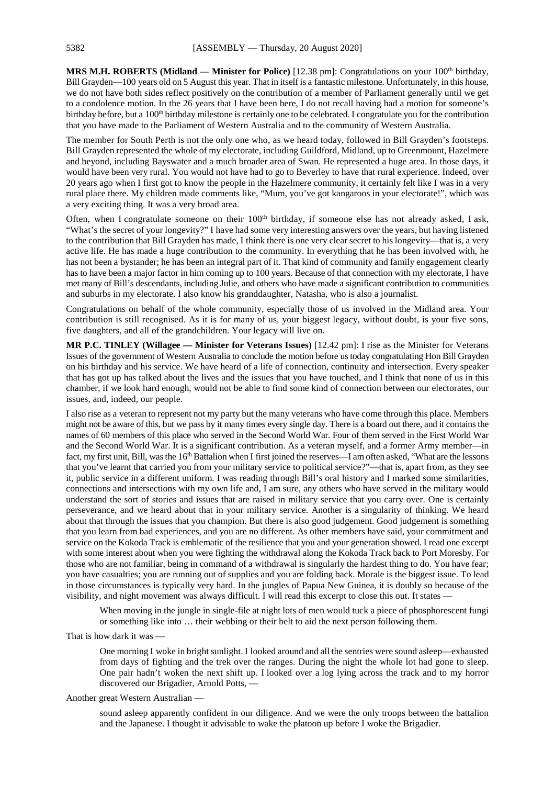**MRS M.H. ROBERTS (Midland — Minister for Police)** [12.38 pm]: Congratulations on your 100th birthday, Bill Grayden—100 years old on 5 August this year. That in itself is a fantastic milestone. Unfortunately, in this house, we do not have both sides reflect positively on the contribution of a member of Parliament generally until we get to a condolence motion. In the 26 years that I have been here, I do not recall having had a motion for someone's birthday before, but a 100<sup>th</sup> birthday milestone is certainly one to be celebrated. I congratulate you for the contribution that you have made to the Parliament of Western Australia and to the community of Western Australia.

The member for South Perth is not the only one who, as we heard today, followed in Bill Grayden's footsteps. Bill Grayden represented the whole of my electorate, including Guildford, Midland, up to Greenmount, Hazelmere and beyond, including Bayswater and a much broader area of Swan. He represented a huge area. In those days, it would have been very rural. You would not have had to go to Beverley to have that rural experience. Indeed, over 20 years ago when I first got to know the people in the Hazelmere community, it certainly felt like I was in a very rural place there. My children made comments like, "Mum, you've got kangaroos in your electorate!", which was a very exciting thing. It was a very broad area.

Often, when I congratulate someone on their 100<sup>th</sup> birthday, if someone else has not already asked, I ask, "What's the secret of your longevity?" I have had some very interesting answers over the years, but having listened to the contribution that Bill Grayden has made, I think there is one very clear secret to his longevity—that is, a very active life. He has made a huge contribution to the community. In everything that he has been involved with, he has not been a bystander; he has been an integral part of it. That kind of community and family engagement clearly has to have been a major factor in him coming up to 100 years. Because of that connection with my electorate, I have met many of Bill's descendants, including Julie, and others who have made a significant contribution to communities and suburbs in my electorate. I also know his granddaughter, Natasha, who is also a journalist.

Congratulations on behalf of the whole community, especially those of us involved in the Midland area. Your contribution is still recognised. As it is for many of us, your biggest legacy, without doubt, is your five sons, five daughters, and all of the grandchildren. Your legacy will live on.

**MR P.C. TINLEY (Willagee — Minister for Veterans Issues)** [12.42 pm]: I rise as the Minister for Veterans Issues of the government of Western Australia to conclude the motion before us today congratulating Hon Bill Grayden on his birthday and his service. We have heard of a life of connection, continuity and intersection. Every speaker that has got up has talked about the lives and the issues that you have touched, and I think that none of us in this chamber, if we look hard enough, would not be able to find some kind of connection between our electorates, our issues, and, indeed, our people.

I also rise as a veteran to represent not my party but the many veterans who have come through this place. Members might not be aware of this, but we pass by it many times every single day. There is a board out there, and it contains the names of 60 members of this place who served in the Second World War. Four of them served in the First World War and the Second World War. It is a significant contribution. As a veteran myself, and a former Army member—in fact, my first unit, Bill, was the  $16<sup>th</sup>$  Battalion when I first joined the reserves—I am often asked, "What are the lessons that you've learnt that carried you from your military service to political service?"—that is, apart from, as they see it, public service in a different uniform. I was reading through Bill's oral history and I marked some similarities, connections and intersections with my own life and, I am sure, any others who have served in the military would understand the sort of stories and issues that are raised in military service that you carry over. One is certainly perseverance, and we heard about that in your military service. Another is a singularity of thinking. We heard about that through the issues that you champion. But there is also good judgement. Good judgement is something that you learn from bad experiences, and you are no different. As other members have said, your commitment and service on the Kokoda Track is emblematic of the resilience that you and your generation showed. I read one excerpt with some interest about when you were fighting the withdrawal along the Kokoda Track back to Port Moresby. For those who are not familiar, being in command of a withdrawal is singularly the hardest thing to do. You have fear; you have casualties; you are running out of supplies and you are folding back. Morale is the biggest issue. To lead in those circumstances is typically very hard. In the jungles of Papua New Guinea, it is doubly so because of the visibility, and night movement was always difficult. I will read this excerpt to close this out. It states —

When moving in the jungle in single-file at night lots of men would tuck a piece of phosphorescent fungi or something like into … their webbing or their belt to aid the next person following them.

That is how dark it was —

One morning I woke in bright sunlight. I looked around and all the sentries were sound asleep—exhausted from days of fighting and the trek over the ranges. During the night the whole lot had gone to sleep. One pair hadn't woken the next shift up. I looked over a log lying across the track and to my horror discovered our Brigadier, Arnold Potts, —

# Another great Western Australian —

sound asleep apparently confident in our diligence. And we were the only troops between the battalion and the Japanese. I thought it advisable to wake the platoon up before I woke the Brigadier.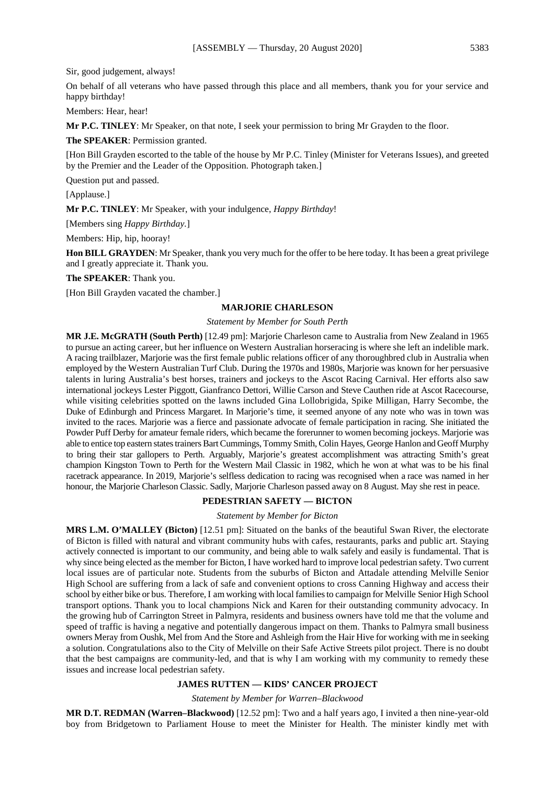Sir, good judgement, always!

On behalf of all veterans who have passed through this place and all members, thank you for your service and happy birthday!

Members: Hear, hear!

**Mr P.C. TINLEY**: Mr Speaker, on that note, I seek your permission to bring Mr Grayden to the floor.

**The SPEAKER**: Permission granted.

[Hon Bill Grayden escorted to the table of the house by Mr P.C. Tinley (Minister for Veterans Issues), and greeted by the Premier and the Leader of the Opposition. Photograph taken.]

Question put and passed.

[Applause.]

**Mr P.C. TINLEY**: Mr Speaker, with your indulgence, *Happy Birthday*!

[Members sing *Happy Birthday.*]

Members: Hip, hip, hooray!

**Hon BILL GRAYDEN**: Mr Speaker, thank you very much for the offer to be here today. It has been a great privilege and I greatly appreciate it. Thank you.

**The SPEAKER**: Thank you.

[Hon Bill Grayden vacated the chamber.]

#### **MARJORIE CHARLESON**

#### *Statement by Member for South Perth*

**MR J.E. McGRATH (South Perth)** [12.49 pm]: Marjorie Charleson came to Australia from New Zealand in 1965 to pursue an acting career, but her influence on Western Australian horseracing is where she left an indelible mark. A racing trailblazer, Marjorie was the first female public relations officer of any thoroughbred club in Australia when employed by the Western Australian Turf Club. During the 1970s and 1980s, Marjorie was known for her persuasive talents in luring Australia's best horses, trainers and jockeys to the Ascot Racing Carnival. Her efforts also saw international jockeys Lester Piggott, Gianfranco Dettori, Willie Carson and Steve Cauthen ride at Ascot Racecourse, while visiting celebrities spotted on the lawns included Gina Lollobrigida, Spike Milligan, Harry Secombe, the Duke of Edinburgh and Princess Margaret. In Marjorie's time, it seemed anyone of any note who was in town was invited to the races. Marjorie was a fierce and passionate advocate of female participation in racing. She initiated the Powder Puff Derby for amateur female riders, which became the forerunner to women becoming jockeys. Marjorie was able to entice top eastern states trainers Bart Cummings, Tommy Smith, Colin Hayes, George Hanlon and Geoff Murphy to bring their star gallopers to Perth. Arguably, Marjorie's greatest accomplishment was attracting Smith's great champion Kingston Town to Perth for the Western Mail Classic in 1982, which he won at what was to be his final racetrack appearance. In 2019, Marjorie's selfless dedication to racing was recognised when a race was named in her honour, the Marjorie Charleson Classic. Sadly, Marjorie Charleson passed away on 8 August. May she rest in peace.

#### **PEDESTRIAN SAFETY — BICTON**

*Statement by Member for Bicton*

**MRS L.M. O'MALLEY (Bicton)** [12.51 pm]: Situated on the banks of the beautiful Swan River, the electorate of Bicton is filled with natural and vibrant community hubs with cafes, restaurants, parks and public art. Staying actively connected is important to our community, and being able to walk safely and easily is fundamental. That is why since being elected as the member for Bicton, I have worked hard to improve local pedestrian safety. Two current local issues are of particular note. Students from the suburbs of Bicton and Attadale attending Melville Senior High School are suffering from a lack of safe and convenient options to cross Canning Highway and access their school by either bike or bus. Therefore, I am working with local families to campaign for Melville Senior High School transport options. Thank you to local champions Nick and Karen for their outstanding community advocacy. In the growing hub of Carrington Street in Palmyra, residents and business owners have told me that the volume and speed of traffic is having a negative and potentially dangerous impact on them. Thanks to Palmyra small business owners Meray from Oushk, Mel from And the Store and Ashleigh from the Hair Hive for working with me in seeking a solution. Congratulations also to the City of Melville on their Safe Active Streets pilot project. There is no doubt that the best campaigns are community-led, and that is why I am working with my community to remedy these issues and increase local pedestrian safety.

# **JAMES RUTTEN — KIDS' CANCER PROJECT**

*Statement by Member for Warren–Blackwood*

**MR D.T. REDMAN (Warren–Blackwood)** [12.52 pm]: Two and a half years ago, I invited a then nine-year-old boy from Bridgetown to Parliament House to meet the Minister for Health. The minister kindly met with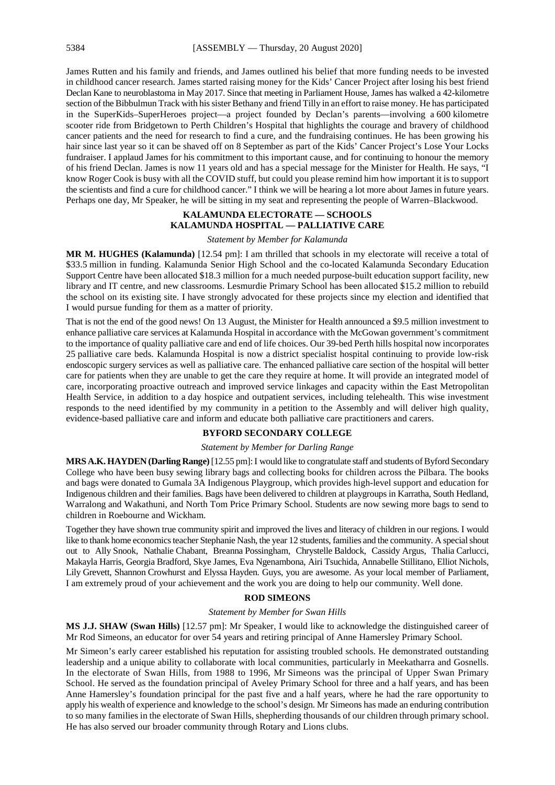James Rutten and his family and friends, and James outlined his belief that more funding needs to be invested in childhood cancer research. James started raising money for the Kids' Cancer Project after losing his best friend Declan Kane to neuroblastoma in May 2017. Since that meeting in Parliament House, James has walked a 42-kilometre section of the Bibbulmun Track with his sister Bethany and friend Tilly in an effort to raise money. He has participated in the SuperKids–SuperHeroes project—a project founded by Declan's parents—involving a 600 kilometre scooter ride from Bridgetown to Perth Children's Hospital that highlights the courage and bravery of childhood cancer patients and the need for research to find a cure, and the fundraising continues. He has been growing his hair since last year so it can be shaved off on 8 September as part of the Kids' Cancer Project's Lose Your Locks fundraiser. I applaud James for his commitment to this important cause, and for continuing to honour the memory of his friend Declan. James is now 11 years old and has a special message for the Minister for Health. He says, "I know Roger Cook is busy with all the COVID stuff, but could you please remind him how important it is to support the scientists and find a cure for childhood cancer." I think we will be hearing a lot more about James in future years. Perhaps one day, Mr Speaker, he will be sitting in my seat and representing the people of Warren–Blackwood.

# **KALAMUNDA ELECTORATE — SCHOOLS KALAMUNDA HOSPITAL — PALLIATIVE CARE**

#### *Statement by Member for Kalamunda*

**MR M. HUGHES (Kalamunda)** [12.54 pm]: I am thrilled that schools in my electorate will receive a total of \$33.5 million in funding. Kalamunda Senior High School and the co-located Kalamunda Secondary Education Support Centre have been allocated \$18.3 million for a much needed purpose-built education support facility, new library and IT centre, and new classrooms. Lesmurdie Primary School has been allocated \$15.2 million to rebuild the school on its existing site. I have strongly advocated for these projects since my election and identified that I would pursue funding for them as a matter of priority.

That is not the end of the good news! On 13 August, the Minister for Health announced a \$9.5 million investment to enhance palliative care services at Kalamunda Hospital in accordance with the McGowan government's commitment to the importance of quality palliative care and end of life choices. Our 39-bed Perth hills hospital now incorporates 25 palliative care beds. Kalamunda Hospital is now a district specialist hospital continuing to provide low-risk endoscopic surgery services as well as palliative care. The enhanced palliative care section of the hospital will better care for patients when they are unable to get the care they require at home. It will provide an integrated model of care, incorporating proactive outreach and improved service linkages and capacity within the East Metropolitan Health Service, in addition to a day hospice and outpatient services, including telehealth. This wise investment responds to the need identified by my community in a petition to the Assembly and will deliver high quality, evidence-based palliative care and inform and educate both palliative care practitioners and carers.

# **BYFORD SECONDARY COLLEGE**

#### *Statement by Member for Darling Range*

**MRS A.K. HAYDEN (Darling Range)**[12.55 pm]:I would like to congratulate staff and students of Byford Secondary College who have been busy sewing library bags and collecting books for children across the Pilbara. The books and bags were donated to Gumala 3A Indigenous Playgroup, which provides high-level support and education for Indigenous children and their families. Bags have been delivered to children at playgroups in Karratha, South Hedland, Warralong and Wakathuni, and North Tom Price Primary School. Students are now sewing more bags to send to children in Roebourne and Wickham.

Together they have shown true community spirit and improved the lives and literacy of children in our regions. I would like to thank home economics teacher Stephanie Nash, the year 12 students, families and the community. A special shout out to Ally Snook, Nathalie Chabant, Breanna Possingham, Chrystelle Baldock, Cassidy Argus, Thalia Carlucci, Makayla Harris, Georgia Bradford, Skye James, Eva Ngenambona, Airi Tsuchida, Annabelle Stillitano, Elliot Nichols, Lily Grevett, Shannon Crowhurst and Elyssa Hayden. Guys, you are awesome. As your local member of Parliament, I am extremely proud of your achievement and the work you are doing to help our community. Well done.

# **ROD SIMEONS**

#### *Statement by Member for Swan Hills*

**MS J.J. SHAW (Swan Hills)** [12.57 pm]: Mr Speaker, I would like to acknowledge the distinguished career of Mr Rod Simeons, an educator for over 54 years and retiring principal of Anne Hamersley Primary School.

Mr Simeon's early career established his reputation for assisting troubled schools. He demonstrated outstanding leadership and a unique ability to collaborate with local communities, particularly in Meekatharra and Gosnells. In the electorate of Swan Hills, from 1988 to 1996, Mr Simeons was the principal of Upper Swan Primary School. He served as the foundation principal of Aveley Primary School for three and a half years, and has been Anne Hamersley's foundation principal for the past five and a half years, where he had the rare opportunity to apply his wealth of experience and knowledge to the school's design. Mr Simeons has made an enduring contribution to so many families in the electorate of Swan Hills, shepherding thousands of our children through primary school. He has also served our broader community through Rotary and Lions clubs.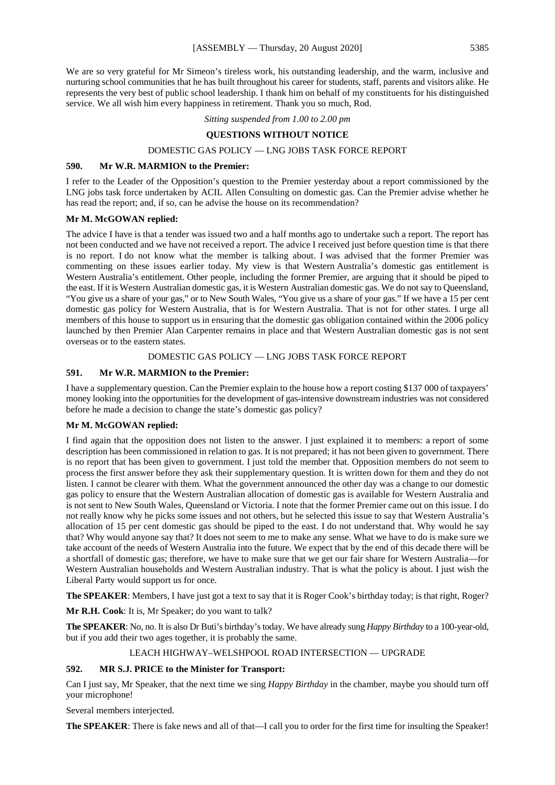We are so very grateful for Mr Simeon's tireless work, his outstanding leadership, and the warm, inclusive and nurturing school communities that he has built throughout his career for students, staff, parents and visitors alike. He represents the very best of public school leadership. I thank him on behalf of my constituents for his distinguished service. We all wish him every happiness in retirement. Thank you so much, Rod.

#### *Sitting suspended from 1.00 to 2.00 pm*

# **QUESTIONS WITHOUT NOTICE**

# DOMESTIC GAS POLICY — LNG JOBS TASK FORCE REPORT

#### **590. Mr W.R. MARMION to the Premier:**

I refer to the Leader of the Opposition's question to the Premier yesterday about a report commissioned by the LNG jobs task force undertaken by ACIL Allen Consulting on domestic gas. Can the Premier advise whether he has read the report; and, if so, can he advise the house on its recommendation?

# **Mr M. McGOWAN replied:**

The advice I have is that a tender was issued two and a half months ago to undertake such a report. The report has not been conducted and we have not received a report. The advice I received just before question time is that there is no report. I do not know what the member is talking about. I was advised that the former Premier was commenting on these issues earlier today. My view is that Western Australia's domestic gas entitlement is Western Australia's entitlement. Other people, including the former Premier, are arguing that it should be piped to the east. If it is Western Australian domestic gas, it is Western Australian domestic gas. We do not say to Queensland, "You give us a share of your gas," or to New South Wales, "You give us a share of your gas." If we have a 15 per cent domestic gas policy for Western Australia, that is for Western Australia. That is not for other states. I urge all members of this house to support us in ensuring that the domestic gas obligation contained within the 2006 policy launched by then Premier Alan Carpenter remains in place and that Western Australian domestic gas is not sent overseas or to the eastern states.

# DOMESTIC GAS POLICY — LNG JOBS TASK FORCE REPORT

# **591. Mr W.R. MARMION to the Premier:**

I have a supplementary question. Can the Premier explain to the house how a report costing \$137 000 of taxpayers' money looking into the opportunities for the development of gas-intensive downstream industries was not considered before he made a decision to change the state's domestic gas policy?

#### **Mr M. McGOWAN replied:**

I find again that the opposition does not listen to the answer. I just explained it to members: a report of some description has been commissioned in relation to gas. It is not prepared; it has not been given to government. There is no report that has been given to government. I just told the member that. Opposition members do not seem to process the first answer before they ask their supplementary question. It is written down for them and they do not listen. I cannot be clearer with them. What the government announced the other day was a change to our domestic gas policy to ensure that the Western Australian allocation of domestic gas is available for Western Australia and is not sent to New South Wales, Queensland or Victoria. I note that the former Premier came out on this issue. I do not really know why he picks some issues and not others, but he selected this issue to say that Western Australia's allocation of 15 per cent domestic gas should be piped to the east. I do not understand that. Why would he say that? Why would anyone say that? It does not seem to me to make any sense. What we have to do is make sure we take account of the needs of Western Australia into the future. We expect that by the end of this decade there will be a shortfall of domestic gas; therefore, we have to make sure that we get our fair share for Western Australia—for Western Australian households and Western Australian industry. That is what the policy is about. I just wish the Liberal Party would support us for once.

**The SPEAKER**: Members, I have just got a text to say that it is Roger Cook's birthday today; is that right, Roger?

**Mr R.H. Cook**: It is, Mr Speaker; do you want to talk?

**The SPEAKER**: No, no. It is also Dr Buti's birthday's today. We have already sung *Happy Birthday* to a 100-year-old, but if you add their two ages together, it is probably the same.

#### LEACH HIGHWAY–WELSHPOOL ROAD INTERSECTION — UPGRADE

# **592. MR S.J. PRICE to the Minister for Transport:**

Can I just say, Mr Speaker, that the next time we sing *Happy Birthday* in the chamber, maybe you should turn off your microphone!

Several members interjected.

**The SPEAKER:** There is fake news and all of that—I call you to order for the first time for insulting the Speaker!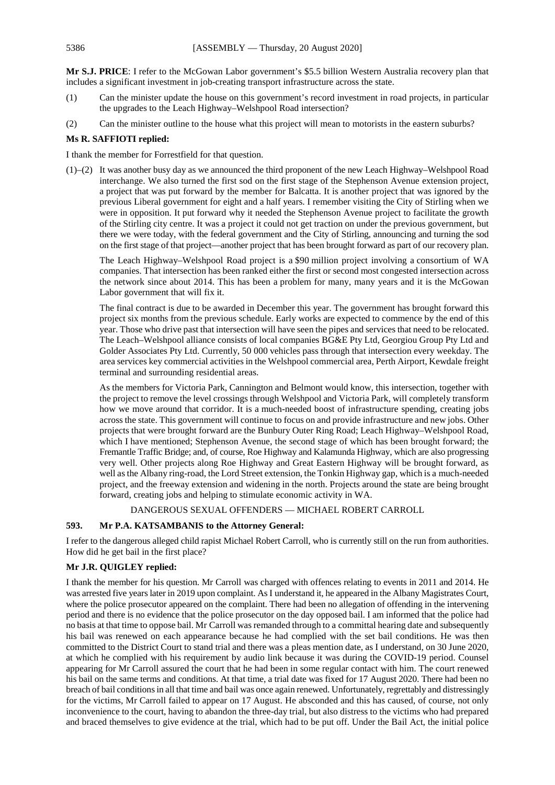**Mr S.J. PRICE**: I refer to the McGowan Labor government's \$5.5 billion Western Australia recovery plan that includes a significant investment in job-creating transport infrastructure across the state.

- (1) Can the minister update the house on this government's record investment in road projects, in particular the upgrades to the Leach Highway–Welshpool Road intersection?
- (2) Can the minister outline to the house what this project will mean to motorists in the eastern suburbs?

# **Ms R. SAFFIOTI replied:**

I thank the member for Forrestfield for that question.

(1)–(2) It was another busy day as we announced the third proponent of the new Leach Highway–Welshpool Road interchange. We also turned the first sod on the first stage of the Stephenson Avenue extension project, a project that was put forward by the member for Balcatta. It is another project that was ignored by the previous Liberal government for eight and a half years. I remember visiting the City of Stirling when we were in opposition. It put forward why it needed the Stephenson Avenue project to facilitate the growth of the Stirling city centre. It was a project it could not get traction on under the previous government, but there we were today, with the federal government and the City of Stirling, announcing and turning the sod on the first stage of that project—another project that has been brought forward as part of our recovery plan.

The Leach Highway–Welshpool Road project is a \$90 million project involving a consortium of WA companies. That intersection has been ranked either the first or second most congested intersection across the network since about 2014. This has been a problem for many, many years and it is the McGowan Labor government that will fix it.

The final contract is due to be awarded in December this year. The government has brought forward this project six months from the previous schedule. Early works are expected to commence by the end of this year. Those who drive past that intersection will have seen the pipes and services that need to be relocated. The Leach–Welshpool alliance consists of local companies BG&E Pty Ltd, Georgiou Group Pty Ltd and Golder Associates Pty Ltd. Currently, 50 000 vehicles pass through that intersection every weekday. The area services key commercial activities in the Welshpool commercial area, Perth Airport, Kewdale freight terminal and surrounding residential areas.

As the members for Victoria Park, Cannington and Belmont would know, this intersection, together with the project to remove the level crossings through Welshpool and Victoria Park, will completely transform how we move around that corridor. It is a much-needed boost of infrastructure spending, creating jobs across the state. This government will continue to focus on and provide infrastructure and new jobs. Other projects that were brought forward are the Bunbury Outer Ring Road; Leach Highway–Welshpool Road, which I have mentioned; Stephenson Avenue, the second stage of which has been brought forward; the Fremantle Traffic Bridge; and, of course, Roe Highway and Kalamunda Highway, which are also progressing very well. Other projects along Roe Highway and Great Eastern Highway will be brought forward, as well as the Albany ring-road, the Lord Street extension, the Tonkin Highway gap, which is a much-needed project, and the freeway extension and widening in the north. Projects around the state are being brought forward, creating jobs and helping to stimulate economic activity in WA.

#### DANGEROUS SEXUAL OFFENDERS — MICHAEL ROBERT CARROLL

# **593. Mr P.A. KATSAMBANIS to the Attorney General:**

I refer to the dangerous alleged child rapist Michael Robert Carroll, who is currently still on the run from authorities. How did he get bail in the first place?

#### **Mr J.R. QUIGLEY replied:**

I thank the member for his question. Mr Carroll was charged with offences relating to events in 2011 and 2014. He was arrested five years later in 2019 upon complaint. As I understand it, he appeared in the Albany Magistrates Court, where the police prosecutor appeared on the complaint. There had been no allegation of offending in the intervening period and there is no evidence that the police prosecutor on the day opposed bail. I am informed that the police had no basis at that time to oppose bail. Mr Carroll was remanded through to a committal hearing date and subsequently his bail was renewed on each appearance because he had complied with the set bail conditions. He was then committed to the District Court to stand trial and there was a pleas mention date, as I understand, on 30 June 2020, at which he complied with his requirement by audio link because it was during the COVID-19 period. Counsel appearing for Mr Carroll assured the court that he had been in some regular contact with him. The court renewed his bail on the same terms and conditions. At that time, a trial date was fixed for 17 August 2020. There had been no breach of bail conditions in all that time and bail was once again renewed. Unfortunately, regrettably and distressingly for the victims, Mr Carroll failed to appear on 17 August. He absconded and this has caused, of course, not only inconvenience to the court, having to abandon the three-day trial, but also distress to the victims who had prepared and braced themselves to give evidence at the trial, which had to be put off. Under the Bail Act, the initial police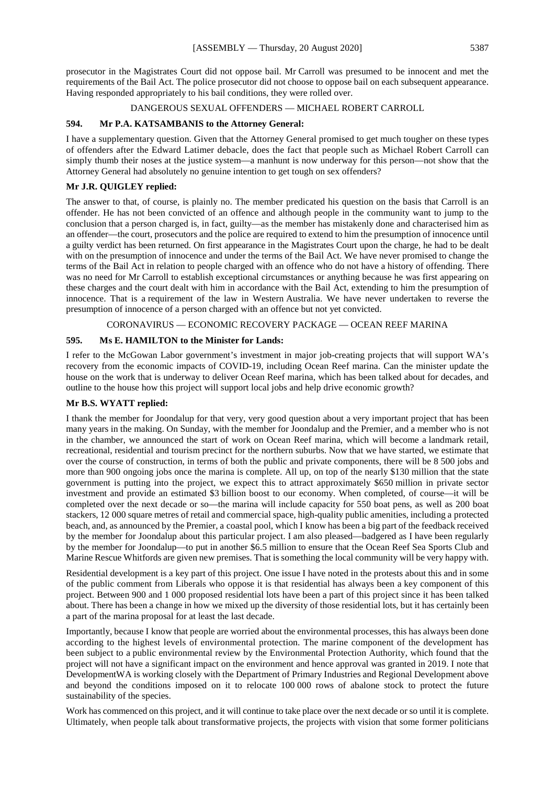prosecutor in the Magistrates Court did not oppose bail. Mr Carroll was presumed to be innocent and met the requirements of the Bail Act. The police prosecutor did not choose to oppose bail on each subsequent appearance. Having responded appropriately to his bail conditions, they were rolled over.

# DANGEROUS SEXUAL OFFENDERS — MICHAEL ROBERT CARROLL

# **594. Mr P.A. KATSAMBANIS to the Attorney General:**

I have a supplementary question. Given that the Attorney General promised to get much tougher on these types of offenders after the Edward Latimer debacle, does the fact that people such as Michael Robert Carroll can simply thumb their noses at the justice system—a manhunt is now underway for this person—not show that the Attorney General had absolutely no genuine intention to get tough on sex offenders?

# **Mr J.R. QUIGLEY replied:**

The answer to that, of course, is plainly no. The member predicated his question on the basis that Carroll is an offender. He has not been convicted of an offence and although people in the community want to jump to the conclusion that a person charged is, in fact, guilty—as the member has mistakenly done and characterised him as an offender—the court, prosecutors and the police are required to extend to him the presumption of innocence until a guilty verdict has been returned. On first appearance in the Magistrates Court upon the charge, he had to be dealt with on the presumption of innocence and under the terms of the Bail Act. We have never promised to change the terms of the Bail Act in relation to people charged with an offence who do not have a history of offending. There was no need for Mr Carroll to establish exceptional circumstances or anything because he was first appearing on these charges and the court dealt with him in accordance with the Bail Act, extending to him the presumption of innocence. That is a requirement of the law in Western Australia. We have never undertaken to reverse the presumption of innocence of a person charged with an offence but not yet convicted.

# CORONAVIRUS — ECONOMIC RECOVERY PACKAGE — OCEAN REEF MARINA

# **595. Ms E. HAMILTON to the Minister for Lands:**

I refer to the McGowan Labor government's investment in major job-creating projects that will support WA's recovery from the economic impacts of COVID-19, including Ocean Reef marina. Can the minister update the house on the work that is underway to deliver Ocean Reef marina, which has been talked about for decades, and outline to the house how this project will support local jobs and help drive economic growth?

# **Mr B.S. WYATT replied:**

I thank the member for Joondalup for that very, very good question about a very important project that has been many years in the making. On Sunday, with the member for Joondalup and the Premier, and a member who is not in the chamber, we announced the start of work on Ocean Reef marina, which will become a landmark retail, recreational, residential and tourism precinct for the northern suburbs. Now that we have started, we estimate that over the course of construction, in terms of both the public and private components, there will be 8 500 jobs and more than 900 ongoing jobs once the marina is complete. All up, on top of the nearly \$130 million that the state government is putting into the project, we expect this to attract approximately \$650 million in private sector investment and provide an estimated \$3 billion boost to our economy. When completed, of course—it will be completed over the next decade or so—the marina will include capacity for 550 boat pens, as well as 200 boat stackers, 12 000 square metres of retail and commercial space, high-quality public amenities, including a protected beach, and, as announced by the Premier, a coastal pool, which I know has been a big part of the feedback received by the member for Joondalup about this particular project. I am also pleased—badgered as I have been regularly by the member for Joondalup—to put in another \$6.5 million to ensure that the Ocean Reef Sea Sports Club and Marine Rescue Whitfords are given new premises. That is something the local community will be very happy with.

Residential development is a key part of this project. One issue I have noted in the protests about this and in some of the public comment from Liberals who oppose it is that residential has always been a key component of this project. Between 900 and 1 000 proposed residential lots have been a part of this project since it has been talked about. There has been a change in how we mixed up the diversity of those residential lots, but it has certainly been a part of the marina proposal for at least the last decade.

Importantly, because I know that people are worried about the environmental processes, this has always been done according to the highest levels of environmental protection. The marine component of the development has been subject to a public environmental review by the Environmental Protection Authority, which found that the project will not have a significant impact on the environment and hence approval was granted in 2019. I note that DevelopmentWA is working closely with the Department of Primary Industries and Regional Development above and beyond the conditions imposed on it to relocate 100 000 rows of abalone stock to protect the future sustainability of the species.

Work has commenced on this project, and it will continue to take place over the next decade or so until it is complete. Ultimately, when people talk about transformative projects, the projects with vision that some former politicians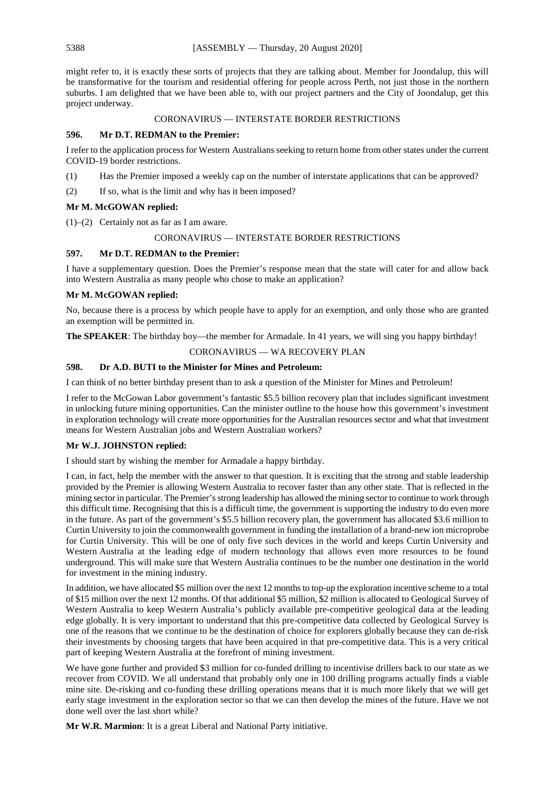might refer to, it is exactly these sorts of projects that they are talking about. Member for Joondalup, this will be transformative for the tourism and residential offering for people across Perth, not just those in the northern suburbs. I am delighted that we have been able to, with our project partners and the City of Joondalup, get this project underway.

# CORONAVIRUS — INTERSTATE BORDER RESTRICTIONS

# **596. Mr D.T. REDMAN to the Premier:**

I refer to the application process for Western Australians seeking to return home from other states under the current COVID-19 border restrictions.

- (1) Has the Premier imposed a weekly cap on the number of interstate applications that can be approved?
- (2) If so, what is the limit and why has it been imposed?

# **Mr M. McGOWAN replied:**

(1)–(2) Certainly not as far as I am aware.

# CORONAVIRUS — INTERSTATE BORDER RESTRICTIONS

# **597. Mr D.T. REDMAN to the Premier:**

I have a supplementary question. Does the Premier's response mean that the state will cater for and allow back into Western Australia as many people who chose to make an application?

# **Mr M. McGOWAN replied:**

No, because there is a process by which people have to apply for an exemption, and only those who are granted an exemption will be permitted in.

**The SPEAKER:** The birthday boy—the member for Armadale. In 41 years, we will sing you happy birthday!

# CORONAVIRUS — WA RECOVERY PLAN

# **598. Dr A.D. BUTI to the Minister for Mines and Petroleum:**

I can think of no better birthday present than to ask a question of the Minister for Mines and Petroleum!

I refer to the McGowan Labor government's fantastic \$5.5 billion recovery plan that includes significant investment in unlocking future mining opportunities. Can the minister outline to the house how this government's investment in exploration technology will create more opportunities for the Australian resources sector and what that investment means for Western Australian jobs and Western Australian workers?

# **Mr W.J. JOHNSTON replied:**

I should start by wishing the member for Armadale a happy birthday.

I can, in fact, help the member with the answer to that question. It is exciting that the strong and stable leadership provided by the Premier is allowing Western Australia to recover faster than any other state. That is reflected in the mining sector in particular. The Premier's strong leadership has allowed the mining sector to continue to work through this difficult time. Recognising that this is a difficult time, the government is supporting the industry to do even more in the future. As part of the government's \$5.5 billion recovery plan, the government has allocated \$3.6 million to Curtin University to join the commonwealth government in funding the installation of a brand-new ion microprobe for Curtin University. This will be one of only five such devices in the world and keeps Curtin University and Western Australia at the leading edge of modern technology that allows even more resources to be found underground. This will make sure that Western Australia continues to be the number one destination in the world for investment in the mining industry.

In addition, we have allocated \$5 million over the next 12 months to top-up the exploration incentive scheme to a total of \$15 million over the next 12 months. Of that additional \$5 million, \$2 million is allocated to Geological Survey of Western Australia to keep Western Australia's publicly available pre-competitive geological data at the leading edge globally. It is very important to understand that this pre-competitive data collected by Geological Survey is one of the reasons that we continue to be the destination of choice for explorers globally because they can de-risk their investments by choosing targets that have been acquired in that pre-competitive data. This is a very critical part of keeping Western Australia at the forefront of mining investment.

We have gone further and provided \$3 million for co-funded drilling to incentivise drillers back to our state as we recover from COVID. We all understand that probably only one in 100 drilling programs actually finds a viable mine site. De-risking and co-funding these drilling operations means that it is much more likely that we will get early stage investment in the exploration sector so that we can then develop the mines of the future. Have we not done well over the last short while?

**Mr W.R. Marmion**: It is a great Liberal and National Party initiative.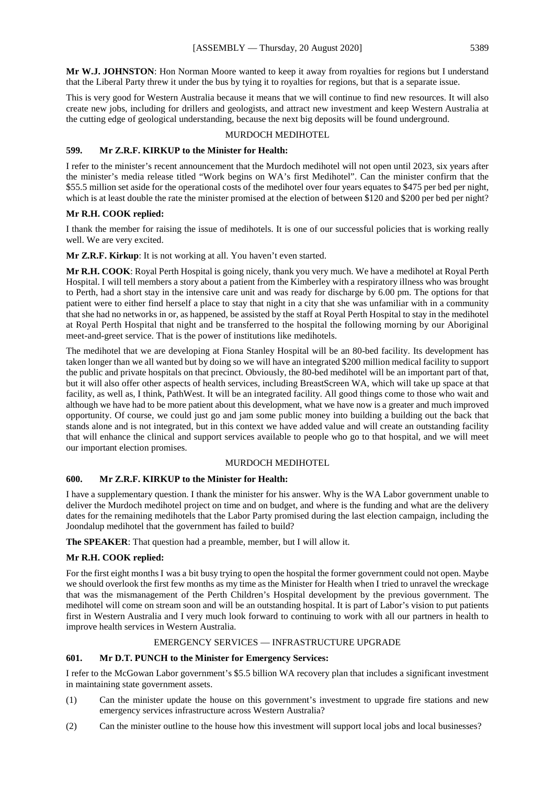**Mr W.J. JOHNSTON**: Hon Norman Moore wanted to keep it away from royalties for regions but I understand that the Liberal Party threw it under the bus by tying it to royalties for regions, but that is a separate issue.

This is very good for Western Australia because it means that we will continue to find new resources. It will also create new jobs, including for drillers and geologists, and attract new investment and keep Western Australia at the cutting edge of geological understanding, because the next big deposits will be found underground.

# MURDOCH MEDIHOTEL

# **599. Mr Z.R.F. KIRKUP to the Minister for Health:**

I refer to the minister's recent announcement that the Murdoch medihotel will not open until 2023, six years after the minister's media release titled "Work begins on WA's first Medihotel". Can the minister confirm that the \$55.5 million set aside for the operational costs of the medihotel over four years equates to \$475 per bed per night, which is at least double the rate the minister promised at the election of between \$120 and \$200 per bed per night?

# **Mr R.H. COOK replied:**

I thank the member for raising the issue of medihotels. It is one of our successful policies that is working really well. We are very excited.

**Mr Z.R.F. Kirkup**: It is not working at all. You haven't even started.

**Mr R.H. COOK**: Royal Perth Hospital is going nicely, thank you very much. We have a medihotel at Royal Perth Hospital. I will tell members a story about a patient from the Kimberley with a respiratory illness who was brought to Perth, had a short stay in the intensive care unit and was ready for discharge by 6.00 pm. The options for that patient were to either find herself a place to stay that night in a city that she was unfamiliar with in a community that she had no networks in or, as happened, be assisted by the staff at Royal Perth Hospital to stay in the medihotel at Royal Perth Hospital that night and be transferred to the hospital the following morning by our Aboriginal meet-and-greet service. That is the power of institutions like medihotels.

The medihotel that we are developing at Fiona Stanley Hospital will be an 80-bed facility. Its development has taken longer than we all wanted but by doing so we will have an integrated \$200 million medical facility to support the public and private hospitals on that precinct. Obviously, the 80-bed medihotel will be an important part of that, but it will also offer other aspects of health services, including BreastScreen WA, which will take up space at that facility, as well as, I think, PathWest. It will be an integrated facility. All good things come to those who wait and although we have had to be more patient about this development, what we have now is a greater and much improved opportunity. Of course, we could just go and jam some public money into building a building out the back that stands alone and is not integrated, but in this context we have added value and will create an outstanding facility that will enhance the clinical and support services available to people who go to that hospital, and we will meet our important election promises.

# MURDOCH MEDIHOTEL

#### **600. Mr Z.R.F. KIRKUP to the Minister for Health:**

I have a supplementary question. I thank the minister for his answer. Why is the WA Labor government unable to deliver the Murdoch medihotel project on time and on budget, and where is the funding and what are the delivery dates for the remaining medihotels that the Labor Party promised during the last election campaign, including the Joondalup medihotel that the government has failed to build?

**The SPEAKER**: That question had a preamble, member, but I will allow it.

#### **Mr R.H. COOK replied:**

For the first eight months I was a bit busy trying to open the hospital the former government could not open. Maybe we should overlook the first few months as my time as the Minister for Health when I tried to unravel the wreckage that was the mismanagement of the Perth Children's Hospital development by the previous government. The medihotel will come on stream soon and will be an outstanding hospital. It is part of Labor's vision to put patients first in Western Australia and I very much look forward to continuing to work with all our partners in health to improve health services in Western Australia.

# EMERGENCY SERVICES — INFRASTRUCTURE UPGRADE

# **601. Mr D.T. PUNCH to the Minister for Emergency Services:**

I refer to the McGowan Labor government's \$5.5 billion WA recovery plan that includes a significant investment in maintaining state government assets.

- (1) Can the minister update the house on this government's investment to upgrade fire stations and new emergency services infrastructure across Western Australia?
- (2) Can the minister outline to the house how this investment will support local jobs and local businesses?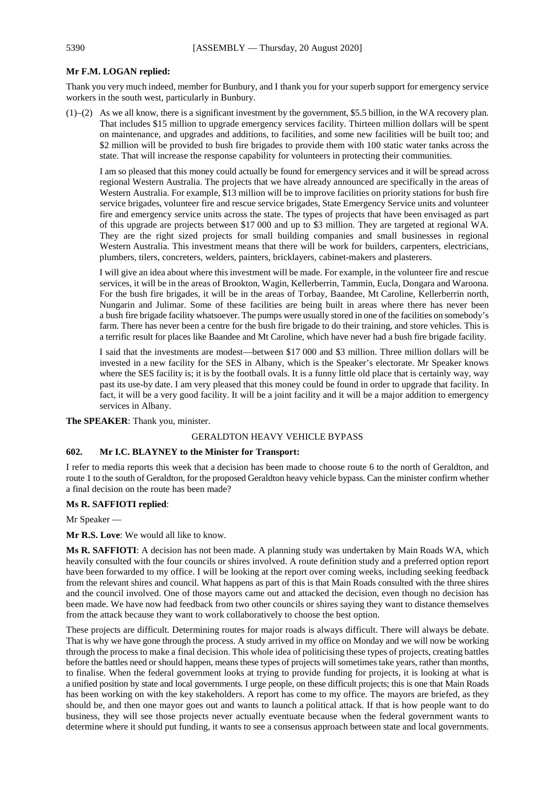# **Mr F.M. LOGAN replied:**

Thank you very much indeed, member for Bunbury, and I thank you for your superb support for emergency service workers in the south west, particularly in Bunbury.

(1)–(2) As we all know, there is a significant investment by the government, \$5.5 billion, in the WA recovery plan. That includes \$15 million to upgrade emergency services facility. Thirteen million dollars will be spent on maintenance, and upgrades and additions, to facilities, and some new facilities will be built too; and \$2 million will be provided to bush fire brigades to provide them with 100 static water tanks across the state. That will increase the response capability for volunteers in protecting their communities.

I am so pleased that this money could actually be found for emergency services and it will be spread across regional Western Australia. The projects that we have already announced are specifically in the areas of Western Australia. For example, \$13 million will be to improve facilities on priority stations for bush fire service brigades, volunteer fire and rescue service brigades, State Emergency Service units and volunteer fire and emergency service units across the state. The types of projects that have been envisaged as part of this upgrade are projects between \$17 000 and up to \$3 million. They are targeted at regional WA. They are the right sized projects for small building companies and small businesses in regional Western Australia. This investment means that there will be work for builders, carpenters, electricians, plumbers, tilers, concreters, welders, painters, bricklayers, cabinet-makers and plasterers.

I will give an idea about where this investment will be made. For example, in the volunteer fire and rescue services, it will be in the areas of Brookton, Wagin, Kellerberrin, Tammin, Eucla, Dongara and Waroona. For the bush fire brigades, it will be in the areas of Torbay, Baandee, Mt Caroline, Kellerberrin north, Nungarin and Julimar. Some of these facilities are being built in areas where there has never been a bush fire brigade facility whatsoever. The pumps were usually stored in one of the facilities on somebody's farm. There has never been a centre for the bush fire brigade to do their training, and store vehicles. This is a terrific result for places like Baandee and Mt Caroline, which have never had a bush fire brigade facility.

I said that the investments are modest—between \$17 000 and \$3 million. Three million dollars will be invested in a new facility for the SES in Albany, which is the Speaker's electorate. Mr Speaker knows where the SES facility is; it is by the football ovals. It is a funny little old place that is certainly way, way past its use-by date. I am very pleased that this money could be found in order to upgrade that facility. In fact, it will be a very good facility. It will be a joint facility and it will be a major addition to emergency services in Albany.

**The SPEAKER**: Thank you, minister.

#### GERALDTON HEAVY VEHICLE BYPASS

#### **602. Mr I.C. BLAYNEY to the Minister for Transport:**

I refer to media reports this week that a decision has been made to choose route 6 to the north of Geraldton, and route 1 to the south of Geraldton, for the proposed Geraldton heavy vehicle bypass. Can the minister confirm whether a final decision on the route has been made?

# **Ms R. SAFFIOTI replied**:

Mr Speaker —

**Mr R.S. Love**: We would all like to know.

**Ms R. SAFFIOTI**: A decision has not been made. A planning study was undertaken by Main Roads WA, which heavily consulted with the four councils or shires involved. A route definition study and a preferred option report have been forwarded to my office. I will be looking at the report over coming weeks, including seeking feedback from the relevant shires and council. What happens as part of this is that Main Roads consulted with the three shires and the council involved. One of those mayors came out and attacked the decision, even though no decision has been made. We have now had feedback from two other councils or shires saying they want to distance themselves from the attack because they want to work collaboratively to choose the best option.

These projects are difficult. Determining routes for major roads is always difficult. There will always be debate. That is why we have gone through the process. A study arrived in my office on Monday and we will now be working through the process to make a final decision. This whole idea of politicising these types of projects, creating battles before the battles need or should happen, means these types of projects will sometimes take years, rather than months, to finalise. When the federal government looks at trying to provide funding for projects, it is looking at what is a unified position by state and local governments. I urge people, on these difficult projects; this is one that Main Roads has been working on with the key stakeholders. A report has come to my office. The mayors are briefed, as they should be, and then one mayor goes out and wants to launch a political attack. If that is how people want to do business, they will see those projects never actually eventuate because when the federal government wants to determine where it should put funding, it wants to see a consensus approach between state and local governments.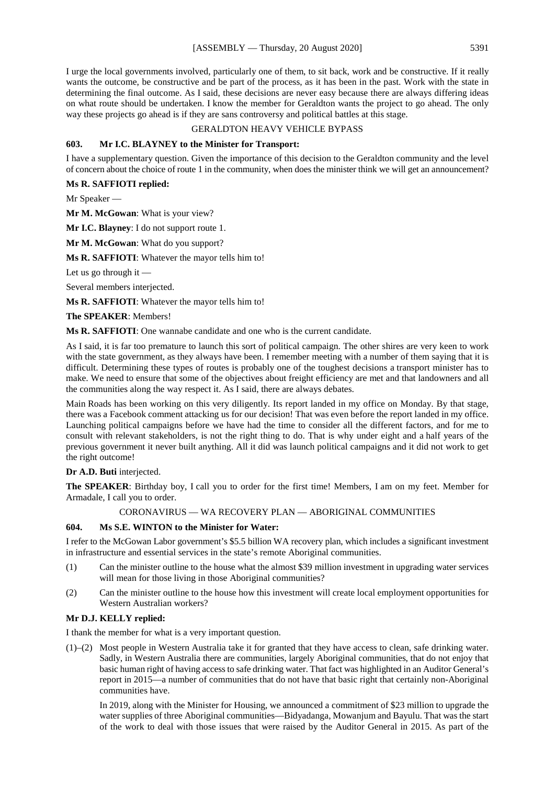I urge the local governments involved, particularly one of them, to sit back, work and be constructive. If it really wants the outcome, be constructive and be part of the process, as it has been in the past. Work with the state in determining the final outcome. As I said, these decisions are never easy because there are always differing ideas on what route should be undertaken. I know the member for Geraldton wants the project to go ahead. The only way these projects go ahead is if they are sans controversy and political battles at this stage.

#### GERALDTON HEAVY VEHICLE BYPASS

#### **603. Mr I.C. BLAYNEY to the Minister for Transport:**

I have a supplementary question. Given the importance of this decision to the Geraldton community and the level of concern about the choice of route 1 in the community, when does the minister think we will get an announcement?

#### **Ms R. SAFFIOTI replied:**

Mr Speaker —

**Mr M. McGowan**: What is your view?

**Mr I.C. Blayney**: I do not support route 1.

**Mr M. McGowan**: What do you support?

**Ms R. SAFFIOTI**: Whatever the mayor tells him to!

Let us go through it —

Several members interjected.

**Ms R. SAFFIOTI**: Whatever the mayor tells him to!

**The SPEAKER**: Members!

**Ms R. SAFFIOTI**: One wannabe candidate and one who is the current candidate.

As I said, it is far too premature to launch this sort of political campaign. The other shires are very keen to work with the state government, as they always have been. I remember meeting with a number of them saying that it is difficult. Determining these types of routes is probably one of the toughest decisions a transport minister has to make. We need to ensure that some of the objectives about freight efficiency are met and that landowners and all the communities along the way respect it. As I said, there are always debates.

Main Roads has been working on this very diligently. Its report landed in my office on Monday. By that stage, there was a Facebook comment attacking us for our decision! That was even before the report landed in my office. Launching political campaigns before we have had the time to consider all the different factors, and for me to consult with relevant stakeholders, is not the right thing to do. That is why under eight and a half years of the previous government it never built anything. All it did was launch political campaigns and it did not work to get the right outcome!

#### **Dr A.D. Buti** interjected.

**The SPEAKER**: Birthday boy, I call you to order for the first time! Members, I am on my feet. Member for Armadale, I call you to order.

#### CORONAVIRUS — WA RECOVERY PLAN — ABORIGINAL COMMUNITIES

# **604. Ms S.E. WINTON to the Minister for Water:**

I refer to the McGowan Labor government's \$5.5 billion WA recovery plan, which includes a significant investment in infrastructure and essential services in the state's remote Aboriginal communities.

- (1) Can the minister outline to the house what the almost \$39 million investment in upgrading water services will mean for those living in those Aboriginal communities?
- (2) Can the minister outline to the house how this investment will create local employment opportunities for Western Australian workers?

# **Mr D.J. KELLY replied:**

I thank the member for what is a very important question.

(1)–(2) Most people in Western Australia take it for granted that they have access to clean, safe drinking water. Sadly, in Western Australia there are communities, largely Aboriginal communities, that do not enjoy that basic human right of having access to safe drinking water. That fact was highlighted in an Auditor General's report in 2015—a number of communities that do not have that basic right that certainly non-Aboriginal communities have.

In 2019, along with the Minister for Housing, we announced a commitment of \$23 million to upgrade the water supplies of three Aboriginal communities—Bidyadanga, Mowanjum and Bayulu. That was the start of the work to deal with those issues that were raised by the Auditor General in 2015. As part of the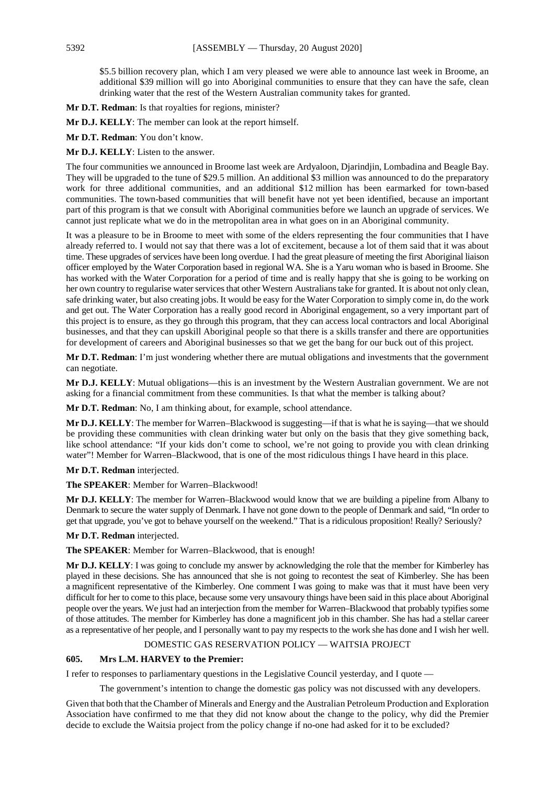\$5.5 billion recovery plan, which I am very pleased we were able to announce last week in Broome, an additional \$39 million will go into Aboriginal communities to ensure that they can have the safe, clean drinking water that the rest of the Western Australian community takes for granted.

**Mr D.T. Redman**: Is that royalties for regions, minister?

**Mr D.J. KELLY**: The member can look at the report himself.

**Mr D.T. Redman**: You don't know.

**Mr D.J. KELLY**: Listen to the answer.

The four communities we announced in Broome last week are Ardyaloon, Djarindjin, Lombadina and Beagle Bay. They will be upgraded to the tune of \$29.5 million. An additional \$3 million was announced to do the preparatory work for three additional communities, and an additional \$12 million has been earmarked for town-based communities. The town-based communities that will benefit have not yet been identified, because an important part of this program is that we consult with Aboriginal communities before we launch an upgrade of services. We cannot just replicate what we do in the metropolitan area in what goes on in an Aboriginal community.

It was a pleasure to be in Broome to meet with some of the elders representing the four communities that I have already referred to. I would not say that there was a lot of excitement, because a lot of them said that it was about time. These upgrades of services have been long overdue. I had the great pleasure of meeting the first Aboriginal liaison officer employed by the Water Corporation based in regional WA. She is a Yaru woman who is based in Broome. She has worked with the Water Corporation for a period of time and is really happy that she is going to be working on her own country to regularise water services that other Western Australians take for granted. It is about not only clean, safe drinking water, but also creating jobs. It would be easy for the Water Corporation to simply come in, do the work and get out. The Water Corporation has a really good record in Aboriginal engagement, so a very important part of this project is to ensure, as they go through this program, that they can access local contractors and local Aboriginal businesses, and that they can upskill Aboriginal people so that there is a skills transfer and there are opportunities for development of careers and Aboriginal businesses so that we get the bang for our buck out of this project.

**Mr D.T. Redman**: I'm just wondering whether there are mutual obligations and investments that the government can negotiate.

**Mr D.J. KELLY**: Mutual obligations—this is an investment by the Western Australian government. We are not asking for a financial commitment from these communities. Is that what the member is talking about?

**Mr D.T. Redman**: No, I am thinking about, for example, school attendance.

**Mr D.J. KELLY**: The member for Warren–Blackwood is suggesting—if that is what he is saying—that we should be providing these communities with clean drinking water but only on the basis that they give something back, like school attendance: "If your kids don't come to school, we're not going to provide you with clean drinking water"! Member for Warren–Blackwood, that is one of the most ridiculous things I have heard in this place.

**Mr D.T. Redman** interjected.

**The SPEAKER**: Member for Warren–Blackwood!

**Mr D.J. KELLY**: The member for Warren–Blackwood would know that we are building a pipeline from Albany to Denmark to secure the water supply of Denmark. I have not gone down to the people of Denmark and said, "In order to get that upgrade, you've got to behave yourself on the weekend." That is a ridiculous proposition! Really? Seriously?

**Mr D.T. Redman** interjected.

**The SPEAKER**: Member for Warren–Blackwood, that is enough!

**Mr D.J. KELLY**: I was going to conclude my answer by acknowledging the role that the member for Kimberley has played in these decisions. She has announced that she is not going to recontest the seat of Kimberley. She has been a magnificent representative of the Kimberley. One comment I was going to make was that it must have been very difficult for her to come to this place, because some very unsavoury things have been said in this place about Aboriginal people over the years. We just had an interjection from the member for Warren–Blackwood that probably typifies some of those attitudes. The member for Kimberley has done a magnificent job in this chamber. She has had a stellar career as a representative of her people, and I personally want to pay my respects to the work she has done and I wish her well.

#### DOMESTIC GAS RESERVATION POLICY — WAITSIA PROJECT

# **605. Mrs L.M. HARVEY to the Premier:**

I refer to responses to parliamentary questions in the Legislative Council yesterday, and I quote —

The government's intention to change the domestic gas policy was not discussed with any developers.

Given that both that the Chamber of Minerals and Energy and the Australian Petroleum Production and Exploration Association have confirmed to me that they did not know about the change to the policy, why did the Premier decide to exclude the Waitsia project from the policy change if no-one had asked for it to be excluded?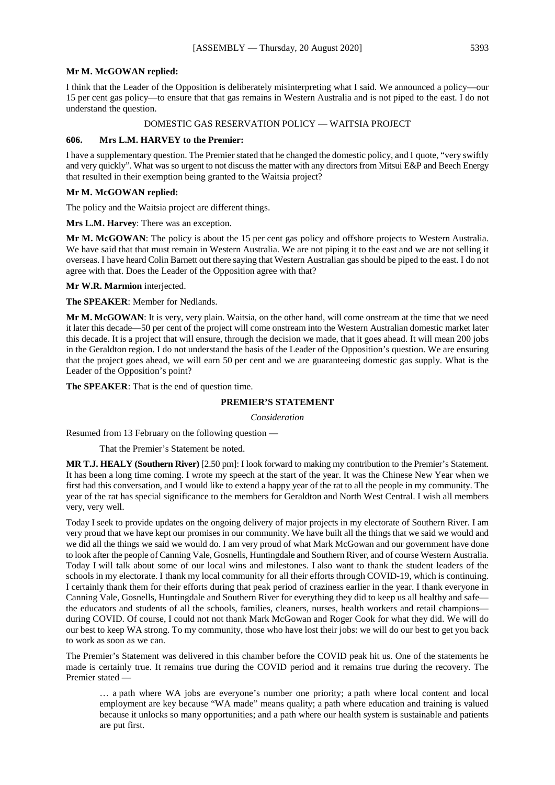#### **Mr M. McGOWAN replied:**

I think that the Leader of the Opposition is deliberately misinterpreting what I said. We announced a policy—our 15 per cent gas policy—to ensure that that gas remains in Western Australia and is not piped to the east. I do not understand the question.

# DOMESTIC GAS RESERVATION POLICY — WAITSIA PROJECT

# **606. Mrs L.M. HARVEY to the Premier:**

I have a supplementary question. The Premier stated that he changed the domestic policy, and I quote, "very swiftly and very quickly". What was so urgent to not discuss the matter with any directors from Mitsui E&P and Beech Energy that resulted in their exemption being granted to the Waitsia project?

# **Mr M. McGOWAN replied:**

The policy and the Waitsia project are different things.

**Mrs L.M. Harvey**: There was an exception.

**Mr M. McGOWAN**: The policy is about the 15 per cent gas policy and offshore projects to Western Australia. We have said that that must remain in Western Australia. We are not piping it to the east and we are not selling it overseas. I have heard Colin Barnett out there saying that Western Australian gas should be piped to the east. I do not agree with that. Does the Leader of the Opposition agree with that?

**Mr W.R. Marmion** interjected.

**The SPEAKER**: Member for Nedlands.

**Mr M. McGOWAN**: It is very, very plain. Waitsia, on the other hand, will come onstream at the time that we need it later this decade—50 per cent of the project will come onstream into the Western Australian domestic market later this decade. It is a project that will ensure, through the decision we made, that it goes ahead. It will mean 200 jobs in the Geraldton region. I do not understand the basis of the Leader of the Opposition's question. We are ensuring that the project goes ahead, we will earn 50 per cent and we are guaranteeing domestic gas supply. What is the Leader of the Opposition's point?

**The SPEAKER**: That is the end of question time.

# **PREMIER'S STATEMENT**

*Consideration*

Resumed from 13 February on the following question —

That the Premier's Statement be noted.

**MR T.J. HEALY (Southern River)** [2.50 pm]: I look forward to making my contribution to the Premier's Statement. It has been a long time coming. I wrote my speech at the start of the year. It was the Chinese New Year when we first had this conversation, and I would like to extend a happy year of the rat to all the people in my community. The year of the rat has special significance to the members for Geraldton and North West Central. I wish all members very, very well.

Today I seek to provide updates on the ongoing delivery of major projects in my electorate of Southern River. I am very proud that we have kept our promises in our community. We have built all the things that we said we would and we did all the things we said we would do. I am very proud of what Mark McGowan and our government have done to look after the people of Canning Vale, Gosnells, Huntingdale and Southern River, and of course Western Australia. Today I will talk about some of our local wins and milestones. I also want to thank the student leaders of the schools in my electorate. I thank my local community for all their efforts through COVID-19, which is continuing. I certainly thank them for their efforts during that peak period of craziness earlier in the year. I thank everyone in Canning Vale, Gosnells, Huntingdale and Southern River for everything they did to keep us all healthy and safe the educators and students of all the schools, families, cleaners, nurses, health workers and retail champions during COVID. Of course, I could not not thank Mark McGowan and Roger Cook for what they did. We will do our best to keep WA strong. To my community, those who have lost their jobs: we will do our best to get you back to work as soon as we can.

The Premier's Statement was delivered in this chamber before the COVID peak hit us. One of the statements he made is certainly true. It remains true during the COVID period and it remains true during the recovery. The Premier stated —

… a path where WA jobs are everyone's number one priority; a path where local content and local employment are key because "WA made" means quality; a path where education and training is valued because it unlocks so many opportunities; and a path where our health system is sustainable and patients are put first.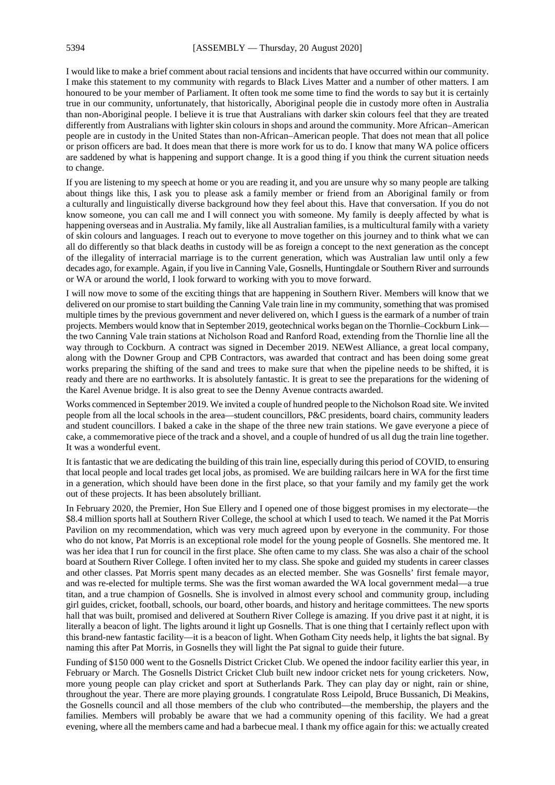I would like to make a brief comment about racial tensions and incidents that have occurred within our community. I make this statement to my community with regards to Black Lives Matter and a number of other matters. I am honoured to be your member of Parliament. It often took me some time to find the words to say but it is certainly true in our community, unfortunately, that historically, Aboriginal people die in custody more often in Australia than non-Aboriginal people. I believe it is true that Australians with darker skin colours feel that they are treated differently from Australians with lighter skin colours in shops and around the community. More African–American people are in custody in the United States than non-African–American people. That does not mean that all police or prison officers are bad. It does mean that there is more work for us to do. I know that many WA police officers are saddened by what is happening and support change. It is a good thing if you think the current situation needs to change.

If you are listening to my speech at home or you are reading it, and you are unsure why so many people are talking about things like this, I ask you to please ask a family member or friend from an Aboriginal family or from a culturally and linguistically diverse background how they feel about this. Have that conversation. If you do not know someone, you can call me and I will connect you with someone. My family is deeply affected by what is happening overseas and in Australia. My family, like all Australian families, is a multicultural family with a variety of skin colours and languages. I reach out to everyone to move together on this journey and to think what we can all do differently so that black deaths in custody will be as foreign a concept to the next generation as the concept of the illegality of interracial marriage is to the current generation, which was Australian law until only a few decades ago, for example. Again, if you live in Canning Vale, Gosnells, Huntingdale or Southern River and surrounds or WA or around the world, I look forward to working with you to move forward.

I will now move to some of the exciting things that are happening in Southern River. Members will know that we delivered on our promise to start building the Canning Vale train line in my community, something that was promised multiple times by the previous government and never delivered on, which I guess is the earmark of a number of train projects. Members would know that in September 2019, geotechnical works began on the Thornlie–Cockburn Link the two Canning Vale train stations at Nicholson Road and Ranford Road, extending from the Thornlie line all the way through to Cockburn. A contract was signed in December 2019. NEWest Alliance, a great local company, along with the Downer Group and CPB Contractors, was awarded that contract and has been doing some great works preparing the shifting of the sand and trees to make sure that when the pipeline needs to be shifted, it is ready and there are no earthworks. It is absolutely fantastic. It is great to see the preparations for the widening of the Karel Avenue bridge. It is also great to see the Denny Avenue contracts awarded.

Works commenced in September 2019. We invited a couple of hundred people to the Nicholson Road site. We invited people from all the local schools in the area—student councillors, P&C presidents, board chairs, community leaders and student councillors. I baked a cake in the shape of the three new train stations. We gave everyone a piece of cake, a commemorative piece of the track and a shovel, and a couple of hundred of us all dug the train line together. It was a wonderful event.

It is fantastic that we are dedicating the building of this train line, especially during this period of COVID, to ensuring that local people and local trades get local jobs, as promised. We are building railcars here in WA for the first time in a generation, which should have been done in the first place, so that your family and my family get the work out of these projects. It has been absolutely brilliant.

In February 2020, the Premier, Hon Sue Ellery and I opened one of those biggest promises in my electorate—the \$8.4 million sports hall at Southern River College, the school at which I used to teach. We named it the Pat Morris Pavilion on my recommendation, which was very much agreed upon by everyone in the community. For those who do not know, Pat Morris is an exceptional role model for the young people of Gosnells. She mentored me. It was her idea that I run for council in the first place. She often came to my class. She was also a chair of the school board at Southern River College. I often invited her to my class. She spoke and guided my students in career classes and other classes. Pat Morris spent many decades as an elected member. She was Gosnells' first female mayor, and was re-elected for multiple terms. She was the first woman awarded the WA local government medal—a true titan, and a true champion of Gosnells. She is involved in almost every school and community group, including girl guides, cricket, football, schools, our board, other boards, and history and heritage committees. The new sports hall that was built, promised and delivered at Southern River College is amazing. If you drive past it at night, it is literally a beacon of light. The lights around it light up Gosnells. That is one thing that I certainly reflect upon with this brand-new fantastic facility—it is a beacon of light. When Gotham City needs help, it lights the bat signal. By naming this after Pat Morris, in Gosnells they will light the Pat signal to guide their future.

Funding of \$150 000 went to the Gosnells District Cricket Club. We opened the indoor facility earlier this year, in February or March. The Gosnells District Cricket Club built new indoor cricket nets for young cricketers. Now, more young people can play cricket and sport at Sutherlands Park. They can play day or night, rain or shine, throughout the year. There are more playing grounds. I congratulate Ross Leipold, Bruce Bussanich, Di Meakins, the Gosnells council and all those members of the club who contributed—the membership, the players and the families. Members will probably be aware that we had a community opening of this facility. We had a great evening, where all the members came and had a barbecue meal. I thank my office again for this: we actually created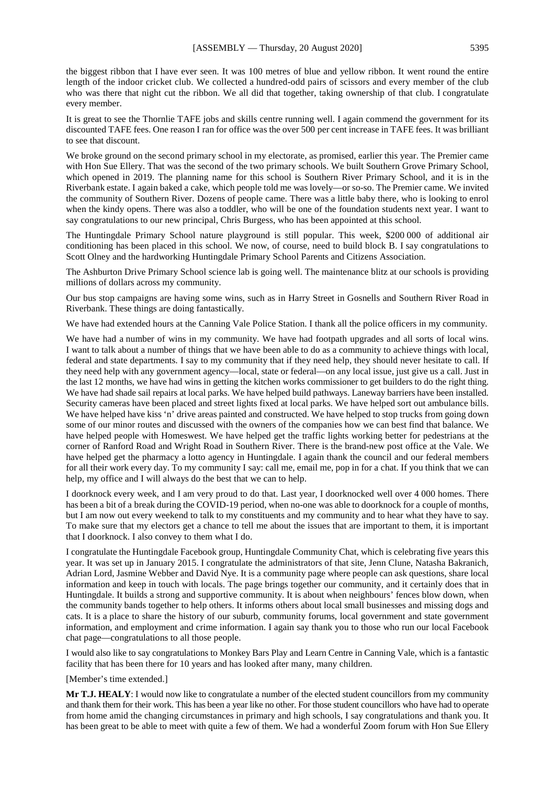the biggest ribbon that I have ever seen. It was 100 metres of blue and yellow ribbon. It went round the entire length of the indoor cricket club. We collected a hundred-odd pairs of scissors and every member of the club who was there that night cut the ribbon. We all did that together, taking ownership of that club. I congratulate every member.

It is great to see the Thornlie TAFE jobs and skills centre running well. I again commend the government for its discounted TAFE fees. One reason I ran for office was the over 500 per cent increase in TAFE fees. It was brilliant to see that discount.

We broke ground on the second primary school in my electorate, as promised, earlier this year. The Premier came with Hon Sue Ellery. That was the second of the two primary schools. We built Southern Grove Primary School, which opened in 2019. The planning name for this school is Southern River Primary School, and it is in the Riverbank estate. I again baked a cake, which people told me was lovely—or so-so. The Premier came. We invited the community of Southern River. Dozens of people came. There was a little baby there, who is looking to enrol when the kindy opens. There was also a toddler, who will be one of the foundation students next year. I want to say congratulations to our new principal, Chris Burgess, who has been appointed at this school.

The Huntingdale Primary School nature playground is still popular. This week, \$200 000 of additional air conditioning has been placed in this school. We now, of course, need to build block B. I say congratulations to Scott Olney and the hardworking Huntingdale Primary School Parents and Citizens Association.

The Ashburton Drive Primary School science lab is going well. The maintenance blitz at our schools is providing millions of dollars across my community.

Our bus stop campaigns are having some wins, such as in Harry Street in Gosnells and Southern River Road in Riverbank. These things are doing fantastically.

We have had extended hours at the Canning Vale Police Station. I thank all the police officers in my community.

We have had a number of wins in my community. We have had footpath upgrades and all sorts of local wins. I want to talk about a number of things that we have been able to do as a community to achieve things with local, federal and state departments. I say to my community that if they need help, they should never hesitate to call. If they need help with any government agency—local, state or federal—on any local issue, just give us a call. Just in the last 12 months, we have had wins in getting the kitchen works commissioner to get builders to do the right thing. We have had shade sail repairs at local parks. We have helped build pathways. Laneway barriers have been installed. Security cameras have been placed and street lights fixed at local parks. We have helped sort out ambulance bills. We have helped have kiss 'n' drive areas painted and constructed. We have helped to stop trucks from going down some of our minor routes and discussed with the owners of the companies how we can best find that balance. We have helped people with Homeswest. We have helped get the traffic lights working better for pedestrians at the corner of Ranford Road and Wright Road in Southern River. There is the brand-new post office at the Vale. We have helped get the pharmacy a lotto agency in Huntingdale. I again thank the council and our federal members for all their work every day. To my community I say: call me, email me, pop in for a chat. If you think that we can help, my office and I will always do the best that we can to help.

I doorknock every week, and I am very proud to do that. Last year, I doorknocked well over 4 000 homes. There has been a bit of a break during the COVID-19 period, when no-one was able to doorknock for a couple of months, but I am now out every weekend to talk to my constituents and my community and to hear what they have to say. To make sure that my electors get a chance to tell me about the issues that are important to them, it is important that I doorknock. I also convey to them what I do.

I congratulate the Huntingdale Facebook group, Huntingdale Community Chat, which is celebrating five years this year. It was set up in January 2015. I congratulate the administrators of that site, Jenn Clune, Natasha Bakranich, Adrian Lord, Jasmine Webber and David Nye. It is a community page where people can ask questions, share local information and keep in touch with locals. The page brings together our community, and it certainly does that in Huntingdale. It builds a strong and supportive community. It is about when neighbours' fences blow down, when the community bands together to help others. It informs others about local small businesses and missing dogs and cats. It is a place to share the history of our suburb, community forums, local government and state government information, and employment and crime information. I again say thank you to those who run our local Facebook chat page—congratulations to all those people.

I would also like to say congratulations to Monkey Bars Play and Learn Centre in Canning Vale, which is a fantastic facility that has been there for 10 years and has looked after many, many children.

[Member's time extended.]

**Mr T.J. HEALY**: I would now like to congratulate a number of the elected student councillors from my community and thank them for their work. This has been a year like no other. For those student councillors who have had to operate from home amid the changing circumstances in primary and high schools, I say congratulations and thank you. It has been great to be able to meet with quite a few of them. We had a wonderful Zoom forum with Hon Sue Ellery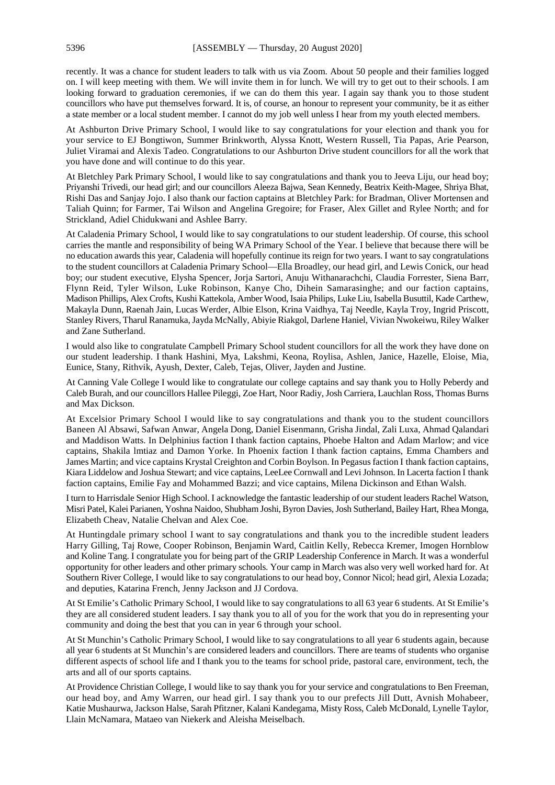recently. It was a chance for student leaders to talk with us via Zoom. About 50 people and their families logged on. I will keep meeting with them. We will invite them in for lunch. We will try to get out to their schools. I am looking forward to graduation ceremonies, if we can do them this year. I again say thank you to those student councillors who have put themselves forward. It is, of course, an honour to represent your community, be it as either a state member or a local student member. I cannot do my job well unless I hear from my youth elected members.

At Ashburton Drive Primary School, I would like to say congratulations for your election and thank you for your service to EJ Bongtiwon, Summer Brinkworth, Alyssa Knott, Western Russell, Tia Papas, Arie Pearson, Juliet Viramai and Alexis Tadeo. Congratulations to our Ashburton Drive student councillors for all the work that you have done and will continue to do this year.

At Bletchley Park Primary School, I would like to say congratulations and thank you to Jeeva Liju, our head boy; Priyanshi Trivedi, our head girl; and our councillors Aleeza Bajwa, Sean Kennedy, Beatrix Keith-Magee, Shriya Bhat, Rishi Das and Sanjay Jojo. I also thank our faction captains at Bletchley Park: for Bradman, Oliver Mortensen and Taliah Quinn; for Farmer, Tai Wilson and Angelina Gregoire; for Fraser, Alex Gillet and Rylee North; and for Strickland, Adiel Chidukwani and Ashlee Barry.

At Caladenia Primary School, I would like to say congratulations to our student leadership. Of course, this school carries the mantle and responsibility of being WA Primary School of the Year. I believe that because there will be no education awards this year, Caladenia will hopefully continue its reign for two years. I want to say congratulations to the student councillors at Caladenia Primary School—Ella Broadley, our head girl, and Lewis Conick, our head boy; our student executive, Elysha Spencer, Jorja Sartori, Anuju Withanarachchi, Claudia Forrester, Siena Barr, Flynn Reid, Tyler Wilson, Luke Robinson, Kanye Cho, Dihein Samarasinghe; and our faction captains, Madison Phillips, Alex Crofts, Kushi Kattekola, Amber Wood, Isaia Philips, Luke Liu, Isabella Busuttil, Kade Carthew, Makayla Dunn, Raenah Jain, Lucas Werder, Albie Elson, Krina Vaidhya, Taj Needle, Kayla Troy, Ingrid Priscott, Stanley Rivers, Tharul Ranamuka, Jayda McNally, Abiyie Riakgol, Darlene Haniel, Vivian Nwokeiwu, Riley Walker and Zane Sutherland.

I would also like to congratulate Campbell Primary School student councillors for all the work they have done on our student leadership. I thank Hashini, Mya, Lakshmi, Keona, Roylisa, Ashlen, Janice, Hazelle, Eloise, Mia, Eunice, Stany, Rithvik, Ayush, Dexter, Caleb, Tejas, Oliver, Jayden and Justine.

At Canning Vale College I would like to congratulate our college captains and say thank you to Holly Peberdy and Caleb Burah, and our councillors Hallee Pileggi, Zoe Hart, Noor Radiy, Josh Carriera, Lauchlan Ross, Thomas Burns and Max Dickson.

At Excelsior Primary School I would like to say congratulations and thank you to the student councillors Baneen Al Absawi, Safwan Anwar, Angela Dong, Daniel Eisenmann, Grisha Jindal, Zali Luxa, Ahmad Qalandari and Maddison Watts. In Delphinius faction I thank faction captains, Phoebe Halton and Adam Marlow; and vice captains, Shakila lmtiaz and Damon Yorke. In Phoenix faction I thank faction captains, Emma Chambers and James Martin; and vice captains Krystal Creighton and Corbin Boylson. In Pegasus faction I thank faction captains, Kiara Liddelow and Joshua Stewart; and vice captains, LeeLee Cornwall and Levi Johnson. In Lacerta faction I thank faction captains, Emilie Fay and Mohammed Bazzi; and vice captains, Milena Dickinson and Ethan Walsh.

I turn to Harrisdale Senior High School. I acknowledge the fantastic leadership of our student leaders Rachel Watson, Misri Patel, Kalei Parianen, Yoshna Naidoo, Shubham Joshi, Byron Davies, Josh Sutherland, Bailey Hart, Rhea Monga, Elizabeth Cheav, Natalie Chelvan and Alex Coe.

At Huntingdale primary school I want to say congratulations and thank you to the incredible student leaders Harry Gilling, Taj Rowe, Cooper Robinson, Benjamin Ward, Caitlin Kelly, Rebecca Kremer, Imogen Hornblow and Koline Tang. I congratulate you for being part of the GRIP Leadership Conference in March. It was a wonderful opportunity for other leaders and other primary schools. Your camp in March was also very well worked hard for. At Southern River College, I would like to say congratulations to our head boy, Connor Nicol; head girl, Alexia Lozada; and deputies, Katarina French, Jenny Jackson and JJ Cordova.

At St Emilie's Catholic Primary School, I would like to say congratulations to all 63 year 6 students. At St Emilie's they are all considered student leaders. I say thank you to all of you for the work that you do in representing your community and doing the best that you can in year 6 through your school.

At St Munchin's Catholic Primary School, I would like to say congratulations to all year 6 students again, because all year 6 students at St Munchin's are considered leaders and councillors. There are teams of students who organise different aspects of school life and I thank you to the teams for school pride, pastoral care, environment, tech, the arts and all of our sports captains.

At Providence Christian College, I would like to say thank you for your service and congratulations to Ben Freeman, our head boy, and Amy Warren, our head girl. I say thank you to our prefects Jill Dutt, Avnish Mohabeer, Katie Mushaurwa, Jackson Halse, Sarah Pfitzner, Kalani Kandegama, Misty Ross, Caleb McDonald, Lynelle Taylor, Llain McNamara, Mataeo van Niekerk and Aleisha Meiselbach.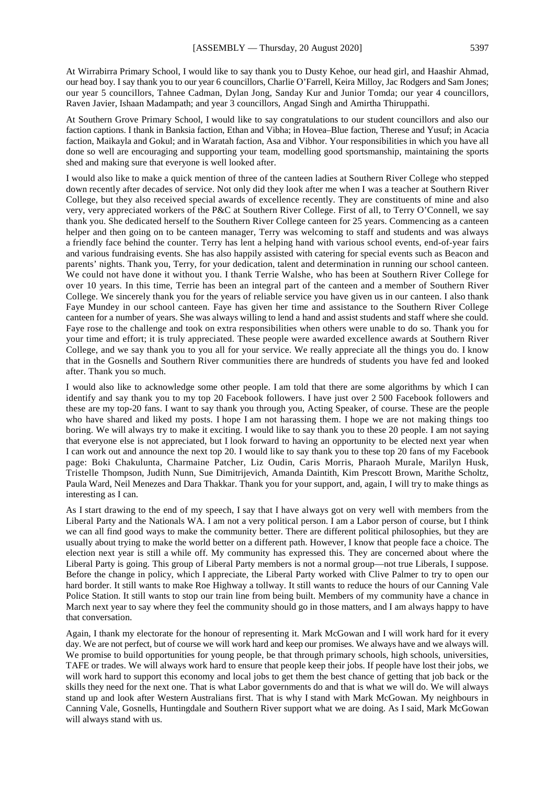At Wirrabirra Primary School, I would like to say thank you to Dusty Kehoe, our head girl, and Haashir Ahmad, our head boy. I say thank you to our year 6 councillors, Charlie O'Farrell, Keira Milloy, Jac Rodgers and Sam Jones; our year 5 councillors, Tahnee Cadman, Dylan Jong, Sanday Kur and Junior Tomda; our year 4 councillors, Raven Javier, Ishaan Madampath; and year 3 councillors, Angad Singh and Amirtha Thiruppathi.

At Southern Grove Primary School, I would like to say congratulations to our student councillors and also our faction captions. I thank in Banksia faction, Ethan and Vibha; in Hovea–Blue faction, Therese and Yusuf; in Acacia faction, Maikayla and Gokul; and in Waratah faction, Asa and Vibhor. Your responsibilities in which you have all done so well are encouraging and supporting your team, modelling good sportsmanship, maintaining the sports shed and making sure that everyone is well looked after.

I would also like to make a quick mention of three of the canteen ladies at Southern River College who stepped down recently after decades of service. Not only did they look after me when I was a teacher at Southern River College, but they also received special awards of excellence recently. They are constituents of mine and also very, very appreciated workers of the P&C at Southern River College. First of all, to Terry O'Connell, we say thank you. She dedicated herself to the Southern River College canteen for 25 years. Commencing as a canteen helper and then going on to be canteen manager, Terry was welcoming to staff and students and was always a friendly face behind the counter. Terry has lent a helping hand with various school events, end-of-year fairs and various fundraising events. She has also happily assisted with catering for special events such as Beacon and parents' nights. Thank you, Terry, for your dedication, talent and determination in running our school canteen. We could not have done it without you. I thank Terrie Walshe, who has been at Southern River College for over 10 years. In this time, Terrie has been an integral part of the canteen and a member of Southern River College. We sincerely thank you for the years of reliable service you have given us in our canteen. I also thank Faye Mundey in our school canteen. Faye has given her time and assistance to the Southern River College canteen for a number of years. She was always willing to lend a hand and assist students and staff where she could. Faye rose to the challenge and took on extra responsibilities when others were unable to do so. Thank you for your time and effort; it is truly appreciated. These people were awarded excellence awards at Southern River College, and we say thank you to you all for your service. We really appreciate all the things you do. I know that in the Gosnells and Southern River communities there are hundreds of students you have fed and looked after. Thank you so much.

I would also like to acknowledge some other people. I am told that there are some algorithms by which I can identify and say thank you to my top 20 Facebook followers. I have just over 2 500 Facebook followers and these are my top-20 fans. I want to say thank you through you, Acting Speaker, of course. These are the people who have shared and liked my posts. I hope I am not harassing them. I hope we are not making things too boring. We will always try to make it exciting. I would like to say thank you to these 20 people. I am not saying that everyone else is not appreciated, but I look forward to having an opportunity to be elected next year when I can work out and announce the next top 20. I would like to say thank you to these top 20 fans of my Facebook page: Boki Chakulunta, Charmaine Patcher, Liz Oudin, Caris Morris, Pharaoh Murale, Marilyn Husk, Tristelle Thompson, Judith Nunn, Sue Dimitrijevich, Amanda Daintith, Kim Prescott Brown, Marithe Scholtz, Paula Ward, Neil Menezes and Dara Thakkar. Thank you for your support, and, again, I will try to make things as interesting as I can.

As I start drawing to the end of my speech, I say that I have always got on very well with members from the Liberal Party and the Nationals WA. I am not a very political person. I am a Labor person of course, but I think we can all find good ways to make the community better. There are different political philosophies, but they are usually about trying to make the world better on a different path. However, I know that people face a choice. The election next year is still a while off. My community has expressed this. They are concerned about where the Liberal Party is going. This group of Liberal Party members is not a normal group—not true Liberals, I suppose. Before the change in policy, which I appreciate, the Liberal Party worked with Clive Palmer to try to open our hard border. It still wants to make Roe Highway a tollway. It still wants to reduce the hours of our Canning Vale Police Station. It still wants to stop our train line from being built. Members of my community have a chance in March next year to say where they feel the community should go in those matters, and I am always happy to have that conversation.

Again, I thank my electorate for the honour of representing it. Mark McGowan and I will work hard for it every day. We are not perfect, but of course we will work hard and keep our promises. We always have and we always will. We promise to build opportunities for young people, be that through primary schools, high schools, universities, TAFE or trades. We will always work hard to ensure that people keep their jobs. If people have lost their jobs, we will work hard to support this economy and local jobs to get them the best chance of getting that job back or the skills they need for the next one. That is what Labor governments do and that is what we will do. We will always stand up and look after Western Australians first. That is why I stand with Mark McGowan. My neighbours in Canning Vale, Gosnells, Huntingdale and Southern River support what we are doing. As I said, Mark McGowan will always stand with us.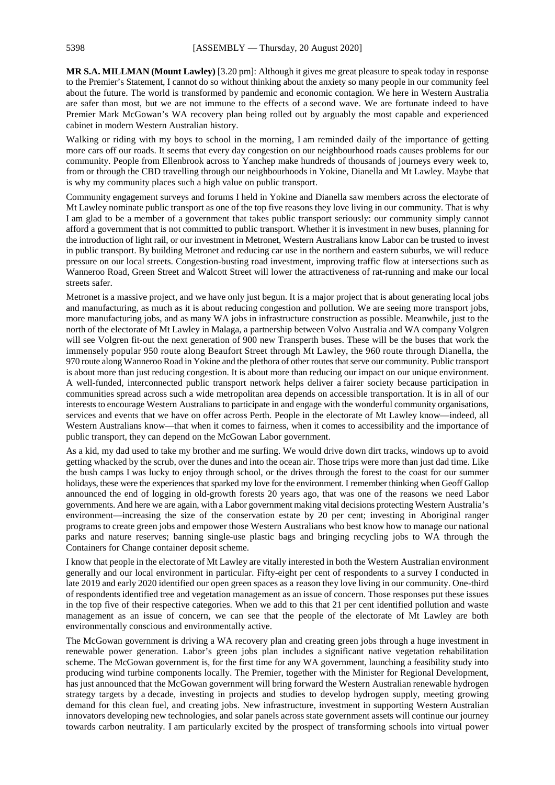**MR S.A. MILLMAN (Mount Lawley)** [3.20 pm]: Although it gives me great pleasure to speak today in response to the Premier's Statement, I cannot do so without thinking about the anxiety so many people in our community feel about the future. The world is transformed by pandemic and economic contagion. We here in Western Australia are safer than most, but we are not immune to the effects of a second wave. We are fortunate indeed to have Premier Mark McGowan's WA recovery plan being rolled out by arguably the most capable and experienced cabinet in modern Western Australian history.

Walking or riding with my boys to school in the morning, I am reminded daily of the importance of getting more cars off our roads. It seems that every day congestion on our neighbourhood roads causes problems for our community. People from Ellenbrook across to Yanchep make hundreds of thousands of journeys every week to, from or through the CBD travelling through our neighbourhoods in Yokine, Dianella and Mt Lawley. Maybe that is why my community places such a high value on public transport.

Community engagement surveys and forums I held in Yokine and Dianella saw members across the electorate of Mt Lawley nominate public transport as one of the top five reasons they love living in our community. That is why I am glad to be a member of a government that takes public transport seriously: our community simply cannot afford a government that is not committed to public transport. Whether it is investment in new buses, planning for the introduction of light rail, or our investment in Metronet, Western Australians know Labor can be trusted to invest in public transport. By building Metronet and reducing car use in the northern and eastern suburbs, we will reduce pressure on our local streets. Congestion-busting road investment, improving traffic flow at intersections such as Wanneroo Road, Green Street and Walcott Street will lower the attractiveness of rat-running and make our local streets safer.

Metronet is a massive project, and we have only just begun. It is a major project that is about generating local jobs and manufacturing, as much as it is about reducing congestion and pollution. We are seeing more transport jobs, more manufacturing jobs, and as many WA jobs in infrastructure construction as possible. Meanwhile, just to the north of the electorate of Mt Lawley in Malaga, a partnership between Volvo Australia and WA company Volgren will see Volgren fit-out the next generation of 900 new Transperth buses. These will be the buses that work the immensely popular 950 route along Beaufort Street through Mt Lawley, the 960 route through Dianella, the 970 route along Wanneroo Road in Yokine and the plethora of other routes that serve our community. Public transport is about more than just reducing congestion. It is about more than reducing our impact on our unique environment. A well-funded, interconnected public transport network helps deliver a fairer society because participation in communities spread across such a wide metropolitan area depends on accessible transportation. It is in all of our interests to encourage Western Australians to participate in and engage with the wonderful community organisations, services and events that we have on offer across Perth. People in the electorate of Mt Lawley know—indeed, all Western Australians know—that when it comes to fairness, when it comes to accessibility and the importance of public transport, they can depend on the McGowan Labor government.

As a kid, my dad used to take my brother and me surfing. We would drive down dirt tracks, windows up to avoid getting whacked by the scrub, over the dunes and into the ocean air. Those trips were more than just dad time. Like the bush camps I was lucky to enjoy through school, or the drives through the forest to the coast for our summer holidays, these were the experiences that sparked my love for the environment. I remember thinking when Geoff Gallop announced the end of logging in old-growth forests 20 years ago, that was one of the reasons we need Labor governments. And here we are again, with a Labor government making vital decisions protecting Western Australia's environment—increasing the size of the conservation estate by 20 per cent; investing in Aboriginal ranger programs to create green jobs and empower those Western Australians who best know how to manage our national parks and nature reserves; banning single-use plastic bags and bringing recycling jobs to WA through the Containers for Change container deposit scheme.

I know that people in the electorate of Mt Lawley are vitally interested in both the Western Australian environment generally and our local environment in particular. Fifty-eight per cent of respondents to a survey I conducted in late 2019 and early 2020 identified our open green spaces as a reason they love living in our community. One-third of respondents identified tree and vegetation management as an issue of concern. Those responses put these issues in the top five of their respective categories. When we add to this that 21 per cent identified pollution and waste management as an issue of concern, we can see that the people of the electorate of Mt Lawley are both environmentally conscious and environmentally active.

The McGowan government is driving a WA recovery plan and creating green jobs through a huge investment in renewable power generation. Labor's green jobs plan includes a significant native vegetation rehabilitation scheme. The McGowan government is, for the first time for any WA government, launching a feasibility study into producing wind turbine components locally. The Premier, together with the Minister for Regional Development, has just announced that the McGowan government will bring forward the Western Australian renewable hydrogen strategy targets by a decade, investing in projects and studies to develop hydrogen supply, meeting growing demand for this clean fuel, and creating jobs. New infrastructure, investment in supporting Western Australian innovators developing new technologies, and solar panels across state government assets will continue our journey towards carbon neutrality. I am particularly excited by the prospect of transforming schools into virtual power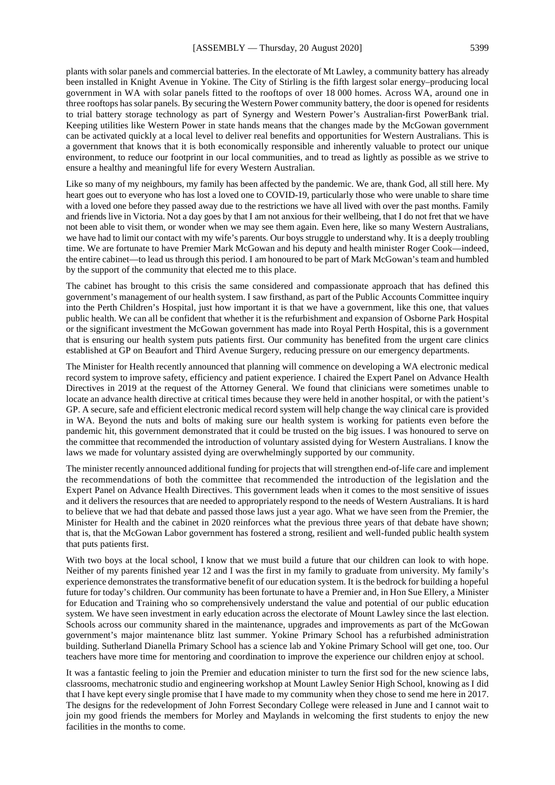plants with solar panels and commercial batteries. In the electorate of Mt Lawley, a community battery has already been installed in Knight Avenue in Yokine. The City of Stirling is the fifth largest solar energy–producing local government in WA with solar panels fitted to the rooftops of over 18 000 homes. Across WA, around one in three rooftops has solar panels. By securing the Western Power community battery, the door is opened for residents to trial battery storage technology as part of Synergy and Western Power's Australian-first PowerBank trial. Keeping utilities like Western Power in state hands means that the changes made by the McGowan government can be activated quickly at a local level to deliver real benefits and opportunities for Western Australians. This is a government that knows that it is both economically responsible and inherently valuable to protect our unique environment, to reduce our footprint in our local communities, and to tread as lightly as possible as we strive to ensure a healthy and meaningful life for every Western Australian.

Like so many of my neighbours, my family has been affected by the pandemic. We are, thank God, all still here. My heart goes out to everyone who has lost a loved one to COVID-19, particularly those who were unable to share time with a loved one before they passed away due to the restrictions we have all lived with over the past months. Family and friends live in Victoria. Not a day goes by that I am not anxious for their wellbeing, that I do not fret that we have not been able to visit them, or wonder when we may see them again. Even here, like so many Western Australians, we have had to limit our contact with my wife's parents. Our boys struggle to understand why. It is a deeply troubling time. We are fortunate to have Premier Mark McGowan and his deputy and health minister Roger Cook—indeed, the entire cabinet—to lead us through this period. I am honoured to be part of Mark McGowan's team and humbled by the support of the community that elected me to this place.

The cabinet has brought to this crisis the same considered and compassionate approach that has defined this government's management of our health system. I saw firsthand, as part of the Public Accounts Committee inquiry into the Perth Children's Hospital, just how important it is that we have a government, like this one, that values public health. We can all be confident that whether it is the refurbishment and expansion of Osborne Park Hospital or the significant investment the McGowan government has made into Royal Perth Hospital, this is a government that is ensuring our health system puts patients first. Our community has benefited from the urgent care clinics established at GP on Beaufort and Third Avenue Surgery, reducing pressure on our emergency departments.

The Minister for Health recently announced that planning will commence on developing a WA electronic medical record system to improve safety, efficiency and patient experience. I chaired the Expert Panel on Advance Health Directives in 2019 at the request of the Attorney General. We found that clinicians were sometimes unable to locate an advance health directive at critical times because they were held in another hospital, or with the patient's GP. A secure, safe and efficient electronic medical record system will help change the way clinical care is provided in WA. Beyond the nuts and bolts of making sure our health system is working for patients even before the pandemic hit, this government demonstrated that it could be trusted on the big issues. I was honoured to serve on the committee that recommended the introduction of voluntary assisted dying for Western Australians. I know the laws we made for voluntary assisted dying are overwhelmingly supported by our community.

The minister recently announced additional funding for projects that will strengthen end-of-life care and implement the recommendations of both the committee that recommended the introduction of the legislation and the Expert Panel on Advance Health Directives. This government leads when it comes to the most sensitive of issues and it delivers the resources that are needed to appropriately respond to the needs of Western Australians. It is hard to believe that we had that debate and passed those laws just a year ago. What we have seen from the Premier, the Minister for Health and the cabinet in 2020 reinforces what the previous three years of that debate have shown; that is, that the McGowan Labor government has fostered a strong, resilient and well-funded public health system that puts patients first.

With two boys at the local school, I know that we must build a future that our children can look to with hope. Neither of my parents finished year 12 and I was the first in my family to graduate from university. My family's experience demonstrates the transformative benefit of our education system. It is the bedrock for building a hopeful future for today's children. Our community has been fortunate to have a Premier and, in Hon Sue Ellery, a Minister for Education and Training who so comprehensively understand the value and potential of our public education system. We have seen investment in early education across the electorate of Mount Lawley since the last election. Schools across our community shared in the maintenance, upgrades and improvements as part of the McGowan government's major maintenance blitz last summer. Yokine Primary School has a refurbished administration building. Sutherland Dianella Primary School has a science lab and Yokine Primary School will get one, too. Our teachers have more time for mentoring and coordination to improve the experience our children enjoy at school.

It was a fantastic feeling to join the Premier and education minister to turn the first sod for the new science labs, classrooms, mechatronic studio and engineering workshop at Mount Lawley Senior High School, knowing as I did that I have kept every single promise that I have made to my community when they chose to send me here in 2017. The designs for the redevelopment of John Forrest Secondary College were released in June and I cannot wait to join my good friends the members for Morley and Maylands in welcoming the first students to enjoy the new facilities in the months to come.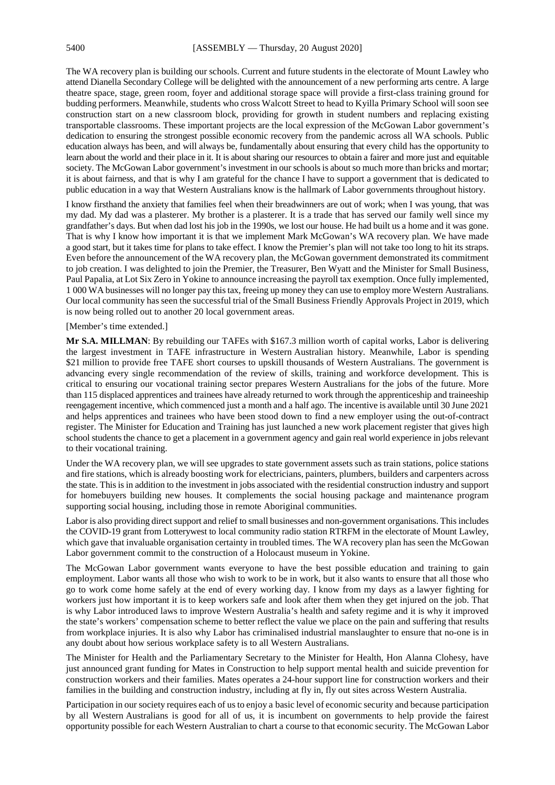The WA recovery plan is building our schools. Current and future students in the electorate of Mount Lawley who attend Dianella Secondary College will be delighted with the announcement of a new performing arts centre. A large theatre space, stage, green room, foyer and additional storage space will provide a first-class training ground for budding performers. Meanwhile, students who cross Walcott Street to head to Kyilla Primary School will soon see construction start on a new classroom block, providing for growth in student numbers and replacing existing transportable classrooms. These important projects are the local expression of the McGowan Labor government's dedication to ensuring the strongest possible economic recovery from the pandemic across all WA schools. Public education always has been, and will always be, fundamentally about ensuring that every child has the opportunity to learn about the world and their place in it. It is about sharing our resources to obtain a fairer and more just and equitable society. The McGowan Labor government's investment in our schools is about so much more than bricks and mortar; it is about fairness, and that is why I am grateful for the chance I have to support a government that is dedicated to public education in a way that Western Australians know is the hallmark of Labor governments throughout history.

I know firsthand the anxiety that families feel when their breadwinners are out of work; when I was young, that was my dad. My dad was a plasterer. My brother is a plasterer. It is a trade that has served our family well since my grandfather's days. But when dad lost his job in the 1990s, we lost our house. He had built us a home and it was gone. That is why I know how important it is that we implement Mark McGowan's WA recovery plan. We have made a good start, but it takes time for plans to take effect. I know the Premier's plan will not take too long to hit its straps. Even before the announcement of the WA recovery plan, the McGowan government demonstrated its commitment to job creation. I was delighted to join the Premier, the Treasurer, Ben Wyatt and the Minister for Small Business, Paul Papalia, at Lot Six Zero in Yokine to announce increasing the payroll tax exemption. Once fully implemented, 1 000 WA businesses will no longer pay this tax, freeing up money they can use to employ more Western Australians. Our local community has seen the successful trial of the Small Business Friendly Approvals Project in 2019, which is now being rolled out to another 20 local government areas.

[Member's time extended.]

**Mr S.A. MILLMAN**: By rebuilding our TAFEs with \$167.3 million worth of capital works, Labor is delivering the largest investment in TAFE infrastructure in Western Australian history. Meanwhile, Labor is spending \$21 million to provide free TAFE short courses to upskill thousands of Western Australians. The government is advancing every single recommendation of the review of skills, training and workforce development. This is critical to ensuring our vocational training sector prepares Western Australians for the jobs of the future. More than 115 displaced apprentices and trainees have already returned to work through the apprenticeship and traineeship reengagement incentive, which commenced just a month and a half ago. The incentive is available until 30 June 2021 and helps apprentices and trainees who have been stood down to find a new employer using the out-of-contract register. The Minister for Education and Training has just launched a new work placement register that gives high school students the chance to get a placement in a government agency and gain real world experience in jobs relevant to their vocational training.

Under the WA recovery plan, we will see upgrades to state government assets such as train stations, police stations and fire stations, which is already boosting work for electricians, painters, plumbers, builders and carpenters across the state. This is in addition to the investment in jobs associated with the residential construction industry and support for homebuyers building new houses. It complements the social housing package and maintenance program supporting social housing, including those in remote Aboriginal communities.

Labor is also providing direct support and relief to small businesses and non-government organisations. This includes the COVID-19 grant from Lotterywest to local community radio station RTRFM in the electorate of Mount Lawley, which gave that invaluable organisation certainty in troubled times. The WA recovery plan has seen the McGowan Labor government commit to the construction of a Holocaust museum in Yokine.

The McGowan Labor government wants everyone to have the best possible education and training to gain employment. Labor wants all those who wish to work to be in work, but it also wants to ensure that all those who go to work come home safely at the end of every working day. I know from my days as a lawyer fighting for workers just how important it is to keep workers safe and look after them when they get injured on the job. That is why Labor introduced laws to improve Western Australia's health and safety regime and it is why it improved the state's workers' compensation scheme to better reflect the value we place on the pain and suffering that results from workplace injuries. It is also why Labor has criminalised industrial manslaughter to ensure that no-one is in any doubt about how serious workplace safety is to all Western Australians.

The Minister for Health and the Parliamentary Secretary to the Minister for Health, Hon Alanna Clohesy, have just announced grant funding for Mates in Construction to help support mental health and suicide prevention for construction workers and their families. Mates operates a 24-hour support line for construction workers and their families in the building and construction industry, including at fly in, fly out sites across Western Australia.

Participation in our society requires each of us to enjoy a basic level of economic security and because participation by all Western Australians is good for all of us, it is incumbent on governments to help provide the fairest opportunity possible for each Western Australian to chart a course to that economic security. The McGowan Labor